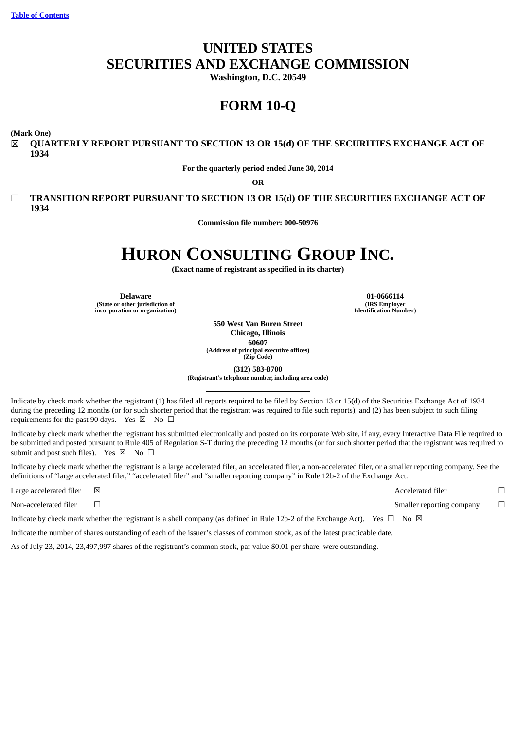# **UNITED STATES SECURITIES AND EXCHANGE COMMISSION**

**Washington, D.C. 20549**

## **FORM 10-Q**

**(Mark One)**

☒ **QUARTERLY REPORT PURSUANT TO SECTION 13 OR 15(d) OF THE SECURITIES EXCHANGE ACT OF 1934**

**For the quarterly period ended June 30, 2014**

**OR**

☐ **TRANSITION REPORT PURSUANT TO SECTION 13 OR 15(d) OF THE SECURITIES EXCHANGE ACT OF 1934**

**Commission file number: 000-50976**

# **HURON CONSULTING GROUP INC.**

**(Exact name of registrant as specified in its charter)**

**(State or other jurisdiction of incorporation or organization)**

**Delaware 01-0666114 (IRS Employer Identification Number)**

> **550 West Van Buren Street Chicago, Illinois 60607 (Address of principal executive offices) (Zip Code)**

> > **(312) 583-8700**

**(Registrant's telephone number, including area code)**

Indicate by check mark whether the registrant (1) has filed all reports required to be filed by Section 13 or 15(d) of the Securities Exchange Act of 1934 during the preceding 12 months (or for such shorter period that the registrant was required to file such reports), and (2) has been subject to such filing requirements for the past 90 days. Yes  $\boxtimes$  No  $\Box$ 

Indicate by check mark whether the registrant has submitted electronically and posted on its corporate Web site, if any, every Interactive Data File required to be submitted and posted pursuant to Rule 405 of Regulation S-T during the preceding 12 months (or for such shorter period that the registrant was required to submit and post such files). Yes  $\boxtimes$  No  $\Box$ 

Indicate by check mark whether the registrant is a large accelerated filer, an accelerated filer, a non-accelerated filer, or a smaller reporting company. See the definitions of "large accelerated filer," "accelerated filer" and "smaller reporting company" in Rule 12b-2 of the Exchange Act.

Large accelerated filer ☒ Accelerated filer ☐

Non-accelerated filer <del>□</del> □

Indicate by check mark whether the registrant is a shell company (as defined in Rule 12b-2 of the Exchange Act). Yes  $\Box$  No  $\boxtimes$ 

Indicate the number of shares outstanding of each of the issuer's classes of common stock, as of the latest practicable date.

As of July 23, 2014, 23,497,997 shares of the registrant's common stock, par value \$0.01 per share, were outstanding.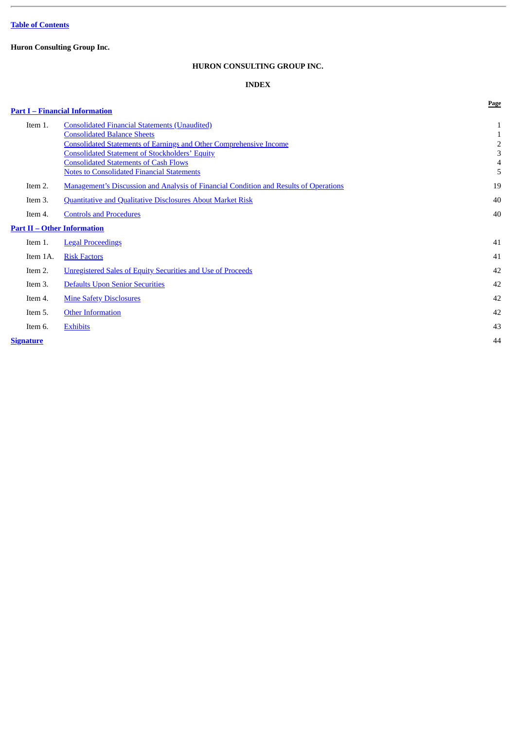## **Huron Consulting Group Inc.**

## **HURON CONSULTING GROUP INC.**

## **INDEX**

<span id="page-1-0"></span>

|           | <b>Part I – Financial Information</b>                                                                                                                                                                                                                                                                                                 | Page                  |
|-----------|---------------------------------------------------------------------------------------------------------------------------------------------------------------------------------------------------------------------------------------------------------------------------------------------------------------------------------------|-----------------------|
| Item 1.   | <b>Consolidated Financial Statements (Unaudited)</b><br><b>Consolidated Balance Sheets</b><br><b>Consolidated Statements of Earnings and Other Comprehensive Income</b><br><b>Consolidated Statement of Stockholders' Equity</b><br><b>Consolidated Statements of Cash Flows</b><br><b>Notes to Consolidated Financial Statements</b> | 1<br>2<br>3<br>4<br>5 |
| Item 2.   | <b>Management's Discussion and Analysis of Financial Condition and Results of Operations</b>                                                                                                                                                                                                                                          | 19                    |
| Item 3.   | <b>Quantitative and Qualitative Disclosures About Market Risk</b>                                                                                                                                                                                                                                                                     | 40                    |
| Item 4.   | <b>Controls and Procedures</b>                                                                                                                                                                                                                                                                                                        | 40                    |
|           | <b>Part II – Other Information</b>                                                                                                                                                                                                                                                                                                    |                       |
| Item 1.   | <b>Legal Proceedings</b>                                                                                                                                                                                                                                                                                                              | 41                    |
| Item 1A.  | <b>Risk Factors</b>                                                                                                                                                                                                                                                                                                                   | 41                    |
| Item 2.   | <b>Unregistered Sales of Equity Securities and Use of Proceeds</b>                                                                                                                                                                                                                                                                    | 42                    |
| Item 3.   | Defaults Upon Senior Securities                                                                                                                                                                                                                                                                                                       | 42                    |
| Item 4.   | <b>Mine Safety Disclosures</b>                                                                                                                                                                                                                                                                                                        | 42                    |
| Item 5.   | <b>Other Information</b>                                                                                                                                                                                                                                                                                                              | 42                    |
| Item 6.   | <b>Exhibits</b>                                                                                                                                                                                                                                                                                                                       | 43                    |
| Signature |                                                                                                                                                                                                                                                                                                                                       | 44                    |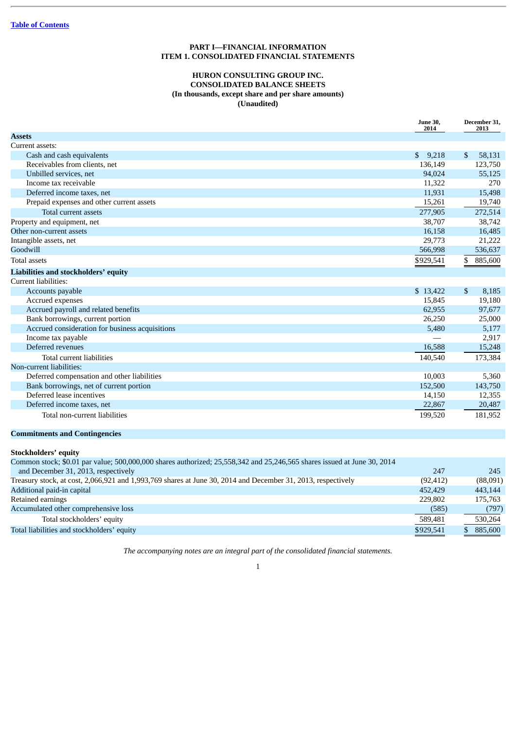#### **PART I—FINANCIAL INFORMATION ITEM 1. CONSOLIDATED FINANCIAL STATEMENTS**

## **HURON CONSULTING GROUP INC. CONSOLIDATED BALANCE SHEETS (In thousands, except share and per share amounts) (Unaudited)**

<span id="page-2-2"></span><span id="page-2-1"></span><span id="page-2-0"></span>

|                                                 | <b>June 30.</b><br>2014 | December 31.<br>2013 |
|-------------------------------------------------|-------------------------|----------------------|
| <b>Assets</b>                                   |                         |                      |
| Current assets:                                 |                         |                      |
| Cash and cash equivalents                       | \$<br>9,218             | \$<br>58,131         |
| Receivables from clients, net                   | 136,149                 | 123,750              |
| Unbilled services, net                          | 94.024                  | 55,125               |
| Income tax receivable                           | 11,322                  | 270                  |
| Deferred income taxes, net                      | 11,931                  | 15,498               |
| Prepaid expenses and other current assets       | 15,261                  | 19,740               |
| Total current assets                            | 277,905                 | 272,514              |
| Property and equipment, net                     | 38,707                  | 38,742               |
| Other non-current assets                        | 16,158                  | 16,485               |
| Intangible assets, net                          | 29,773                  | 21,222               |
| Goodwill                                        | 566,998                 | 536,637              |
| <b>Total assets</b>                             | \$929,541               | \$<br>885,600        |
| Liabilities and stockholders' equity            |                         |                      |
| Current liabilities:                            |                         |                      |
| Accounts payable                                | \$13,422                | \$<br>8,185          |
| Accrued expenses                                | 15,845                  | 19,180               |
| Accrued payroll and related benefits            | 62,955                  | 97,677               |
| Bank borrowings, current portion                | 26,250                  | 25,000               |
| Accrued consideration for business acquisitions | 5,480                   | 5,177                |
| Income tax payable                              |                         | 2,917                |
| Deferred revenues                               | 16,588                  | 15,248               |
| Total current liabilities                       | 140,540                 | 173,384              |
| Non-current liabilities:                        |                         |                      |
| Deferred compensation and other liabilities     | 10,003                  | 5,360                |
| Bank borrowings, net of current portion         | 152,500                 | 143,750              |
| Deferred lease incentives                       | 14,150                  | 12,355               |
| Deferred income taxes, net                      | 22,867                  | 20,487               |
| Total non-current liabilities                   | 199,520                 | 181,952              |

## **Commitments and Contingencies**

## **Stockholders' equity**

| Common stock; \$0.01 par value; 500,000,000 shares authorized; 25,558,342 and 25,246,565 shares issued at June 30, 2014 |           |          |
|-------------------------------------------------------------------------------------------------------------------------|-----------|----------|
| and December 31, 2013, respectively                                                                                     | 247       | 245      |
| Treasury stock, at cost, 2,066,921 and 1,993,769 shares at June 30, 2014 and December 31, 2013, respectively            | (92, 412) | (88,091) |
| Additional paid-in capital                                                                                              | 452,429   | 443.144  |
| Retained earnings                                                                                                       | 229,802   | 175.763  |
| Accumulated other comprehensive loss                                                                                    | (585)     | (797)    |
| Total stockholders' equity                                                                                              | 589,481   | 530,264  |
| Total liabilities and stockholders' equity                                                                              | \$929,541 | 885,600  |

*The accompanying notes are an integral part of the consolidated financial statements.*

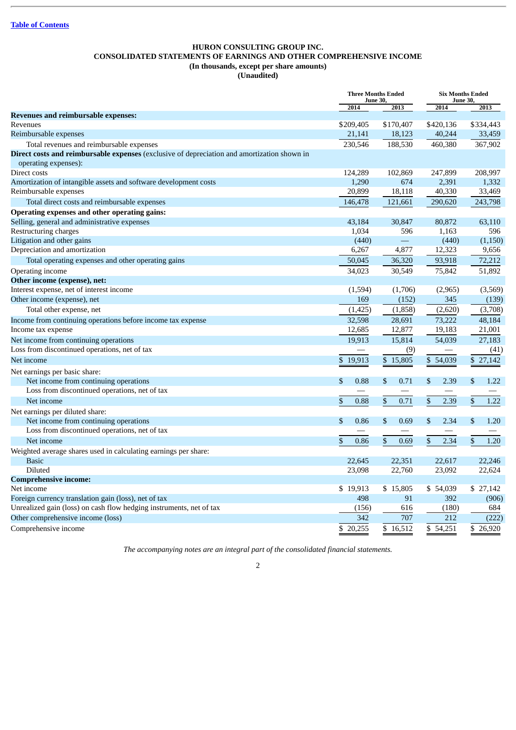## **HURON CONSULTING GROUP INC. CONSOLIDATED STATEMENTS OF EARNINGS AND OTHER COMPREHENSIVE INCOME (In thousands, except per share amounts)**

**(Unaudited)**

<span id="page-3-0"></span>

|                                                                                                                             |                 | <b>Three Months Ended</b><br><b>June 30,</b> | <b>Six Months Ended</b><br><b>June 30,</b> |                                                   |  |
|-----------------------------------------------------------------------------------------------------------------------------|-----------------|----------------------------------------------|--------------------------------------------|---------------------------------------------------|--|
|                                                                                                                             | 2014            | 2013                                         | 2014                                       | 2013                                              |  |
| <b>Revenues and reimbursable expenses:</b>                                                                                  |                 |                                              |                                            |                                                   |  |
| <b>Revenues</b>                                                                                                             | \$209,405       | \$170,407                                    | \$420,136                                  | \$334,443                                         |  |
| Reimbursable expenses                                                                                                       | 21,141          | 18,123                                       | 40,244                                     | 33,459                                            |  |
| Total revenues and reimbursable expenses                                                                                    | 230,546         | 188,530                                      | 460,380                                    | 367,902                                           |  |
| Direct costs and reimbursable expenses (exclusive of depreciation and amortization shown in                                 |                 |                                              |                                            |                                                   |  |
| operating expenses):                                                                                                        |                 |                                              |                                            |                                                   |  |
| Direct costs                                                                                                                | 124,289         | 102,869                                      | 247,899                                    | 208,997                                           |  |
| Amortization of intangible assets and software development costs                                                            | 1,290           | 674                                          | 2,391                                      | 1,332                                             |  |
| Reimbursable expenses                                                                                                       | 20,899          | 18,118                                       | 40,330                                     | 33,469                                            |  |
| Total direct costs and reimbursable expenses                                                                                | 146,478         | 121,661                                      | 290,620                                    | 243,798                                           |  |
| Operating expenses and other operating gains:                                                                               |                 |                                              |                                            |                                                   |  |
| Selling, general and administrative expenses                                                                                | 43,184          | 30,847                                       | 80,872                                     | 63,110                                            |  |
| Restructuring charges                                                                                                       | 1,034           | 596                                          | 1,163                                      | 596                                               |  |
| Litigation and other gains                                                                                                  | (440)           | $\overline{\phantom{0}}$                     | (440)                                      | (1,150)                                           |  |
| Depreciation and amortization                                                                                               | 6,267           | 4,877                                        | 12,323                                     | 9,656                                             |  |
| Total operating expenses and other operating gains                                                                          | 50,045          | 36,320                                       | 93,918                                     | 72,212                                            |  |
| Operating income                                                                                                            | 34,023          | 30,549                                       | 75,842                                     | 51,892                                            |  |
| Other income (expense), net:                                                                                                |                 |                                              |                                            |                                                   |  |
| Interest expense, net of interest income                                                                                    | (1,594)         | (1,706)                                      | (2,965)                                    | (3,569)                                           |  |
| Other income (expense), net                                                                                                 | 169             | (152)                                        | 345                                        | (139)                                             |  |
| Total other expense, net                                                                                                    | (1, 425)        | (1,858)                                      | (2,620)                                    | (3,708)                                           |  |
| Income from continuing operations before income tax expense                                                                 | 32,598          | 28,691                                       | 73,222                                     | 48,184                                            |  |
| Income tax expense                                                                                                          | 12,685          | 12,877                                       | 19,183                                     | 21,001                                            |  |
| Net income from continuing operations                                                                                       | 19,913          | 15,814                                       | 54,039                                     | 27,183                                            |  |
| Loss from discontinued operations, net of tax                                                                               |                 | (9)                                          |                                            | (41)                                              |  |
| Net income                                                                                                                  | \$<br>19,913    | \$15,805                                     | \$54,039                                   | \$27,142                                          |  |
| Net earnings per basic share:                                                                                               |                 |                                              |                                            |                                                   |  |
| Net income from continuing operations                                                                                       | \$<br>0.88      | $\mathfrak{S}$<br>0.71                       | \$<br>2.39                                 | \$<br>1.22                                        |  |
| Loss from discontinued operations, net of tax                                                                               |                 |                                              |                                            |                                                   |  |
| Net income                                                                                                                  | \$<br>0.88      | $\mathbb{S}$<br>0.71                         | \$<br>2.39                                 | $\, \, \raisebox{12pt}{$\scriptstyle \$}$<br>1.22 |  |
|                                                                                                                             |                 |                                              |                                            |                                                   |  |
| Net earnings per diluted share:                                                                                             |                 |                                              |                                            |                                                   |  |
| Net income from continuing operations                                                                                       | \$<br>0.86      | \$<br>0.69                                   | \$<br>2.34                                 | \$<br>1.20                                        |  |
| Loss from discontinued operations, net of tax                                                                               |                 |                                              |                                            |                                                   |  |
| Net income                                                                                                                  | \$<br>0.86      | \$<br>0.69                                   | 2.34<br>\$                                 | $$\mathbb{S}$$<br>1.20                            |  |
| Weighted average shares used in calculating earnings per share:                                                             |                 |                                              |                                            |                                                   |  |
| <b>Basic</b>                                                                                                                | 22,645          | 22,351                                       | 22,617                                     | 22,246                                            |  |
| Diluted                                                                                                                     | 23,098          | 22,760                                       | 23,092                                     | 22,624                                            |  |
| <b>Comprehensive income:</b>                                                                                                |                 |                                              |                                            |                                                   |  |
| Net income                                                                                                                  | \$19,913<br>498 | \$15,805<br>91                               | \$54,039<br>392                            | \$27,142                                          |  |
| Foreign currency translation gain (loss), net of tax<br>Unrealized gain (loss) on cash flow hedging instruments, net of tax |                 | 616                                          |                                            | (906)                                             |  |
|                                                                                                                             | (156)           |                                              | (180)                                      | 684<br>(222)                                      |  |
| Other comprehensive income (loss)                                                                                           | 342             | 707                                          | 212                                        |                                                   |  |
| Comprehensive income                                                                                                        | \$20.255        | \$16,512                                     | \$54,251                                   | \$26,920                                          |  |

*The accompanying notes are an integral part of the consolidated financial statements.*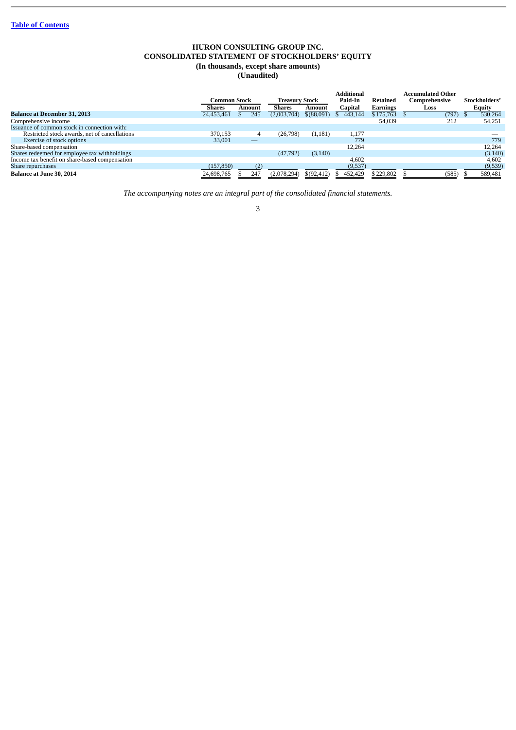## **HURON CONSULTING GROUP INC. CONSOLIDATED STATEMENT OF STOCKHOLDERS' EQUITY (In thousands, except share amounts)**

**(Unaudited)**

<span id="page-4-0"></span>

|                                                |                      |  |        | <b>Additional</b>     |            | <b>Accumulated Other</b> |                 |               |               |
|------------------------------------------------|----------------------|--|--------|-----------------------|------------|--------------------------|-----------------|---------------|---------------|
|                                                | C <b>ommon Stock</b> |  |        | <b>Treasury Stock</b> |            | Paid-In                  | Retained        | Comprehensive | Stockholders' |
|                                                | <b>Shares</b>        |  | Amount | <b>Shares</b>         | Amount     | Capital                  | <b>Earnings</b> | Loss          | Equity        |
| <b>Balance at December 31, 2013</b>            | 24.453.461           |  | 245    | (2,003,704)           | \$(88,091) | 443,144                  | \$175,763       | (797)         | 530.264       |
| Comprehensive income                           |                      |  |        |                       |            |                          | 54,039          | 212           | 54,251        |
| Issuance of common stock in connection with:   |                      |  |        |                       |            |                          |                 |               |               |
| Restricted stock awards, net of cancellations  | 370,153              |  | 4      | (26,798)              | (1, 181)   | 1,177                    |                 |               |               |
| Exercise of stock options                      | 33,001               |  | __     |                       |            | 779                      |                 |               | 779           |
| Share-based compensation                       |                      |  |        |                       |            | 12,264                   |                 |               | 12,264        |
| Shares redeemed for employee tax withholdings  |                      |  |        | (47,792)              | (3, 140)   |                          |                 |               | (3, 140)      |
| Income tax benefit on share-based compensation |                      |  |        |                       |            | 4,602                    |                 |               | 4,602         |
| Share repurchases                              | (157, 850)           |  |        |                       |            | (9,537)                  |                 |               | (9,539)       |
| Balance at June 30, 2014                       | 24,698,765           |  | 247    | (2,078,294)           | \$(92,412) | 452,429                  | \$229,802       | (585)         | 589,481       |

*The accompanying notes are an integral part of the consolidated financial statements.*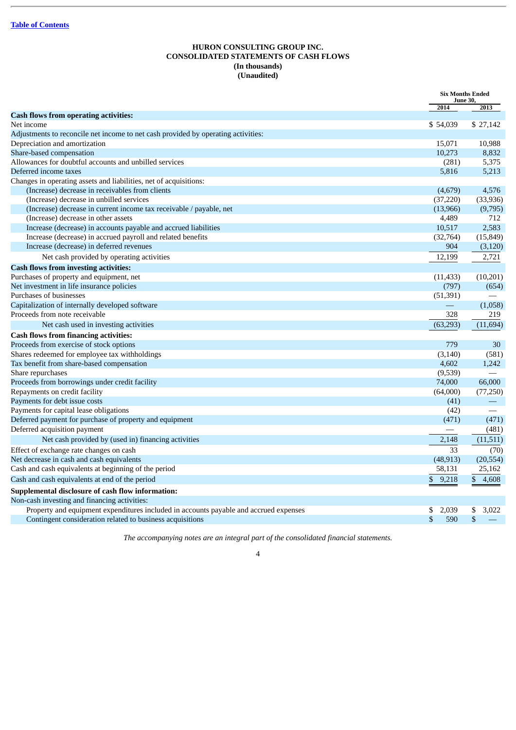## **HURON CONSULTING GROUP INC. CONSOLIDATED STATEMENTS OF CASH FLOWS (In thousands) (Unaudited)**

<span id="page-5-0"></span>

|                                                                                       |             | <b>Six Months Ended</b><br><b>June 30,</b> |
|---------------------------------------------------------------------------------------|-------------|--------------------------------------------|
|                                                                                       | 2014        | 2013                                       |
| <b>Cash flows from operating activities:</b>                                          |             |                                            |
| Net income                                                                            | \$54,039    | \$27,142                                   |
| Adjustments to reconcile net income to net cash provided by operating activities:     |             |                                            |
| Depreciation and amortization                                                         | 15,071      | 10,988                                     |
| Share-based compensation                                                              | 10,273      | 8,832                                      |
| Allowances for doubtful accounts and unbilled services                                | (281)       | 5,375                                      |
| Deferred income taxes                                                                 | 5,816       | 5,213                                      |
| Changes in operating assets and liabilities, net of acquisitions:                     |             |                                            |
| (Increase) decrease in receivables from clients                                       | (4,679)     | 4,576                                      |
| (Increase) decrease in unbilled services                                              | (37, 220)   | (33, 936)                                  |
| (Increase) decrease in current income tax receivable / payable, net                   | (13,966)    | (9,795)                                    |
| (Increase) decrease in other assets                                                   | 4,489       | 712                                        |
| Increase (decrease) in accounts payable and accrued liabilities                       | 10,517      | 2,583                                      |
| Increase (decrease) in accrued payroll and related benefits                           | (32,764)    | (15, 849)                                  |
| Increase (decrease) in deferred revenues                                              | 904         | (3, 120)                                   |
| Net cash provided by operating activities                                             | 12,199      | 2,721                                      |
| <b>Cash flows from investing activities:</b>                                          |             |                                            |
| Purchases of property and equipment, net                                              | (11, 433)   | (10,201)                                   |
| Net investment in life insurance policies                                             | (797)       | (654)                                      |
| Purchases of businesses                                                               | (51, 391)   |                                            |
| Capitalization of internally developed software                                       |             | (1,058)                                    |
| Proceeds from note receivable                                                         | 328         | 219                                        |
| Net cash used in investing activities                                                 | (63, 293)   | (11, 694)                                  |
| <b>Cash flows from financing activities:</b>                                          |             |                                            |
| Proceeds from exercise of stock options                                               | 779         | 30                                         |
| Shares redeemed for employee tax withholdings                                         | (3, 140)    | (581)                                      |
| Tax benefit from share-based compensation                                             | 4,602       | 1,242                                      |
| Share repurchases                                                                     | (9,539)     |                                            |
| Proceeds from borrowings under credit facility                                        | 74,000      | 66,000                                     |
| Repayments on credit facility                                                         | (64,000)    | (77, 250)                                  |
| Payments for debt issue costs                                                         | (41)        | $\overline{\phantom{m}}$                   |
| Payments for capital lease obligations                                                | (42)        |                                            |
| Deferred payment for purchase of property and equipment                               | (471)       | (471)                                      |
| Deferred acquisition payment                                                          |             | (481)                                      |
| Net cash provided by (used in) financing activities                                   | 2,148       | (11, 511)                                  |
| Effect of exchange rate changes on cash                                               | 33          | (70)                                       |
| Net decrease in cash and cash equivalents                                             | (48, 913)   | (20, 554)                                  |
| Cash and cash equivalents at beginning of the period                                  | 58,131      | 25,162                                     |
| Cash and cash equivalents at end of the period                                        | \$<br>9,218 | $\mathbb{S}$<br>4,608                      |
| Supplemental disclosure of cash flow information:                                     |             |                                            |
| Non-cash investing and financing activities:                                          |             |                                            |
| Property and equipment expenditures included in accounts payable and accrued expenses | \$<br>2,039 | 3,022<br>\$                                |
| Contingent consideration related to business acquisitions                             | \$<br>590   | \$                                         |
|                                                                                       |             |                                            |

*The accompanying notes are an integral part of the consolidated financial statements.*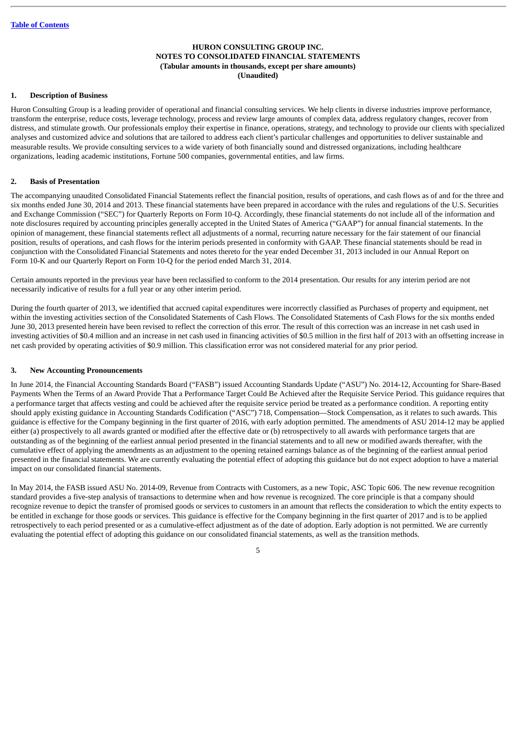#### <span id="page-6-0"></span>**1. Description of Business**

Huron Consulting Group is a leading provider of operational and financial consulting services. We help clients in diverse industries improve performance, transform the enterprise, reduce costs, leverage technology, process and review large amounts of complex data, address regulatory changes, recover from distress, and stimulate growth. Our professionals employ their expertise in finance, operations, strategy, and technology to provide our clients with specialized analyses and customized advice and solutions that are tailored to address each client's particular challenges and opportunities to deliver sustainable and measurable results. We provide consulting services to a wide variety of both financially sound and distressed organizations, including healthcare organizations, leading academic institutions, Fortune 500 companies, governmental entities, and law firms.

#### **2. Basis of Presentation**

The accompanying unaudited Consolidated Financial Statements reflect the financial position, results of operations, and cash flows as of and for the three and six months ended June 30, 2014 and 2013. These financial statements have been prepared in accordance with the rules and regulations of the U.S. Securities and Exchange Commission ("SEC") for Quarterly Reports on Form 10-Q. Accordingly, these financial statements do not include all of the information and note disclosures required by accounting principles generally accepted in the United States of America ("GAAP") for annual financial statements. In the opinion of management, these financial statements reflect all adjustments of a normal, recurring nature necessary for the fair statement of our financial position, results of operations, and cash flows for the interim periods presented in conformity with GAAP. These financial statements should be read in conjunction with the Consolidated Financial Statements and notes thereto for the year ended December 31, 2013 included in our Annual Report on Form 10-K and our Quarterly Report on Form 10-Q for the period ended March 31, 2014.

Certain amounts reported in the previous year have been reclassified to conform to the 2014 presentation. Our results for any interim period are not necessarily indicative of results for a full year or any other interim period.

During the fourth quarter of 2013, we identified that accrued capital expenditures were incorrectly classified as Purchases of property and equipment, net within the investing activities section of the Consolidated Statements of Cash Flows. The Consolidated Statements of Cash Flows for the six months ended June 30, 2013 presented herein have been revised to reflect the correction of this error. The result of this correction was an increase in net cash used in investing activities of \$0.4 million and an increase in net cash used in financing activities of \$0.5 million in the first half of 2013 with an offsetting increase in net cash provided by operating activities of \$0.9 million. This classification error was not considered material for any prior period.

## **3. New Accounting Pronouncements**

In June 2014, the Financial Accounting Standards Board ("FASB") issued Accounting Standards Update ("ASU") No. 2014-12, Accounting for Share-Based Payments When the Terms of an Award Provide That a Performance Target Could Be Achieved after the Requisite Service Period. This guidance requires that a performance target that affects vesting and could be achieved after the requisite service period be treated as a performance condition. A reporting entity should apply existing guidance in Accounting Standards Codification ("ASC") 718, Compensation—Stock Compensation, as it relates to such awards. This guidance is effective for the Company beginning in the first quarter of 2016, with early adoption permitted. The amendments of ASU 2014-12 may be applied either (a) prospectively to all awards granted or modified after the effective date or (b) retrospectively to all awards with performance targets that are outstanding as of the beginning of the earliest annual period presented in the financial statements and to all new or modified awards thereafter, with the cumulative effect of applying the amendments as an adjustment to the opening retained earnings balance as of the beginning of the earliest annual period presented in the financial statements. We are currently evaluating the potential effect of adopting this guidance but do not expect adoption to have a material impact on our consolidated financial statements.

In May 2014, the FASB issued ASU No. 2014-09, Revenue from Contracts with Customers, as a new Topic, ASC Topic 606. The new revenue recognition standard provides a five-step analysis of transactions to determine when and how revenue is recognized. The core principle is that a company should recognize revenue to depict the transfer of promised goods or services to customers in an amount that reflects the consideration to which the entity expects to be entitled in exchange for those goods or services. This guidance is effective for the Company beginning in the first quarter of 2017 and is to be applied retrospectively to each period presented or as a cumulative-effect adjustment as of the date of adoption. Early adoption is not permitted. We are currently evaluating the potential effect of adopting this guidance on our consolidated financial statements, as well as the transition methods.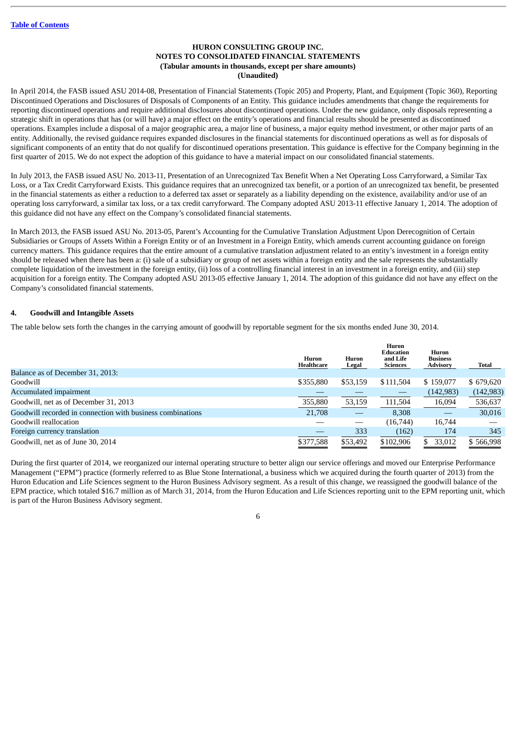In April 2014, the FASB issued ASU 2014-08, Presentation of Financial Statements (Topic 205) and Property, Plant, and Equipment (Topic 360), Reporting Discontinued Operations and Disclosures of Disposals of Components of an Entity. This guidance includes amendments that change the requirements for reporting discontinued operations and require additional disclosures about discontinued operations. Under the new guidance, only disposals representing a strategic shift in operations that has (or will have) a major effect on the entity's operations and financial results should be presented as discontinued operations. Examples include a disposal of a major geographic area, a major line of business, a major equity method investment, or other major parts of an entity. Additionally, the revised guidance requires expanded disclosures in the financial statements for discontinued operations as well as for disposals of significant components of an entity that do not qualify for discontinued operations presentation. This guidance is effective for the Company beginning in the first quarter of 2015. We do not expect the adoption of this guidance to have a material impact on our consolidated financial statements.

In July 2013, the FASB issued ASU No. 2013-11, Presentation of an Unrecognized Tax Benefit When a Net Operating Loss Carryforward, a Similar Tax Loss, or a Tax Credit Carryforward Exists. This guidance requires that an unrecognized tax benefit, or a portion of an unrecognized tax benefit, be presented in the financial statements as either a reduction to a deferred tax asset or separately as a liability depending on the existence, availability and/or use of an operating loss carryforward, a similar tax loss, or a tax credit carryforward. The Company adopted ASU 2013-11 effective January 1, 2014. The adoption of this guidance did not have any effect on the Company's consolidated financial statements.

In March 2013, the FASB issued ASU No. 2013-05, Parent's Accounting for the Cumulative Translation Adjustment Upon Derecognition of Certain Subsidiaries or Groups of Assets Within a Foreign Entity or of an Investment in a Foreign Entity, which amends current accounting guidance on foreign currency matters. This guidance requires that the entire amount of a cumulative translation adjustment related to an entity's investment in a foreign entity should be released when there has been a: (i) sale of a subsidiary or group of net assets within a foreign entity and the sale represents the substantially complete liquidation of the investment in the foreign entity, (ii) loss of a controlling financial interest in an investment in a foreign entity, and (iii) step acquisition for a foreign entity. The Company adopted ASU 2013-05 effective January 1, 2014. The adoption of this guidance did not have any effect on the Company's consolidated financial statements.

#### **4. Goodwill and Intangible Assets**

The table below sets forth the changes in the carrying amount of goodwill by reportable segment for the six months ended June 30, 2014.

| Balance as of December 31, 2013:                           | Huron<br>Healthcare | Huron<br>Legal | Huron<br><b>Education</b><br>and Life<br><b>Sciences</b> | Huron<br><b>Business</b><br><b>Advisory</b> | Total      |
|------------------------------------------------------------|---------------------|----------------|----------------------------------------------------------|---------------------------------------------|------------|
|                                                            |                     |                |                                                          |                                             |            |
| Goodwill                                                   | \$355,880           | \$53,159       | \$111,504                                                | \$159,077                                   | \$679,620  |
| Accumulated impairment                                     |                     |                |                                                          | (142, 983)                                  | (142, 983) |
| Goodwill, net as of December 31, 2013                      | 355,880             | 53,159         | 111,504                                                  | 16,094                                      | 536,637    |
| Goodwill recorded in connection with business combinations | 21,708              |                | 8.308                                                    |                                             | 30,016     |
| Goodwill reallocation                                      |                     |                | (16,744)                                                 | 16,744                                      |            |
| Foreign currency translation                               |                     | 333            | (162)                                                    | 174                                         | 345        |
| Goodwill, net as of June 30, 2014                          | \$377.588           | \$53,492       | \$102,906                                                | 33,012                                      | \$566,998  |

During the first quarter of 2014, we reorganized our internal operating structure to better align our service offerings and moved our Enterprise Performance Management ("EPM") practice (formerly referred to as Blue Stone International, a business which we acquired during the fourth quarter of 2013) from the Huron Education and Life Sciences segment to the Huron Business Advisory segment. As a result of this change, we reassigned the goodwill balance of the EPM practice, which totaled \$16.7 million as of March 31, 2014, from the Huron Education and Life Sciences reporting unit to the EPM reporting unit, which is part of the Huron Business Advisory segment.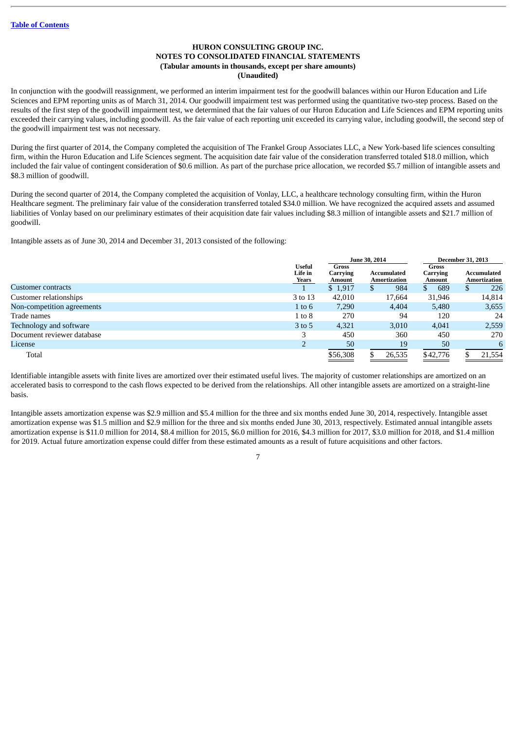In conjunction with the goodwill reassignment, we performed an interim impairment test for the goodwill balances within our Huron Education and Life Sciences and EPM reporting units as of March 31, 2014. Our goodwill impairment test was performed using the quantitative two-step process. Based on the results of the first step of the goodwill impairment test, we determined that the fair values of our Huron Education and Life Sciences and EPM reporting units exceeded their carrying values, including goodwill. As the fair value of each reporting unit exceeded its carrying value, including goodwill, the second step of the goodwill impairment test was not necessary.

During the first quarter of 2014, the Company completed the acquisition of The Frankel Group Associates LLC, a New York-based life sciences consulting firm, within the Huron Education and Life Sciences segment. The acquisition date fair value of the consideration transferred totaled \$18.0 million, which included the fair value of contingent consideration of \$0.6 million. As part of the purchase price allocation, we recorded \$5.7 million of intangible assets and \$8.3 million of goodwill.

During the second quarter of 2014, the Company completed the acquisition of Vonlay, LLC, a healthcare technology consulting firm, within the Huron Healthcare segment. The preliminary fair value of the consideration transferred totaled \$34.0 million. We have recognized the acquired assets and assumed liabilities of Vonlay based on our preliminary estimates of their acquisition date fair values including \$8.3 million of intangible assets and \$21.7 million of goodwill.

Intangible assets as of June 30, 2014 and December 31, 2013 consisted of the following:

|                            |                          |          | June 30, 2014               |        | <b>December 31, 2013</b>           |  |              |  |  |  |                                    |  |                                           |
|----------------------------|--------------------------|----------|-----------------------------|--------|------------------------------------|--|--------------|--|--|--|------------------------------------|--|-------------------------------------------|
|                            | <b>Useful</b><br>Life in |          | Gross<br>Carrying<br>Amount |        | Accumulated<br><b>Amortization</b> |  | <u>Years</u> |  |  |  | Gross<br>Carrying<br><b>Amount</b> |  | <b>Accumulated</b><br><b>Amortization</b> |
| Customer contracts         |                          | \$1,917  | S                           | 984    | 689<br>S.                          |  | 226          |  |  |  |                                    |  |                                           |
| Customer relationships     | 3 to 13                  | 42,010   |                             | 17,664 | 31,946                             |  | 14,814       |  |  |  |                                    |  |                                           |
| Non-competition agreements | $1$ to $6$               | 7,290    |                             | 4.404  | 5,480                              |  | 3,655        |  |  |  |                                    |  |                                           |
| Trade names                | $1$ to $8$               | 270      |                             | 94     | 120                                |  | 24           |  |  |  |                                    |  |                                           |
| Technology and software    | 3 to 5                   | 4,321    |                             | 3,010  | 4,041                              |  | 2,559        |  |  |  |                                    |  |                                           |
| Document reviewer database | З                        | 450      |                             | 360    | 450                                |  | 270          |  |  |  |                                    |  |                                           |
| License                    | 2                        | 50       |                             | 19     | 50                                 |  | 6            |  |  |  |                                    |  |                                           |
| Total                      |                          | \$56,308 | \$.                         | 26,535 | \$42,776                           |  | 21,554       |  |  |  |                                    |  |                                           |

Identifiable intangible assets with finite lives are amortized over their estimated useful lives. The majority of customer relationships are amortized on an accelerated basis to correspond to the cash flows expected to be derived from the relationships. All other intangible assets are amortized on a straight-line basis.

Intangible assets amortization expense was \$2.9 million and \$5.4 million for the three and six months ended June 30, 2014, respectively. Intangible asset amortization expense was \$1.5 million and \$2.9 million for the three and six months ended June 30, 2013, respectively. Estimated annual intangible assets amortization expense is \$11.0 million for 2014, \$8.4 million for 2015, \$6.0 million for 2016, \$4.3 million for 2017, \$3.0 million for 2018, and \$1.4 million for 2019. Actual future amortization expense could differ from these estimated amounts as a result of future acquisitions and other factors.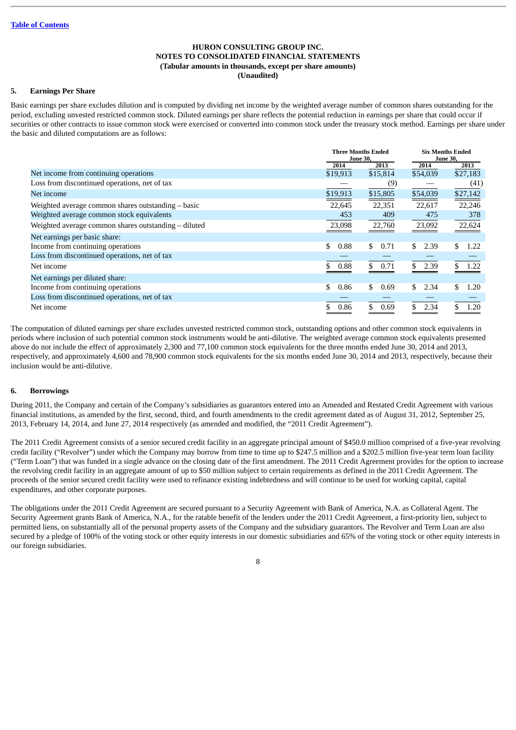#### **5. Earnings Per Share**

Basic earnings per share excludes dilution and is computed by dividing net income by the weighted average number of common shares outstanding for the period, excluding unvested restricted common stock. Diluted earnings per share reflects the potential reduction in earnings per share that could occur if securities or other contracts to issue common stock were exercised or converted into common stock under the treasury stock method. Earnings per share under the basic and diluted computations are as follows:

|                                                      |             | <b>Three Months Ended</b><br><b>June 30,</b> | <b>Six Months Ended</b><br><b>June 30,</b> |            |
|------------------------------------------------------|-------------|----------------------------------------------|--------------------------------------------|------------|
|                                                      | 2014        | 2013                                         | 2014                                       | 2013       |
| Net income from continuing operations                | \$19,913    | \$15,814                                     | \$54,039                                   | \$27,183   |
| Loss from discontinued operations, net of tax        |             | (9)                                          |                                            | (41)       |
| Net income                                           | \$19,913    | \$15,805                                     | \$54,039                                   | \$27,142   |
| Weighted average common shares outstanding - basic   | 22,645      | 22,351                                       | 22,617                                     | 22,246     |
| Weighted average common stock equivalents            | 453         | 409                                          | 475                                        | 378        |
| Weighted average common shares outstanding - diluted | 23,098      | 22,760                                       | 23,092                                     | 22,624     |
| Net earnings per basic share:                        |             |                                              |                                            |            |
| Income from continuing operations                    | \$.<br>0.88 | \$.<br>0.71                                  | 2.39<br>SS.                                | S.<br>1.22 |
| Loss from discontinued operations, net of tax        |             |                                              |                                            |            |
| Net income                                           | 0.88        | \$0.71                                       | \$2.39                                     | \$1.22     |
| Net earnings per diluted share:                      |             |                                              |                                            |            |
| Income from continuing operations                    | \$<br>0.86  | \$.<br>0.69                                  | \$<br>2.34                                 | 1.20       |
| Loss from discontinued operations, net of tax        |             |                                              |                                            |            |
| Net income                                           | 0.86        | 0.69                                         | 2.34                                       | 1.20       |

The computation of diluted earnings per share excludes unvested restricted common stock, outstanding options and other common stock equivalents in periods where inclusion of such potential common stock instruments would be anti-dilutive. The weighted average common stock equivalents presented above do not include the effect of approximately 2,300 and 77,100 common stock equivalents for the three months ended June 30, 2014 and 2013, respectively, and approximately 4,600 and 78,900 common stock equivalents for the six months ended June 30, 2014 and 2013, respectively, because their inclusion would be anti-dilutive.

#### **6. Borrowings**

During 2011, the Company and certain of the Company's subsidiaries as guarantors entered into an Amended and Restated Credit Agreement with various financial institutions, as amended by the first, second, third, and fourth amendments to the credit agreement dated as of August 31, 2012, September 25, 2013, February 14, 2014, and June 27, 2014 respectively (as amended and modified, the "2011 Credit Agreement").

The 2011 Credit Agreement consists of a senior secured credit facility in an aggregate principal amount of \$450.0 million comprised of a five-year revolving credit facility ("Revolver") under which the Company may borrow from time to time up to \$247.5 million and a \$202.5 million five-year term loan facility ("Term Loan") that was funded in a single advance on the closing date of the first amendment. The 2011 Credit Agreement provides for the option to increase the revolving credit facility in an aggregate amount of up to \$50 million subject to certain requirements as defined in the 2011 Credit Agreement. The proceeds of the senior secured credit facility were used to refinance existing indebtedness and will continue to be used for working capital, capital expenditures, and other corporate purposes.

The obligations under the 2011 Credit Agreement are secured pursuant to a Security Agreement with Bank of America, N.A. as Collateral Agent. The Security Agreement grants Bank of America, N.A., for the ratable benefit of the lenders under the 2011 Credit Agreement, a first-priority lien, subject to permitted liens, on substantially all of the personal property assets of the Company and the subsidiary guarantors. The Revolver and Term Loan are also secured by a pledge of 100% of the voting stock or other equity interests in our domestic subsidiaries and 65% of the voting stock or other equity interests in our foreign subsidiaries.

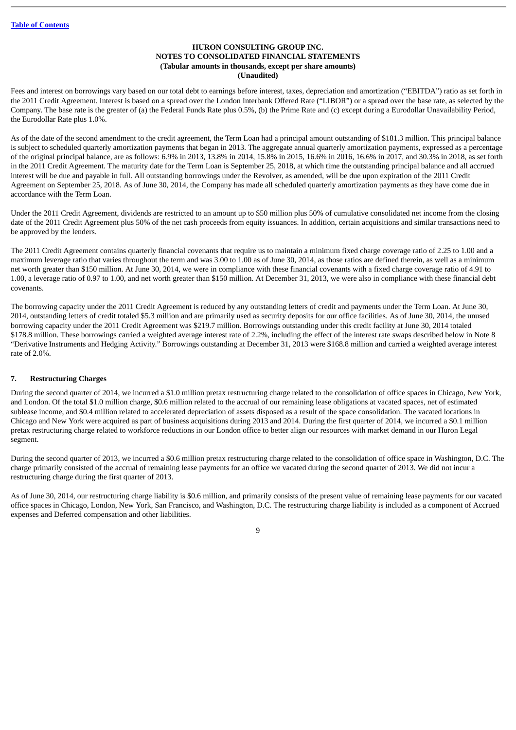Fees and interest on borrowings vary based on our total debt to earnings before interest, taxes, depreciation and amortization ("EBITDA") ratio as set forth in the 2011 Credit Agreement. Interest is based on a spread over the London Interbank Offered Rate ("LIBOR") or a spread over the base rate, as selected by the Company. The base rate is the greater of (a) the Federal Funds Rate plus 0.5%, (b) the Prime Rate and (c) except during a Eurodollar Unavailability Period, the Eurodollar Rate plus 1.0%.

As of the date of the second amendment to the credit agreement, the Term Loan had a principal amount outstanding of \$181.3 million. This principal balance is subject to scheduled quarterly amortization payments that began in 2013. The aggregate annual quarterly amortization payments, expressed as a percentage of the original principal balance, are as follows: 6.9% in 2013, 13.8% in 2014, 15.8% in 2015, 16.6% in 2016, 16.6% in 2017, and 30.3% in 2018, as set forth in the 2011 Credit Agreement. The maturity date for the Term Loan is September 25, 2018, at which time the outstanding principal balance and all accrued interest will be due and payable in full. All outstanding borrowings under the Revolver, as amended, will be due upon expiration of the 2011 Credit Agreement on September 25, 2018. As of June 30, 2014, the Company has made all scheduled quarterly amortization payments as they have come due in accordance with the Term Loan.

Under the 2011 Credit Agreement, dividends are restricted to an amount up to \$50 million plus 50% of cumulative consolidated net income from the closing date of the 2011 Credit Agreement plus 50% of the net cash proceeds from equity issuances. In addition, certain acquisitions and similar transactions need to be approved by the lenders.

The 2011 Credit Agreement contains quarterly financial covenants that require us to maintain a minimum fixed charge coverage ratio of 2.25 to 1.00 and a maximum leverage ratio that varies throughout the term and was 3.00 to 1.00 as of June 30, 2014, as those ratios are defined therein, as well as a minimum net worth greater than \$150 million. At June 30, 2014, we were in compliance with these financial covenants with a fixed charge coverage ratio of 4.91 to 1.00, a leverage ratio of 0.97 to 1.00, and net worth greater than \$150 million. At December 31, 2013, we were also in compliance with these financial debt covenants.

The borrowing capacity under the 2011 Credit Agreement is reduced by any outstanding letters of credit and payments under the Term Loan. At June 30, 2014, outstanding letters of credit totaled \$5.3 million and are primarily used as security deposits for our office facilities. As of June 30, 2014, the unused borrowing capacity under the 2011 Credit Agreement was \$219.7 million. Borrowings outstanding under this credit facility at June 30, 2014 totaled \$178.8 million. These borrowings carried a weighted average interest rate of 2.2%, including the effect of the interest rate swaps described below in Note 8 "Derivative Instruments and Hedging Activity." Borrowings outstanding at December 31, 2013 were \$168.8 million and carried a weighted average interest rate of 2.0%.

#### **7. Restructuring Charges**

During the second quarter of 2014, we incurred a \$1.0 million pretax restructuring charge related to the consolidation of office spaces in Chicago, New York, and London. Of the total \$1.0 million charge, \$0.6 million related to the accrual of our remaining lease obligations at vacated spaces, net of estimated sublease income, and \$0.4 million related to accelerated depreciation of assets disposed as a result of the space consolidation. The vacated locations in Chicago and New York were acquired as part of business acquisitions during 2013 and 2014. During the first quarter of 2014, we incurred a \$0.1 million pretax restructuring charge related to workforce reductions in our London office to better align our resources with market demand in our Huron Legal segment.

During the second quarter of 2013, we incurred a \$0.6 million pretax restructuring charge related to the consolidation of office space in Washington, D.C. The charge primarily consisted of the accrual of remaining lease payments for an office we vacated during the second quarter of 2013. We did not incur a restructuring charge during the first quarter of 2013.

As of June 30, 2014, our restructuring charge liability is \$0.6 million, and primarily consists of the present value of remaining lease payments for our vacated office spaces in Chicago, London, New York, San Francisco, and Washington, D.C. The restructuring charge liability is included as a component of Accrued expenses and Deferred compensation and other liabilities.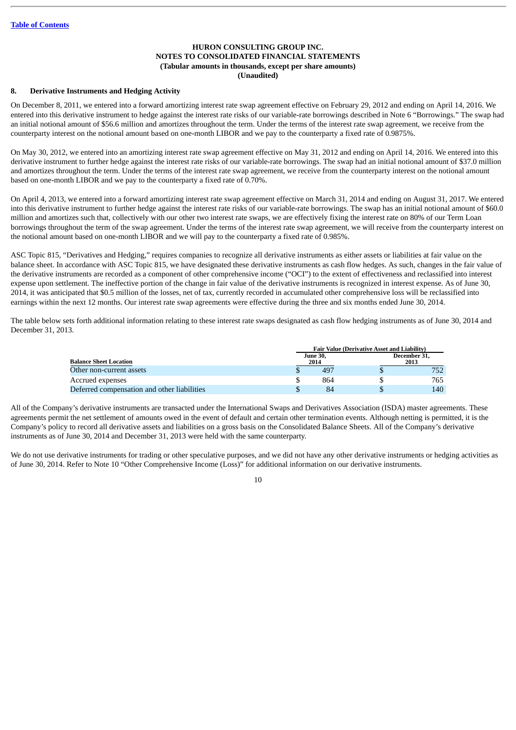#### **8. Derivative Instruments and Hedging Activity**

On December 8, 2011, we entered into a forward amortizing interest rate swap agreement effective on February 29, 2012 and ending on April 14, 2016. We entered into this derivative instrument to hedge against the interest rate risks of our variable-rate borrowings described in Note 6 "Borrowings." The swap had an initial notional amount of \$56.6 million and amortizes throughout the term. Under the terms of the interest rate swap agreement, we receive from the counterparty interest on the notional amount based on one-month LIBOR and we pay to the counterparty a fixed rate of 0.9875%.

On May 30, 2012, we entered into an amortizing interest rate swap agreement effective on May 31, 2012 and ending on April 14, 2016. We entered into this derivative instrument to further hedge against the interest rate risks of our variable-rate borrowings. The swap had an initial notional amount of \$37.0 million and amortizes throughout the term. Under the terms of the interest rate swap agreement, we receive from the counterparty interest on the notional amount based on one-month LIBOR and we pay to the counterparty a fixed rate of 0.70%.

On April 4, 2013, we entered into a forward amortizing interest rate swap agreement effective on March 31, 2014 and ending on August 31, 2017. We entered into this derivative instrument to further hedge against the interest rate risks of our variable-rate borrowings. The swap has an initial notional amount of \$60.0 million and amortizes such that, collectively with our other two interest rate swaps, we are effectively fixing the interest rate on 80% of our Term Loan borrowings throughout the term of the swap agreement. Under the terms of the interest rate swap agreement, we will receive from the counterparty interest on the notional amount based on one-month LIBOR and we will pay to the counterparty a fixed rate of 0.985%.

ASC Topic 815, "Derivatives and Hedging," requires companies to recognize all derivative instruments as either assets or liabilities at fair value on the balance sheet. In accordance with ASC Topic 815, we have designated these derivative instruments as cash flow hedges. As such, changes in the fair value of the derivative instruments are recorded as a component of other comprehensive income ("OCI") to the extent of effectiveness and reclassified into interest expense upon settlement. The ineffective portion of the change in fair value of the derivative instruments is recognized in interest expense. As of June 30, 2014, it was anticipated that \$0.5 million of the losses, net of tax, currently recorded in accumulated other comprehensive loss will be reclassified into earnings within the next 12 months. Our interest rate swap agreements were effective during the three and six months ended June 30, 2014.

The table below sets forth additional information relating to these interest rate swaps designated as cash flow hedging instruments as of June 30, 2014 and December 31, 2013.

|                                             |  | <b>Fair Value (Derivative Asset and Liability)</b> |  |                      |  |  |  |  |
|---------------------------------------------|--|----------------------------------------------------|--|----------------------|--|--|--|--|
| <b>Balance Sheet Location</b>               |  | <b>June 30.</b><br>2014                            |  | December 31.<br>2013 |  |  |  |  |
| Other non-current assets                    |  | 497                                                |  | 752                  |  |  |  |  |
| Accrued expenses                            |  | 864                                                |  | 765                  |  |  |  |  |
| Deferred compensation and other liabilities |  | 84                                                 |  | 140                  |  |  |  |  |

All of the Company's derivative instruments are transacted under the International Swaps and Derivatives Association (ISDA) master agreements. These agreements permit the net settlement of amounts owed in the event of default and certain other termination events. Although netting is permitted, it is the Company's policy to record all derivative assets and liabilities on a gross basis on the Consolidated Balance Sheets. All of the Company's derivative instruments as of June 30, 2014 and December 31, 2013 were held with the same counterparty.

We do not use derivative instruments for trading or other speculative purposes, and we did not have any other derivative instruments or hedging activities as of June 30, 2014. Refer to Note 10 "Other Comprehensive Income (Loss)" for additional information on our derivative instruments.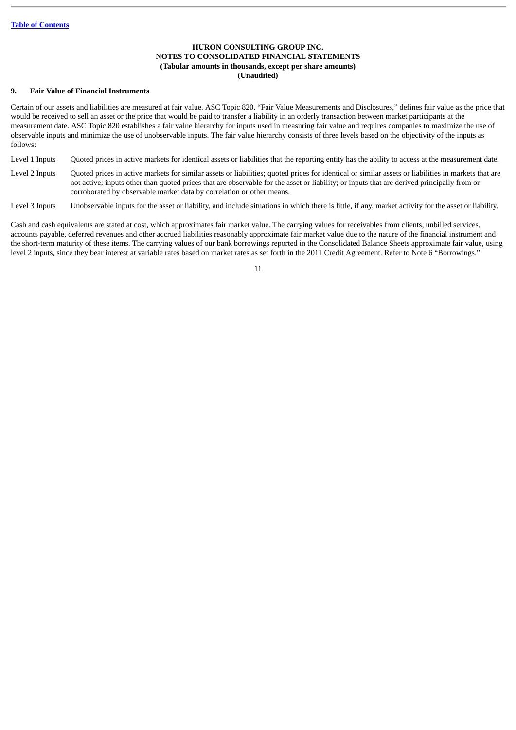#### **9. Fair Value of Financial Instruments**

Certain of our assets and liabilities are measured at fair value. ASC Topic 820, "Fair Value Measurements and Disclosures," defines fair value as the price that would be received to sell an asset or the price that would be paid to transfer a liability in an orderly transaction between market participants at the measurement date. ASC Topic 820 establishes a fair value hierarchy for inputs used in measuring fair value and requires companies to maximize the use of observable inputs and minimize the use of unobservable inputs. The fair value hierarchy consists of three levels based on the objectivity of the inputs as follows:

Level 1 Inputs Quoted prices in active markets for identical assets or liabilities that the reporting entity has the ability to access at the measurement date.

Level 2 Inputs Quoted prices in active markets for similar assets or liabilities; quoted prices for identical or similar assets or liabilities in markets that are not active; inputs other than quoted prices that are observable for the asset or liability; or inputs that are derived principally from or corroborated by observable market data by correlation or other means.

Level 3 Inputs Unobservable inputs for the asset or liability, and include situations in which there is little, if any, market activity for the asset or liability.

Cash and cash equivalents are stated at cost, which approximates fair market value. The carrying values for receivables from clients, unbilled services, accounts payable, deferred revenues and other accrued liabilities reasonably approximate fair market value due to the nature of the financial instrument and the short-term maturity of these items. The carrying values of our bank borrowings reported in the Consolidated Balance Sheets approximate fair value, using level 2 inputs, since they bear interest at variable rates based on market rates as set forth in the 2011 Credit Agreement. Refer to Note 6 "Borrowings."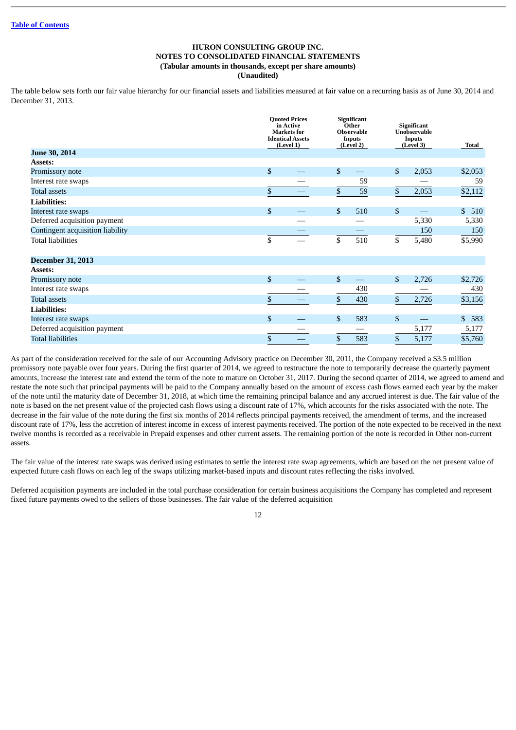The table below sets forth our fair value hierarchy for our financial assets and liabilities measured at fair value on a recurring basis as of June 30, 2014 and December 31, 2013.

|                                  | <b>Significant</b><br><b>Quoted Prices</b><br>in Active<br>Other<br><b>Markets</b> for<br><b>Observable</b><br><b>Identical Assets</b><br><b>Inputs</b><br>(Level 1)<br>(Level 2) |     | <b>Significant</b><br><b>Unobservable</b><br><b>Inputs</b><br>(Level 3) |       | <b>Total</b>        |
|----------------------------------|-----------------------------------------------------------------------------------------------------------------------------------------------------------------------------------|-----|-------------------------------------------------------------------------|-------|---------------------|
| <b>June 30, 2014</b>             |                                                                                                                                                                                   |     |                                                                         |       |                     |
| Assets:                          |                                                                                                                                                                                   |     |                                                                         |       |                     |
| Promissory note                  | \$<br>\$                                                                                                                                                                          |     | \$                                                                      | 2,053 | \$2,053             |
| Interest rate swaps              |                                                                                                                                                                                   | 59  |                                                                         |       | 59                  |
| <b>Total assets</b>              | \$<br>\$                                                                                                                                                                          | 59  | \$                                                                      | 2,053 | \$2,112             |
| <b>Liabilities:</b>              |                                                                                                                                                                                   |     |                                                                         |       |                     |
| Interest rate swaps              | \$<br>\$                                                                                                                                                                          | 510 | \$                                                                      |       | \$510               |
| Deferred acquisition payment     |                                                                                                                                                                                   |     |                                                                         | 5,330 | 5,330               |
| Contingent acquisition liability |                                                                                                                                                                                   |     |                                                                         | 150   | 150                 |
| <b>Total liabilities</b>         | \$<br>\$                                                                                                                                                                          | 510 | \$                                                                      | 5,480 | \$5,990             |
|                                  |                                                                                                                                                                                   |     |                                                                         |       |                     |
| <b>December 31, 2013</b>         |                                                                                                                                                                                   |     |                                                                         |       |                     |
| Assets:                          |                                                                                                                                                                                   |     |                                                                         |       |                     |
| Promissory note                  | \$<br>\$                                                                                                                                                                          |     | \$                                                                      | 2,726 | \$2,726             |
| Interest rate swaps              |                                                                                                                                                                                   | 430 |                                                                         |       | 430                 |
| <b>Total assets</b>              | \$<br>\$                                                                                                                                                                          | 430 | \$                                                                      | 2,726 | \$3,156             |
| <b>Liabilities:</b>              |                                                                                                                                                                                   |     |                                                                         |       |                     |
| Interest rate swaps              | \$<br>\$                                                                                                                                                                          | 583 | \$                                                                      |       | $\mathbf{s}$<br>583 |
| Deferred acquisition payment     |                                                                                                                                                                                   |     |                                                                         | 5,177 | 5,177               |
| <b>Total liabilities</b>         | \$<br>\$                                                                                                                                                                          | 583 | \$                                                                      | 5,177 | \$5,760             |

As part of the consideration received for the sale of our Accounting Advisory practice on December 30, 2011, the Company received a \$3.5 million promissory note payable over four years. During the first quarter of 2014, we agreed to restructure the note to temporarily decrease the quarterly payment amounts, increase the interest rate and extend the term of the note to mature on October 31, 2017. During the second quarter of 2014, we agreed to amend and restate the note such that principal payments will be paid to the Company annually based on the amount of excess cash flows earned each year by the maker of the note until the maturity date of December 31, 2018, at which time the remaining principal balance and any accrued interest is due. The fair value of the note is based on the net present value of the projected cash flows using a discount rate of 17%, which accounts for the risks associated with the note. The decrease in the fair value of the note during the first six months of 2014 reflects principal payments received, the amendment of terms, and the increased discount rate of 17%, less the accretion of interest income in excess of interest payments received. The portion of the note expected to be received in the next twelve months is recorded as a receivable in Prepaid expenses and other current assets. The remaining portion of the note is recorded in Other non-current assets.

The fair value of the interest rate swaps was derived using estimates to settle the interest rate swap agreements, which are based on the net present value of expected future cash flows on each leg of the swaps utilizing market-based inputs and discount rates reflecting the risks involved.

Deferred acquisition payments are included in the total purchase consideration for certain business acquisitions the Company has completed and represent fixed future payments owed to the sellers of those businesses. The fair value of the deferred acquisition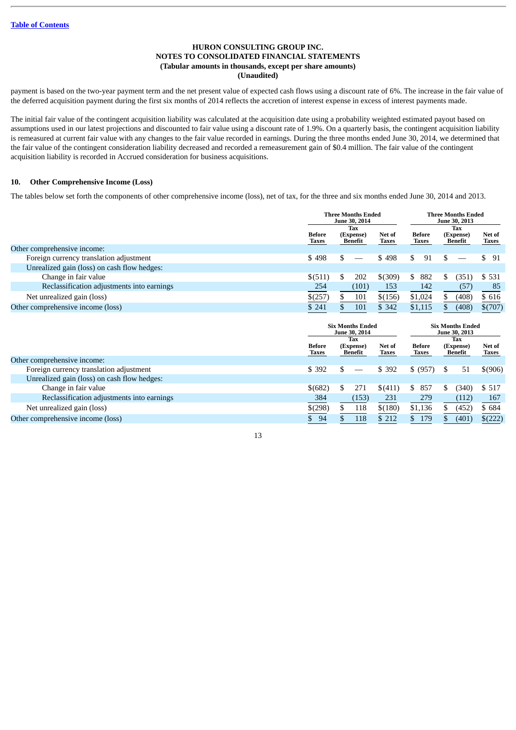payment is based on the two-year payment term and the net present value of expected cash flows using a discount rate of 6%. The increase in the fair value of the deferred acquisition payment during the first six months of 2014 reflects the accretion of interest expense in excess of interest payments made.

The initial fair value of the contingent acquisition liability was calculated at the acquisition date using a probability weighted estimated payout based on assumptions used in our latest projections and discounted to fair value using a discount rate of 1.9%. On a quarterly basis, the contingent acquisition liability is remeasured at current fair value with any changes to the fair value recorded in earnings. During the three months ended June 30, 2014, we determined that the fair value of the contingent consideration liability decreased and recorded a remeasurement gain of \$0.4 million. The fair value of the contingent acquisition liability is recorded in Accrued consideration for business acquisitions.

#### **10. Other Comprehensive Income (Loss)**

The tables below set forth the components of other comprehensive income (loss), net of tax, for the three and six months ended June 30, 2014 and 2013.

|                                             |                               | <b>Three Months Ended</b><br>June 30, 2014 |                        | Three Months Ended<br><b>June 30, 2013</b> |                             |                 |  |
|---------------------------------------------|-------------------------------|--------------------------------------------|------------------------|--------------------------------------------|-----------------------------|-----------------|--|
|                                             | <b>Before</b><br><b>Taxes</b> | <b>Tax</b><br>(Expense)<br>Benefit         | Net of<br><b>Taxes</b> | <b>Before</b><br><b>Taxes</b>              | Tax<br>(Expense)<br>Benefit | Net of<br>Taxes |  |
| Other comprehensive income:                 |                               |                                            |                        |                                            |                             |                 |  |
| Foreign currency translation adjustment     | \$498                         |                                            | \$498                  | 91<br>SS.                                  |                             | -91             |  |
| Unrealized gain (loss) on cash flow hedges: |                               |                                            |                        |                                            |                             |                 |  |
| Change in fair value                        | \$(511)                       | 202                                        | $$^{(309)}$            | 882<br>S.                                  | (351)<br>S                  | \$531           |  |
| Reclassification adjustments into earnings  | 254                           | (101)                                      | 153                    | 142                                        | (57)                        | 85              |  |
| Net unrealized gain (loss)                  | $$^{(257)}$                   | 101                                        | \$(156)                | \$1,024                                    | (408)<br>S.                 | \$616           |  |
| Other comprehensive income (loss)           | \$241                         | 101                                        | \$ 342                 | \$1,115                                    | (408)                       | \$(707)         |  |

|                                             | <b>Six Months Ended</b><br><b>June 30, 2014</b> |                             |                        |                               | <b>Six Months Ended</b><br>June 30, 2013 |                        |  |
|---------------------------------------------|-------------------------------------------------|-----------------------------|------------------------|-------------------------------|------------------------------------------|------------------------|--|
|                                             | <b>Before</b><br><b>Taxes</b>                   | Tax<br>(Expense)<br>Benefit | Net of<br><b>Taxes</b> | <b>Before</b><br><b>Taxes</b> | Tax<br>(Expense)<br>Benefit              | Net of<br><b>Taxes</b> |  |
| Other comprehensive income:                 |                                                 |                             |                        |                               |                                          |                        |  |
| Foreign currency translation adjustment     | \$ 392                                          |                             | \$ 392                 | \$ (957)                      | 51                                       | \$(906)                |  |
| Unrealized gain (loss) on cash flow hedges: |                                                 |                             |                        |                               |                                          |                        |  |
| Change in fair value                        | \$(682)                                         | \$.<br>271                  | \$(411)                | \$ 857                        | (340)                                    | \$517                  |  |
| Reclassification adjustments into earnings  | 384                                             | (153)                       | 231                    | 279                           | (112)                                    | 167                    |  |
| Net unrealized gain (loss)                  | \$(298)                                         | 118                         | \$(180)                | \$1,136                       | (452)                                    | \$684                  |  |
| Other comprehensive income (loss)           | 94                                              | 118                         | \$212                  | 179<br>\$.                    | (401)                                    | \$(222)                |  |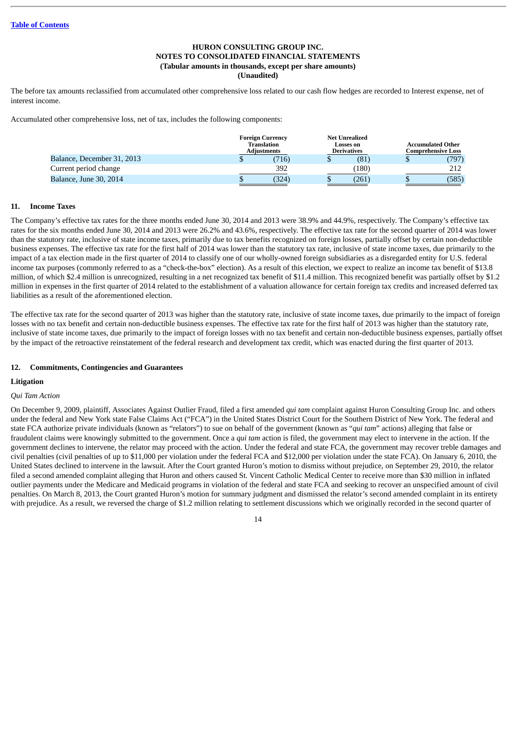The before tax amounts reclassified from accumulated other comprehensive loss related to our cash flow hedges are recorded to Interest expense, net of interest income.

Accumulated other comprehensive loss, net of tax, includes the following components:

|                               | <b>Foreign Currency</b><br>Translation<br>Adiustments |       | <b>Net Unrealized</b><br>Losses on<br><b>Derivatives</b> |       | <b>Accumulated Other</b><br>Comprehensive Loss |
|-------------------------------|-------------------------------------------------------|-------|----------------------------------------------------------|-------|------------------------------------------------|
| Balance, December 31, 2013    |                                                       | (716) | Φ                                                        | (81)  | (797)                                          |
| Current period change         |                                                       | 392   |                                                          | (180) | 212                                            |
| <b>Balance, June 30, 2014</b> |                                                       | (324) |                                                          | (261) | (585)                                          |

#### **11. Income Taxes**

The Company's effective tax rates for the three months ended June 30, 2014 and 2013 were 38.9% and 44.9%, respectively. The Company's effective tax rates for the six months ended June 30, 2014 and 2013 were 26.2% and 43.6%, respectively. The effective tax rate for the second quarter of 2014 was lower than the statutory rate, inclusive of state income taxes, primarily due to tax benefits recognized on foreign losses, partially offset by certain non-deductible business expenses. The effective tax rate for the first half of 2014 was lower than the statutory tax rate, inclusive of state income taxes, due primarily to the impact of a tax election made in the first quarter of 2014 to classify one of our wholly-owned foreign subsidiaries as a disregarded entity for U.S. federal income tax purposes (commonly referred to as a "check-the-box" election). As a result of this election, we expect to realize an income tax benefit of \$13.8 million, of which \$2.4 million is unrecognized, resulting in a net recognized tax benefit of \$11.4 million. This recognized benefit was partially offset by \$1.2 million in expenses in the first quarter of 2014 related to the establishment of a valuation allowance for certain foreign tax credits and increased deferred tax liabilities as a result of the aforementioned election.

The effective tax rate for the second quarter of 2013 was higher than the statutory rate, inclusive of state income taxes, due primarily to the impact of foreign losses with no tax benefit and certain non-deductible business expenses. The effective tax rate for the first half of 2013 was higher than the statutory rate, inclusive of state income taxes, due primarily to the impact of foreign losses with no tax benefit and certain non-deductible business expenses, partially offset by the impact of the retroactive reinstatement of the federal research and development tax credit, which was enacted during the first quarter of 2013.

#### **12. Commitments, Contingencies and Guarantees**

#### **Litigation**

#### *Qui Tam Action*

On December 9, 2009, plaintiff, Associates Against Outlier Fraud, filed a first amended *qui tam* complaint against Huron Consulting Group Inc. and others under the federal and New York state False Claims Act ("FCA") in the United States District Court for the Southern District of New York. The federal and state FCA authorize private individuals (known as "relators") to sue on behalf of the government (known as "*qui tam*" actions) alleging that false or fraudulent claims were knowingly submitted to the government. Once a *qui tam* action is filed, the government may elect to intervene in the action. If the government declines to intervene, the relator may proceed with the action. Under the federal and state FCA, the government may recover treble damages and civil penalties (civil penalties of up to \$11,000 per violation under the federal FCA and \$12,000 per violation under the state FCA). On January 6, 2010, the United States declined to intervene in the lawsuit. After the Court granted Huron's motion to dismiss without prejudice, on September 29, 2010, the relator filed a second amended complaint alleging that Huron and others caused St. Vincent Catholic Medical Center to receive more than \$30 million in inflated outlier payments under the Medicare and Medicaid programs in violation of the federal and state FCA and seeking to recover an unspecified amount of civil penalties. On March 8, 2013, the Court granted Huron's motion for summary judgment and dismissed the relator's second amended complaint in its entirety with prejudice. As a result, we reversed the charge of \$1.2 million relating to settlement discussions which we originally recorded in the second quarter of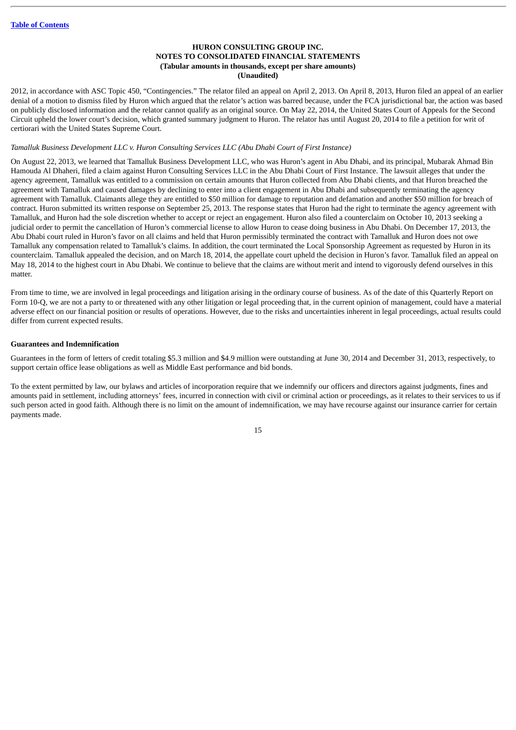2012, in accordance with ASC Topic 450, "Contingencies." The relator filed an appeal on April 2, 2013. On April 8, 2013, Huron filed an appeal of an earlier denial of a motion to dismiss filed by Huron which argued that the relator's action was barred because, under the FCA jurisdictional bar, the action was based on publicly disclosed information and the relator cannot qualify as an original source. On May 22, 2014, the United States Court of Appeals for the Second Circuit upheld the lower court's decision, which granted summary judgment to Huron. The relator has until August 20, 2014 to file a petition for writ of certiorari with the United States Supreme Court.

#### *Tamalluk Business Development LLC v. Huron Consulting Services LLC (Abu Dhabi Court of First Instance)*

On August 22, 2013, we learned that Tamalluk Business Development LLC, who was Huron's agent in Abu Dhabi, and its principal, Mubarak Ahmad Bin Hamouda Al Dhaheri, filed a claim against Huron Consulting Services LLC in the Abu Dhabi Court of First Instance. The lawsuit alleges that under the agency agreement, Tamalluk was entitled to a commission on certain amounts that Huron collected from Abu Dhabi clients, and that Huron breached the agreement with Tamalluk and caused damages by declining to enter into a client engagement in Abu Dhabi and subsequently terminating the agency agreement with Tamalluk. Claimants allege they are entitled to \$50 million for damage to reputation and defamation and another \$50 million for breach of contract. Huron submitted its written response on September 25, 2013. The response states that Huron had the right to terminate the agency agreement with Tamalluk, and Huron had the sole discretion whether to accept or reject an engagement. Huron also filed a counterclaim on October 10, 2013 seeking a judicial order to permit the cancellation of Huron's commercial license to allow Huron to cease doing business in Abu Dhabi. On December 17, 2013, the Abu Dhabi court ruled in Huron's favor on all claims and held that Huron permissibly terminated the contract with Tamalluk and Huron does not owe Tamalluk any compensation related to Tamalluk's claims. In addition, the court terminated the Local Sponsorship Agreement as requested by Huron in its counterclaim. Tamalluk appealed the decision, and on March 18, 2014, the appellate court upheld the decision in Huron's favor. Tamalluk filed an appeal on May 18, 2014 to the highest court in Abu Dhabi. We continue to believe that the claims are without merit and intend to vigorously defend ourselves in this matter.

From time to time, we are involved in legal proceedings and litigation arising in the ordinary course of business. As of the date of this Quarterly Report on Form 10-Q, we are not a party to or threatened with any other litigation or legal proceeding that, in the current opinion of management, could have a material adverse effect on our financial position or results of operations. However, due to the risks and uncertainties inherent in legal proceedings, actual results could differ from current expected results.

#### **Guarantees and Indemnification**

Guarantees in the form of letters of credit totaling \$5.3 million and \$4.9 million were outstanding at June 30, 2014 and December 31, 2013, respectively, to support certain office lease obligations as well as Middle East performance and bid bonds.

To the extent permitted by law, our bylaws and articles of incorporation require that we indemnify our officers and directors against judgments, fines and amounts paid in settlement, including attorneys' fees, incurred in connection with civil or criminal action or proceedings, as it relates to their services to us if such person acted in good faith. Although there is no limit on the amount of indemnification, we may have recourse against our insurance carrier for certain payments made.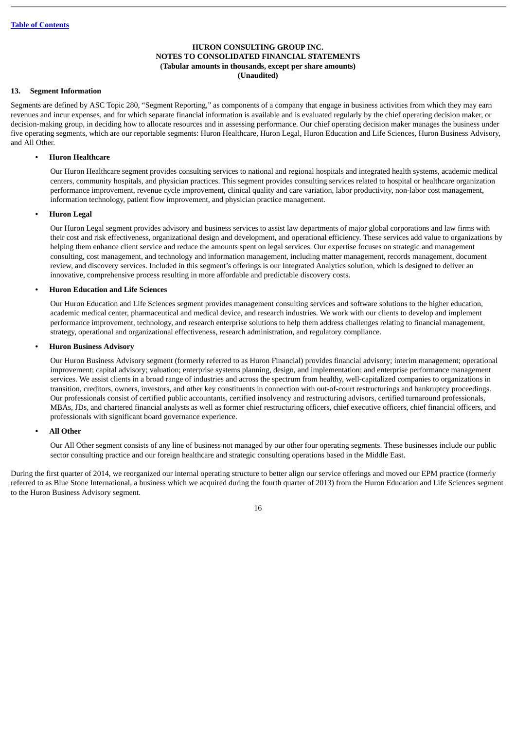#### **13. Segment Information**

Segments are defined by ASC Topic 280, "Segment Reporting," as components of a company that engage in business activities from which they may earn revenues and incur expenses, and for which separate financial information is available and is evaluated regularly by the chief operating decision maker, or decision-making group, in deciding how to allocate resources and in assessing performance. Our chief operating decision maker manages the business under five operating segments, which are our reportable segments: Huron Healthcare, Huron Legal, Huron Education and Life Sciences, Huron Business Advisory, and All Other.

#### **• Huron Healthcare**

Our Huron Healthcare segment provides consulting services to national and regional hospitals and integrated health systems, academic medical centers, community hospitals, and physician practices. This segment provides consulting services related to hospital or healthcare organization performance improvement, revenue cycle improvement, clinical quality and care variation, labor productivity, non-labor cost management, information technology, patient flow improvement, and physician practice management.

#### **• Huron Legal**

Our Huron Legal segment provides advisory and business services to assist law departments of major global corporations and law firms with their cost and risk effectiveness, organizational design and development, and operational efficiency. These services add value to organizations by helping them enhance client service and reduce the amounts spent on legal services. Our expertise focuses on strategic and management consulting, cost management, and technology and information management, including matter management, records management, document review, and discovery services. Included in this segment's offerings is our Integrated Analytics solution, which is designed to deliver an innovative, comprehensive process resulting in more affordable and predictable discovery costs.

#### **• Huron Education and Life Sciences**

Our Huron Education and Life Sciences segment provides management consulting services and software solutions to the higher education, academic medical center, pharmaceutical and medical device, and research industries. We work with our clients to develop and implement performance improvement, technology, and research enterprise solutions to help them address challenges relating to financial management, strategy, operational and organizational effectiveness, research administration, and regulatory compliance.

#### **• Huron Business Advisory**

Our Huron Business Advisory segment (formerly referred to as Huron Financial) provides financial advisory; interim management; operational improvement; capital advisory; valuation; enterprise systems planning, design, and implementation; and enterprise performance management services. We assist clients in a broad range of industries and across the spectrum from healthy, well-capitalized companies to organizations in transition, creditors, owners, investors, and other key constituents in connection with out-of-court restructurings and bankruptcy proceedings. Our professionals consist of certified public accountants, certified insolvency and restructuring advisors, certified turnaround professionals, MBAs, JDs, and chartered financial analysts as well as former chief restructuring officers, chief executive officers, chief financial officers, and professionals with significant board governance experience.

## **• All Other**

Our All Other segment consists of any line of business not managed by our other four operating segments. These businesses include our public sector consulting practice and our foreign healthcare and strategic consulting operations based in the Middle East.

During the first quarter of 2014, we reorganized our internal operating structure to better align our service offerings and moved our EPM practice (formerly referred to as Blue Stone International, a business which we acquired during the fourth quarter of 2013) from the Huron Education and Life Sciences segment to the Huron Business Advisory segment.

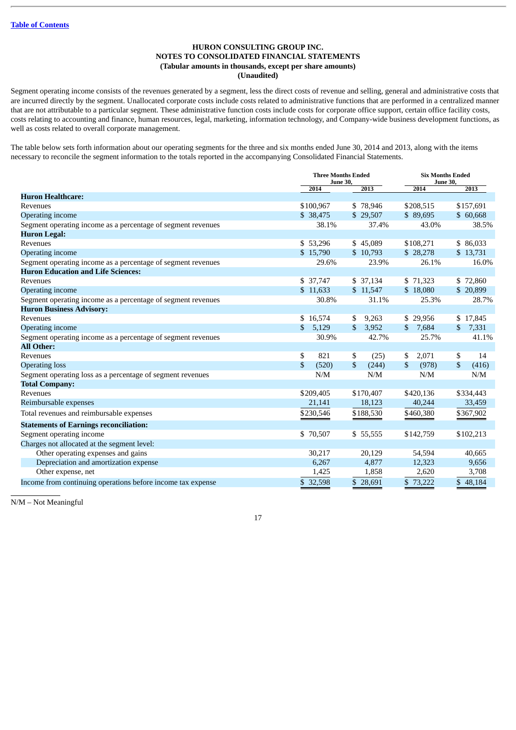Segment operating income consists of the revenues generated by a segment, less the direct costs of revenue and selling, general and administrative costs that are incurred directly by the segment. Unallocated corporate costs include costs related to administrative functions that are performed in a centralized manner that are not attributable to a particular segment. These administrative function costs include costs for corporate office support, certain office facility costs, costs relating to accounting and finance, human resources, legal, marketing, information technology, and Company-wide business development functions, as well as costs related to overall corporate management.

The table below sets forth information about our operating segments for the three and six months ended June 30, 2014 and 2013, along with the items necessary to reconcile the segment information to the totals reported in the accompanying Consolidated Financial Statements.

|                                                              | <b>Three Months Ended</b><br><b>June 30,</b> |             | <b>Six Months Ended</b><br><b>June 30,</b> |             |  |
|--------------------------------------------------------------|----------------------------------------------|-------------|--------------------------------------------|-------------|--|
|                                                              | 2014                                         | 2013        | 2014                                       | 2013        |  |
| <b>Huron Healthcare:</b>                                     |                                              |             |                                            |             |  |
| Revenues                                                     | \$100,967                                    | \$78,946    | \$208,515                                  | \$157,691   |  |
| Operating income                                             | \$ 38,475                                    | \$29,507    | \$89,695                                   | \$60,668    |  |
| Segment operating income as a percentage of segment revenues | 38.1%                                        | 37.4%       | 43.0%                                      | 38.5%       |  |
| <b>Huron Legal:</b>                                          |                                              |             |                                            |             |  |
| Revenues                                                     | \$53,296                                     | \$45,089    | \$108,271                                  | \$86,033    |  |
| Operating income                                             | \$15,790                                     | \$10,793    | \$28,278                                   | \$13,731    |  |
| Segment operating income as a percentage of segment revenues | 29.6%                                        | 23.9%       | 26.1%                                      | 16.0%       |  |
| <b>Huron Education and Life Sciences:</b>                    |                                              |             |                                            |             |  |
| Revenues                                                     | \$37,747                                     | \$ 37,134   | \$71,323                                   | \$72,860    |  |
| Operating income                                             | \$11,633                                     | \$11,547    | \$18,080                                   | \$20,899    |  |
| Segment operating income as a percentage of segment revenues | 30.8%                                        | 31.1%       | 25.3%                                      | 28.7%       |  |
| <b>Huron Business Advisory:</b>                              |                                              |             |                                            |             |  |
| Revenues                                                     | \$16,574                                     | \$<br>9,263 | \$29,956                                   | \$17,845    |  |
| Operating income                                             | 5,129<br>\$                                  | 3,952<br>\$ | 7,684<br>\$                                | \$<br>7,331 |  |
| Segment operating income as a percentage of segment revenues | 30.9%                                        | 42.7%       | 25.7%                                      | 41.1%       |  |
| <b>All Other:</b>                                            |                                              |             |                                            |             |  |
| Revenues                                                     | \$<br>821                                    | \$<br>(25)  | 2,071<br>\$                                | \$<br>14    |  |
| <b>Operating loss</b>                                        | \$<br>(520)                                  | \$<br>(244) | \$<br>(978)                                | \$<br>(416) |  |
| Segment operating loss as a percentage of segment revenues   | N/M                                          | N/M         | N/M                                        | N/M         |  |
| <b>Total Company:</b>                                        |                                              |             |                                            |             |  |
| Revenues                                                     | \$209,405                                    | \$170,407   | \$420,136                                  | \$334,443   |  |
| Reimbursable expenses                                        | 21,141                                       | 18,123      | 40,244                                     | 33,459      |  |
| Total revenues and reimbursable expenses                     | \$230,546                                    | \$188,530   | \$460,380                                  | \$367,902   |  |
| <b>Statements of Earnings reconciliation:</b>                |                                              |             |                                            |             |  |
| Segment operating income                                     | \$70,507                                     | \$55,555    | \$142,759                                  | \$102,213   |  |
| Charges not allocated at the segment level:                  |                                              |             |                                            |             |  |
| Other operating expenses and gains                           | 30,217                                       | 20,129      | 54,594                                     | 40,665      |  |
| Depreciation and amortization expense                        | 6,267                                        | 4,877       | 12,323                                     | 9,656       |  |
| Other expense, net                                           | 1,425                                        | 1,858       | 2,620                                      | 3,708       |  |
| Income from continuing operations before income tax expense  | \$ 32,598                                    | \$ 28,691   | \$73,222                                   | \$48,184    |  |

N/M – Not Meaningful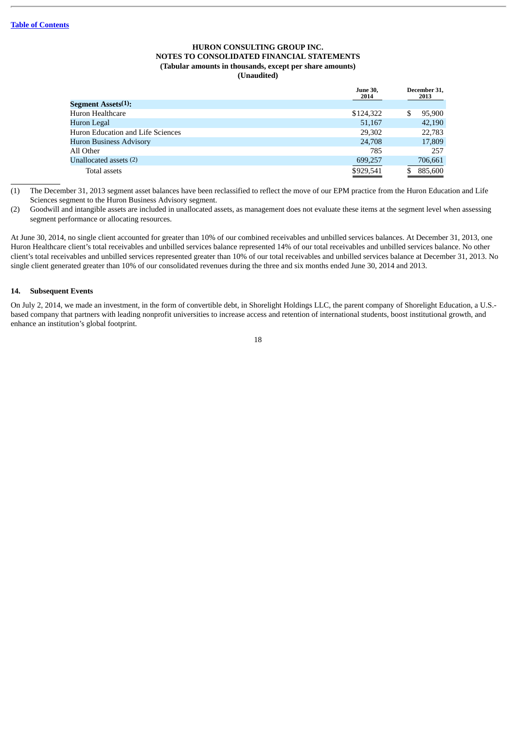|                                   | <b>June 30.</b><br>2014 | December 31,<br>2013 |
|-----------------------------------|-------------------------|----------------------|
| Segment Assets(1):                |                         |                      |
| Huron Healthcare                  | \$124,322               | 95,900               |
| Huron Legal                       | 51,167                  | 42,190               |
| Huron Education and Life Sciences | 29,302                  | 22,783               |
| <b>Huron Business Advisory</b>    | 24,708                  | 17,809               |
| All Other                         | 785                     | 257                  |
| Unallocated assets (2)            | 699,257                 | 706,661              |
| Total assets                      | \$929,541               | 885,600              |

(1) The December 31, 2013 segment asset balances have been reclassified to reflect the move of our EPM practice from the Huron Education and Life Sciences segment to the Huron Business Advisory segment.

(2) Goodwill and intangible assets are included in unallocated assets, as management does not evaluate these items at the segment level when assessing segment performance or allocating resources.

At June 30, 2014, no single client accounted for greater than 10% of our combined receivables and unbilled services balances. At December 31, 2013, one Huron Healthcare client's total receivables and unbilled services balance represented 14% of our total receivables and unbilled services balance. No other client's total receivables and unbilled services represented greater than 10% of our total receivables and unbilled services balance at December 31, 2013. No single client generated greater than 10% of our consolidated revenues during the three and six months ended June 30, 2014 and 2013.

#### **14. Subsequent Events**

On July 2, 2014, we made an investment, in the form of convertible debt, in Shorelight Holdings LLC, the parent company of Shorelight Education, a U.S. based company that partners with leading nonprofit universities to increase access and retention of international students, boost institutional growth, and enhance an institution's global footprint.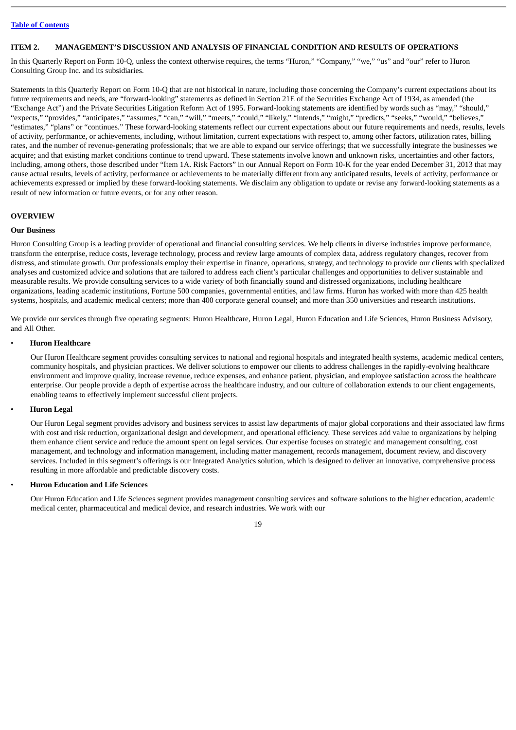#### <span id="page-20-0"></span>**ITEM 2. MANAGEMENT'S DISCUSSION AND ANALYSIS OF FINANCIAL CONDITION AND RESULTS OF OPERATIONS**

In this Quarterly Report on Form 10-Q, unless the context otherwise requires, the terms "Huron," "Company," "we," "us" and "our" refer to Huron Consulting Group Inc. and its subsidiaries.

Statements in this Quarterly Report on Form 10-Q that are not historical in nature, including those concerning the Company's current expectations about its future requirements and needs, are "forward-looking" statements as defined in Section 21E of the Securities Exchange Act of 1934, as amended (the "Exchange Act") and the Private Securities Litigation Reform Act of 1995. Forward-looking statements are identified by words such as "may," "should," "expects," "provides," "anticipates," "assumes," "can," "will," "meets," "could," "likely," "intends," "might," "predicts," "seeks," "would," "believes," "estimates," "plans" or "continues." These forward-looking statements reflect our current expectations about our future requirements and needs, results, levels of activity, performance, or achievements, including, without limitation, current expectations with respect to, among other factors, utilization rates, billing rates, and the number of revenue-generating professionals; that we are able to expand our service offerings; that we successfully integrate the businesses we acquire; and that existing market conditions continue to trend upward. These statements involve known and unknown risks, uncertainties and other factors, including, among others, those described under "Item 1A. Risk Factors" in our Annual Report on Form 10-K for the year ended December 31, 2013 that may cause actual results, levels of activity, performance or achievements to be materially different from any anticipated results, levels of activity, performance or achievements expressed or implied by these forward-looking statements. We disclaim any obligation to update or revise any forward-looking statements as a result of new information or future events, or for any other reason.

#### **OVERVIEW**

#### **Our Business**

Huron Consulting Group is a leading provider of operational and financial consulting services. We help clients in diverse industries improve performance, transform the enterprise, reduce costs, leverage technology, process and review large amounts of complex data, address regulatory changes, recover from distress, and stimulate growth. Our professionals employ their expertise in finance, operations, strategy, and technology to provide our clients with specialized analyses and customized advice and solutions that are tailored to address each client's particular challenges and opportunities to deliver sustainable and measurable results. We provide consulting services to a wide variety of both financially sound and distressed organizations, including healthcare organizations, leading academic institutions, Fortune 500 companies, governmental entities, and law firms. Huron has worked with more than 425 health systems, hospitals, and academic medical centers; more than 400 corporate general counsel; and more than 350 universities and research institutions.

We provide our services through five operating segments: Huron Healthcare, Huron Legal, Huron Education and Life Sciences, Huron Business Advisory, and All Other.

#### • **Huron Healthcare**

Our Huron Healthcare segment provides consulting services to national and regional hospitals and integrated health systems, academic medical centers, community hospitals, and physician practices. We deliver solutions to empower our clients to address challenges in the rapidly-evolving healthcare environment and improve quality, increase revenue, reduce expenses, and enhance patient, physician, and employee satisfaction across the healthcare enterprise. Our people provide a depth of expertise across the healthcare industry, and our culture of collaboration extends to our client engagements, enabling teams to effectively implement successful client projects.

#### • **Huron Legal**

Our Huron Legal segment provides advisory and business services to assist law departments of major global corporations and their associated law firms with cost and risk reduction, organizational design and development, and operational efficiency. These services add value to organizations by helping them enhance client service and reduce the amount spent on legal services. Our expertise focuses on strategic and management consulting, cost management, and technology and information management, including matter management, records management, document review, and discovery services. Included in this segment's offerings is our Integrated Analytics solution, which is designed to deliver an innovative, comprehensive process resulting in more affordable and predictable discovery costs.

#### • **Huron Education and Life Sciences**

Our Huron Education and Life Sciences segment provides management consulting services and software solutions to the higher education, academic medical center, pharmaceutical and medical device, and research industries. We work with our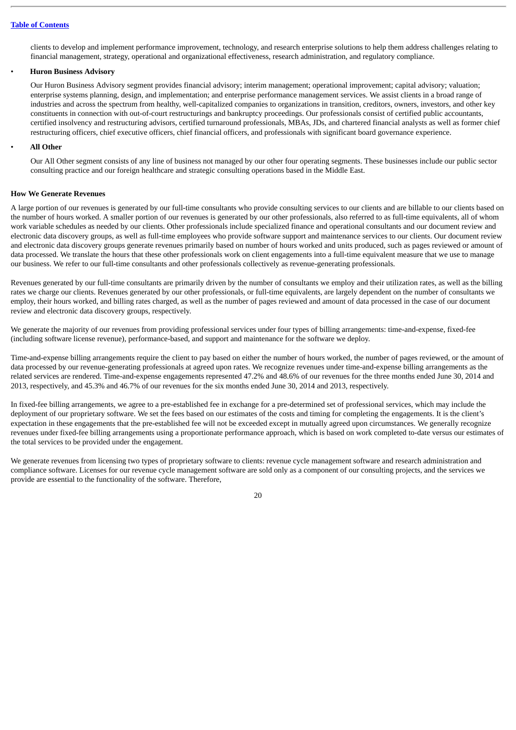clients to develop and implement performance improvement, technology, and research enterprise solutions to help them address challenges relating to financial management, strategy, operational and organizational effectiveness, research administration, and regulatory compliance.

#### • **Huron Business Advisory**

Our Huron Business Advisory segment provides financial advisory; interim management; operational improvement; capital advisory; valuation; enterprise systems planning, design, and implementation; and enterprise performance management services. We assist clients in a broad range of industries and across the spectrum from healthy, well-capitalized companies to organizations in transition, creditors, owners, investors, and other key constituents in connection with out-of-court restructurings and bankruptcy proceedings. Our professionals consist of certified public accountants, certified insolvency and restructuring advisors, certified turnaround professionals, MBAs, JDs, and chartered financial analysts as well as former chief restructuring officers, chief executive officers, chief financial officers, and professionals with significant board governance experience.

#### • **All Other**

Our All Other segment consists of any line of business not managed by our other four operating segments. These businesses include our public sector consulting practice and our foreign healthcare and strategic consulting operations based in the Middle East.

#### **How We Generate Revenues**

A large portion of our revenues is generated by our full-time consultants who provide consulting services to our clients and are billable to our clients based on the number of hours worked. A smaller portion of our revenues is generated by our other professionals, also referred to as full-time equivalents, all of whom work variable schedules as needed by our clients. Other professionals include specialized finance and operational consultants and our document review and electronic data discovery groups, as well as full-time employees who provide software support and maintenance services to our clients. Our document review and electronic data discovery groups generate revenues primarily based on number of hours worked and units produced, such as pages reviewed or amount of data processed. We translate the hours that these other professionals work on client engagements into a full-time equivalent measure that we use to manage our business. We refer to our full-time consultants and other professionals collectively as revenue-generating professionals.

Revenues generated by our full-time consultants are primarily driven by the number of consultants we employ and their utilization rates, as well as the billing rates we charge our clients. Revenues generated by our other professionals, or full-time equivalents, are largely dependent on the number of consultants we employ, their hours worked, and billing rates charged, as well as the number of pages reviewed and amount of data processed in the case of our document review and electronic data discovery groups, respectively.

We generate the majority of our revenues from providing professional services under four types of billing arrangements: time-and-expense, fixed-fee (including software license revenue), performance-based, and support and maintenance for the software we deploy.

Time-and-expense billing arrangements require the client to pay based on either the number of hours worked, the number of pages reviewed, or the amount of data processed by our revenue-generating professionals at agreed upon rates. We recognize revenues under time-and-expense billing arrangements as the related services are rendered. Time-and-expense engagements represented 47.2% and 48.6% of our revenues for the three months ended June 30, 2014 and 2013, respectively, and 45.3% and 46.7% of our revenues for the six months ended June 30, 2014 and 2013, respectively.

In fixed-fee billing arrangements, we agree to a pre-established fee in exchange for a pre-determined set of professional services, which may include the deployment of our proprietary software. We set the fees based on our estimates of the costs and timing for completing the engagements. It is the client's expectation in these engagements that the pre-established fee will not be exceeded except in mutually agreed upon circumstances. We generally recognize revenues under fixed-fee billing arrangements using a proportionate performance approach, which is based on work completed to-date versus our estimates of the total services to be provided under the engagement.

We generate revenues from licensing two types of proprietary software to clients: revenue cycle management software and research administration and compliance software. Licenses for our revenue cycle management software are sold only as a component of our consulting projects, and the services we provide are essential to the functionality of the software. Therefore,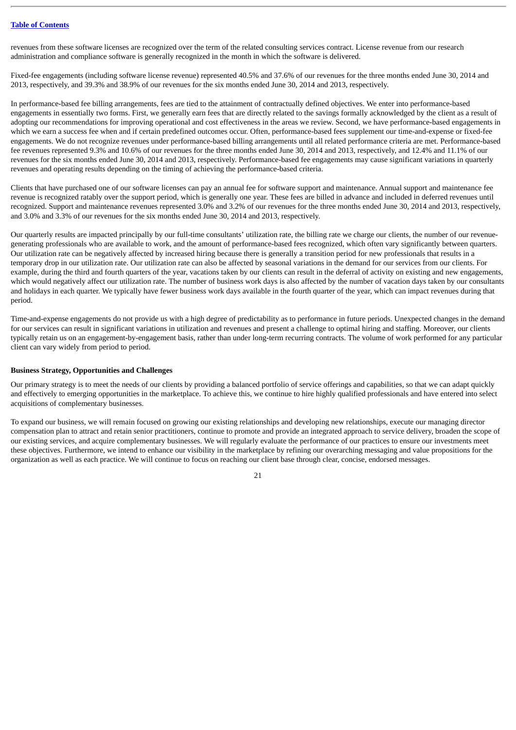revenues from these software licenses are recognized over the term of the related consulting services contract. License revenue from our research administration and compliance software is generally recognized in the month in which the software is delivered.

Fixed-fee engagements (including software license revenue) represented 40.5% and 37.6% of our revenues for the three months ended June 30, 2014 and 2013, respectively, and 39.3% and 38.9% of our revenues for the six months ended June 30, 2014 and 2013, respectively.

In performance-based fee billing arrangements, fees are tied to the attainment of contractually defined objectives. We enter into performance-based engagements in essentially two forms. First, we generally earn fees that are directly related to the savings formally acknowledged by the client as a result of adopting our recommendations for improving operational and cost effectiveness in the areas we review. Second, we have performance-based engagements in which we earn a success fee when and if certain predefined outcomes occur. Often, performance-based fees supplement our time-and-expense or fixed-fee engagements. We do not recognize revenues under performance-based billing arrangements until all related performance criteria are met. Performance-based fee revenues represented 9.3% and 10.6% of our revenues for the three months ended June 30, 2014 and 2013, respectively, and 12.4% and 11.1% of our revenues for the six months ended June 30, 2014 and 2013, respectively. Performance-based fee engagements may cause significant variations in quarterly revenues and operating results depending on the timing of achieving the performance-based criteria.

Clients that have purchased one of our software licenses can pay an annual fee for software support and maintenance. Annual support and maintenance fee revenue is recognized ratably over the support period, which is generally one year. These fees are billed in advance and included in deferred revenues until recognized. Support and maintenance revenues represented 3.0% and 3.2% of our revenues for the three months ended June 30, 2014 and 2013, respectively, and 3.0% and 3.3% of our revenues for the six months ended June 30, 2014 and 2013, respectively.

Our quarterly results are impacted principally by our full-time consultants' utilization rate, the billing rate we charge our clients, the number of our revenuegenerating professionals who are available to work, and the amount of performance-based fees recognized, which often vary significantly between quarters. Our utilization rate can be negatively affected by increased hiring because there is generally a transition period for new professionals that results in a temporary drop in our utilization rate. Our utilization rate can also be affected by seasonal variations in the demand for our services from our clients. For example, during the third and fourth quarters of the year, vacations taken by our clients can result in the deferral of activity on existing and new engagements, which would negatively affect our utilization rate. The number of business work days is also affected by the number of vacation days taken by our consultants and holidays in each quarter. We typically have fewer business work days available in the fourth quarter of the year, which can impact revenues during that period.

Time-and-expense engagements do not provide us with a high degree of predictability as to performance in future periods. Unexpected changes in the demand for our services can result in significant variations in utilization and revenues and present a challenge to optimal hiring and staffing. Moreover, our clients typically retain us on an engagement-by-engagement basis, rather than under long-term recurring contracts. The volume of work performed for any particular client can vary widely from period to period.

## **Business Strategy, Opportunities and Challenges**

Our primary strategy is to meet the needs of our clients by providing a balanced portfolio of service offerings and capabilities, so that we can adapt quickly and effectively to emerging opportunities in the marketplace. To achieve this, we continue to hire highly qualified professionals and have entered into select acquisitions of complementary businesses.

To expand our business, we will remain focused on growing our existing relationships and developing new relationships, execute our managing director compensation plan to attract and retain senior practitioners, continue to promote and provide an integrated approach to service delivery, broaden the scope of our existing services, and acquire complementary businesses. We will regularly evaluate the performance of our practices to ensure our investments meet these objectives. Furthermore, we intend to enhance our visibility in the marketplace by refining our overarching messaging and value propositions for the organization as well as each practice. We will continue to focus on reaching our client base through clear, concise, endorsed messages.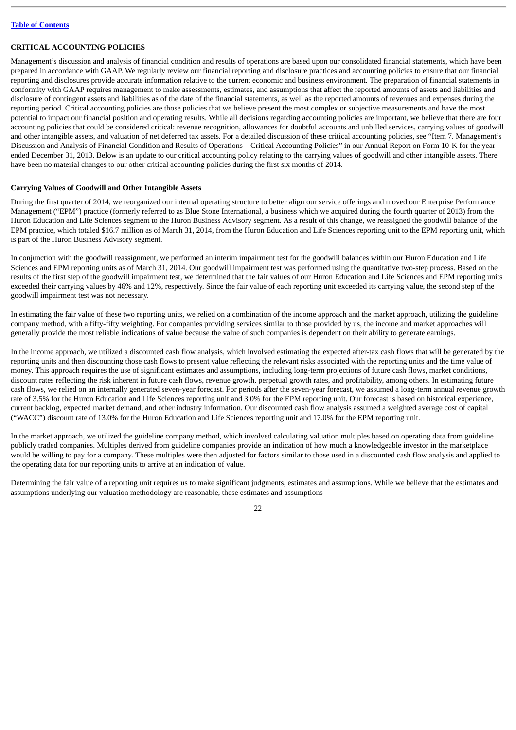#### **CRITICAL ACCOUNTING POLICIES**

Management's discussion and analysis of financial condition and results of operations are based upon our consolidated financial statements, which have been prepared in accordance with GAAP. We regularly review our financial reporting and disclosure practices and accounting policies to ensure that our financial reporting and disclosures provide accurate information relative to the current economic and business environment. The preparation of financial statements in conformity with GAAP requires management to make assessments, estimates, and assumptions that affect the reported amounts of assets and liabilities and disclosure of contingent assets and liabilities as of the date of the financial statements, as well as the reported amounts of revenues and expenses during the reporting period. Critical accounting policies are those policies that we believe present the most complex or subjective measurements and have the most potential to impact our financial position and operating results. While all decisions regarding accounting policies are important, we believe that there are four accounting policies that could be considered critical: revenue recognition, allowances for doubtful accounts and unbilled services, carrying values of goodwill and other intangible assets, and valuation of net deferred tax assets. For a detailed discussion of these critical accounting policies, see "Item 7. Management's Discussion and Analysis of Financial Condition and Results of Operations – Critical Accounting Policies" in our Annual Report on Form 10-K for the year ended December 31, 2013. Below is an update to our critical accounting policy relating to the carrying values of goodwill and other intangible assets. There have been no material changes to our other critical accounting policies during the first six months of 2014.

#### **Carrying Values of Goodwill and Other Intangible Assets**

During the first quarter of 2014, we reorganized our internal operating structure to better align our service offerings and moved our Enterprise Performance Management ("EPM") practice (formerly referred to as Blue Stone International, a business which we acquired during the fourth quarter of 2013) from the Huron Education and Life Sciences segment to the Huron Business Advisory segment. As a result of this change, we reassigned the goodwill balance of the EPM practice, which totaled \$16.7 million as of March 31, 2014, from the Huron Education and Life Sciences reporting unit to the EPM reporting unit, which is part of the Huron Business Advisory segment.

In conjunction with the goodwill reassignment, we performed an interim impairment test for the goodwill balances within our Huron Education and Life Sciences and EPM reporting units as of March 31, 2014. Our goodwill impairment test was performed using the quantitative two-step process. Based on the results of the first step of the goodwill impairment test, we determined that the fair values of our Huron Education and Life Sciences and EPM reporting units exceeded their carrying values by 46% and 12%, respectively. Since the fair value of each reporting unit exceeded its carrying value, the second step of the goodwill impairment test was not necessary.

In estimating the fair value of these two reporting units, we relied on a combination of the income approach and the market approach, utilizing the guideline company method, with a fifty-fifty weighting. For companies providing services similar to those provided by us, the income and market approaches will generally provide the most reliable indications of value because the value of such companies is dependent on their ability to generate earnings.

In the income approach, we utilized a discounted cash flow analysis, which involved estimating the expected after-tax cash flows that will be generated by the reporting units and then discounting those cash flows to present value reflecting the relevant risks associated with the reporting units and the time value of money. This approach requires the use of significant estimates and assumptions, including long-term projections of future cash flows, market conditions, discount rates reflecting the risk inherent in future cash flows, revenue growth, perpetual growth rates, and profitability, among others. In estimating future cash flows, we relied on an internally generated seven-year forecast. For periods after the seven-year forecast, we assumed a long-term annual revenue growth rate of 3.5% for the Huron Education and Life Sciences reporting unit and 3.0% for the EPM reporting unit. Our forecast is based on historical experience, current backlog, expected market demand, and other industry information. Our discounted cash flow analysis assumed a weighted average cost of capital ("WACC") discount rate of 13.0% for the Huron Education and Life Sciences reporting unit and 17.0% for the EPM reporting unit.

In the market approach, we utilized the guideline company method, which involved calculating valuation multiples based on operating data from guideline publicly traded companies. Multiples derived from guideline companies provide an indication of how much a knowledgeable investor in the marketplace would be willing to pay for a company. These multiples were then adjusted for factors similar to those used in a discounted cash flow analysis and applied to the operating data for our reporting units to arrive at an indication of value.

Determining the fair value of a reporting unit requires us to make significant judgments, estimates and assumptions. While we believe that the estimates and assumptions underlying our valuation methodology are reasonable, these estimates and assumptions

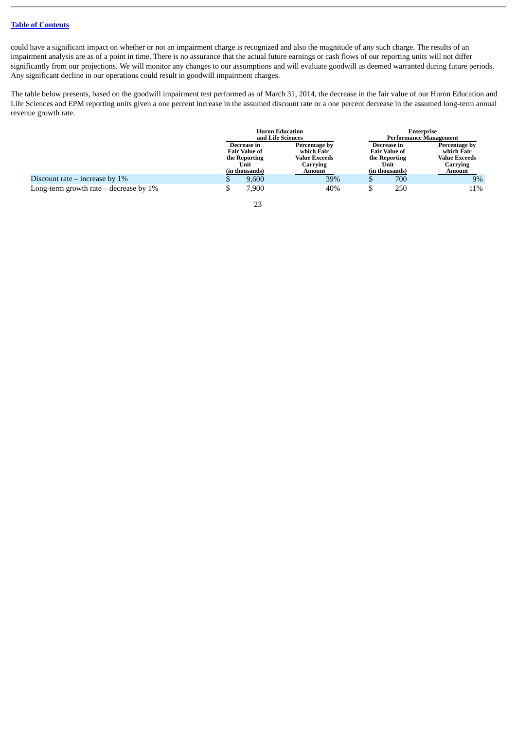could have a significant impact on whether or not an impairment charge is recognized and also the magnitude of any such charge. The results of an impairment analysis are as of a point in time. There is no assurance that the actual future earnings or cash flows of our reporting units will not differ significantly from our projections. We will monitor any changes to our assumptions and will evaluate goodwill as deemed warranted during future periods. Any significant decline in our operations could result in goodwill impairment charges.

The table below presents, based on the goodwill impairment test performed as of March 31, 2014, the decrease in the fair value of our Huron Education and Life Sciences and EPM reporting units given a one percent increase in the assumed discount rate or a one percent decrease in the assumed long-term annual revenue growth rate.

|                                             | <b>Huron Education</b><br>and Life Sciences                                    |                                                                           |                                                                                |     | Enterprise<br><b>Performance Management</b>                               |
|---------------------------------------------|--------------------------------------------------------------------------------|---------------------------------------------------------------------------|--------------------------------------------------------------------------------|-----|---------------------------------------------------------------------------|
|                                             | Decrease in<br><b>Fair Value of</b><br>the Reporting<br>Unit<br>(in thousands) | Percentage by<br>which Fair<br><b>Value Exceeds</b><br>Carrying<br>Amount | Decrease in<br><b>Fair Value of</b><br>the Reporting<br>Unit<br>(in thousands) |     | Percentage by<br>which Fair<br><b>Value Exceeds</b><br>Carrving<br>Amount |
| Discount rate $-$ increase by 1%            | 9.600                                                                          | 39%                                                                       |                                                                                | 700 | $9\%$                                                                     |
| Long-term growth rate $-$ decrease by $1\%$ | 7,900                                                                          | 40%                                                                       |                                                                                | 250 | 11%                                                                       |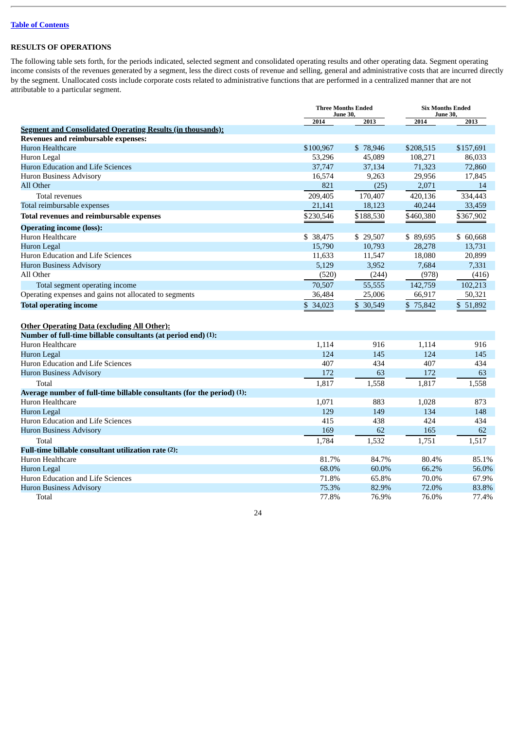## **RESULTS OF OPERATIONS**

The following table sets forth, for the periods indicated, selected segment and consolidated operating results and other operating data. Segment operating income consists of the revenues generated by a segment, less the direct costs of revenue and selling, general and administrative costs that are incurred directly by the segment. Unallocated costs include corporate costs related to administrative functions that are performed in a centralized manner that are not attributable to a particular segment.

|                                                                        | <b>Three Months Ended</b><br><b>June 30.</b> |           | <b>Six Months Ended</b> |           |
|------------------------------------------------------------------------|----------------------------------------------|-----------|-------------------------|-----------|
|                                                                        | 2014                                         | 2013      | <b>June 30,</b><br>2014 | 2013      |
| <b>Segment and Consolidated Operating Results (in thousands):</b>      |                                              |           |                         |           |
| Revenues and reimbursable expenses:                                    |                                              |           |                         |           |
| <b>Huron Healthcare</b>                                                | \$100,967                                    | \$78,946  | \$208,515               | \$157,691 |
| Huron Legal                                                            | 53,296                                       | 45,089    | 108,271                 | 86,033    |
| Huron Education and Life Sciences                                      | 37,747                                       | 37,134    | 71,323                  | 72,860    |
| <b>Huron Business Advisory</b>                                         | 16,574                                       | 9,263     | 29,956                  | 17,845    |
| All Other                                                              | 821                                          | (25)      | 2,071                   | 14        |
| <b>Total revenues</b>                                                  | 209,405                                      | 170,407   | 420,136                 | 334,443   |
| Total reimbursable expenses                                            | 21,141                                       | 18,123    | 40,244                  | 33,459    |
| Total revenues and reimbursable expenses                               | \$230,546                                    | \$188,530 | \$460,380               | \$367,902 |
| <b>Operating income (loss):</b>                                        |                                              |           |                         |           |
| Huron Healthcare                                                       | \$38,475                                     | \$29,507  | \$89.695                | \$ 60.668 |
| <b>Huron Legal</b>                                                     | 15,790                                       | 10,793    | 28,278                  | 13,731    |
| Huron Education and Life Sciences                                      | 11,633                                       | 11,547    | 18,080                  | 20,899    |
| <b>Huron Business Advisory</b>                                         | 5,129                                        | 3,952     | 7,684                   | 7,331     |
| All Other                                                              | (520)                                        | (244)     | (978)                   | (416)     |
| Total segment operating income                                         | 70,507                                       | 55,555    | 142,759                 | 102,213   |
| Operating expenses and gains not allocated to segments                 | 36,484                                       | 25,006    | 66,917                  | 50,321    |
| <b>Total operating income</b>                                          | \$ 34,023                                    | \$ 30,549 | \$75,842                | \$51,892  |
|                                                                        |                                              |           |                         |           |
| <b>Other Operating Data (excluding All Other):</b>                     |                                              |           |                         |           |
| Number of full-time billable consultants (at period end) (1):          |                                              |           |                         |           |
| Huron Healthcare                                                       | 1,114                                        | 916       | 1,114                   | 916       |
| <b>Huron Legal</b>                                                     | 124                                          | 145       | 124                     | 145       |
| Huron Education and Life Sciences                                      | 407                                          | 434       | 407                     | 434       |
| <b>Huron Business Advisory</b>                                         | 172                                          | 63        | 172                     | 63        |
| Total                                                                  | 1,817                                        | 1,558     | 1,817                   | 1,558     |
| Average number of full-time billable consultants (for the period) (1): |                                              |           |                         |           |
| Huron Healthcare                                                       | 1,071                                        | 883       | 1,028                   | 873       |
| <b>Huron Legal</b>                                                     | 129                                          | 149       | 134                     | 148       |
| Huron Education and Life Sciences                                      | 415                                          | 438       | 424                     | 434       |
| <b>Huron Business Advisory</b>                                         | 169                                          | 62        | 165                     | 62        |
| Total                                                                  | 1,784                                        | 1,532     | 1,751                   | 1,517     |
| Full-time billable consultant utilization rate (2):                    |                                              |           |                         |           |
| Huron Healthcare                                                       | 81.7%                                        | 84.7%     | 80.4%                   | 85.1%     |
| <b>Huron Legal</b>                                                     | 68.0%                                        | 60.0%     | 66.2%                   | 56.0%     |
| Huron Education and Life Sciences                                      | 71.8%                                        | 65.8%     | 70.0%                   | 67.9%     |
| <b>Huron Business Advisory</b>                                         | 75.3%                                        | 82.9%     | 72.0%                   | 83.8%     |
| Total                                                                  | 77.8%                                        | 76.9%     | 76.0%                   | 77.4%     |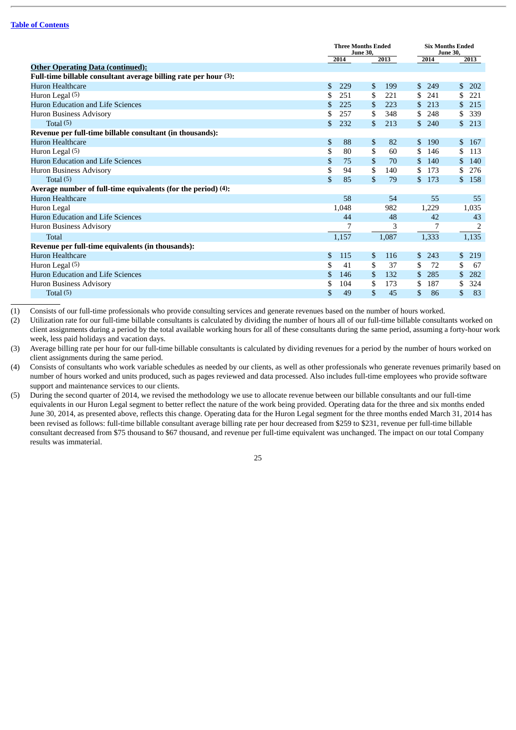|                                                                  |    | <b>Three Months Ended</b><br><b>June 30,</b> |     |       | <b>Six Months Ended</b><br><b>June 30,</b> |                |  |
|------------------------------------------------------------------|----|----------------------------------------------|-----|-------|--------------------------------------------|----------------|--|
|                                                                  |    | 2014                                         |     | 2013  | 2014                                       | 2013           |  |
| <b>Other Operating Data (continued):</b>                         |    |                                              |     |       |                                            |                |  |
| Full-time billable consultant average billing rate per hour (3): |    |                                              |     |       |                                            |                |  |
| Huron Healthcare                                                 | \$ | 229                                          | \$  | 199   | \$<br>249                                  | \$.<br>202     |  |
| Huron Legal (5)                                                  |    | 251                                          | \$  | 221   | \$<br>241                                  | \$<br>221      |  |
| <b>Huron Education and Life Sciences</b>                         | \$ | 225                                          | \$. | 223   | 213<br>\$                                  | \$.<br>215     |  |
| <b>Huron Business Advisory</b>                                   | \$ | 257                                          | \$  | 348   | \$<br>248                                  | 339<br>\$      |  |
| Total $(5)$                                                      | \$ | 232                                          | \$  | 213   | \$<br>240                                  | \$<br>213      |  |
| Revenue per full-time billable consultant (in thousands):        |    |                                              |     |       |                                            |                |  |
| Huron Healthcare                                                 | \$ | 88                                           | \$  | 82    | \$<br>190                                  | \$<br>167      |  |
| Huron Legal (5)                                                  | \$ | 80                                           | \$  | 60    | \$<br>146                                  | \$<br>113      |  |
| Huron Education and Life Sciences                                | \$ | 75                                           | \$  | 70    | \$<br>140                                  | \$<br>140      |  |
| Huron Business Advisory                                          | \$ | 94                                           | \$  | 140   | \$<br>173                                  | 276<br>\$      |  |
| Total $(5)$                                                      | \$ | 85                                           | \$  | 79    | 173<br>\$                                  | \$<br>158      |  |
| Average number of full-time equivalents (for the period) (4):    |    |                                              |     |       |                                            |                |  |
| <b>Huron Healthcare</b>                                          |    | 58                                           |     | 54    |                                            | 55<br>55       |  |
| Huron Legal                                                      |    | 1.048                                        |     | 982   | 1,229                                      | 1,035          |  |
| <b>Huron Education and Life Sciences</b>                         |    | 44                                           |     | 48    |                                            | 43<br>42       |  |
| <b>Huron Business Advisory</b>                                   |    |                                              |     | 3     |                                            | 7<br>2         |  |
| Total                                                            |    | 1,157                                        |     | 1,087 | 1,333                                      | 1,135          |  |
| Revenue per full-time equivalents (in thousands):                |    |                                              |     |       |                                            |                |  |
| Huron Healthcare                                                 | \$ | 115                                          | \$  | 116   | \$<br>243                                  | \$<br>219      |  |
| Huron Legal (5)                                                  | \$ | 41                                           | \$  | 37    | \$                                         | 72<br>\$<br>67 |  |
| <b>Huron Education and Life Sciences</b>                         | \$ | 146                                          | \$  | 132   | 285<br>\$                                  | \$<br>282      |  |
| <b>Huron Business Advisory</b>                                   | S  | 104                                          | \$  | 173   | 187<br>\$                                  | 324<br>\$      |  |
| Total $(5)$                                                      | \$ | 49                                           | \$  | 45    | \$                                         | \$<br>83<br>86 |  |

(1) Consists of our full-time professionals who provide consulting services and generate revenues based on the number of hours worked.

(2) Utilization rate for our full-time billable consultants is calculated by dividing the number of hours all of our full-time billable consultants worked on client assignments during a period by the total available working hours for all of these consultants during the same period, assuming a forty-hour work week, less paid holidays and vacation days.

(3) Average billing rate per hour for our full-time billable consultants is calculated by dividing revenues for a period by the number of hours worked on client assignments during the same period.

(4) Consists of consultants who work variable schedules as needed by our clients, as well as other professionals who generate revenues primarily based on number of hours worked and units produced, such as pages reviewed and data processed. Also includes full-time employees who provide software support and maintenance services to our clients.

(5) During the second quarter of 2014, we revised the methodology we use to allocate revenue between our billable consultants and our full-time equivalents in our Huron Legal segment to better reflect the nature of the work being provided. Operating data for the three and six months ended June 30, 2014, as presented above, reflects this change. Operating data for the Huron Legal segment for the three months ended March 31, 2014 has been revised as follows: full-time billable consultant average billing rate per hour decreased from \$259 to \$231, revenue per full-time billable consultant decreased from \$75 thousand to \$67 thousand, and revenue per full-time equivalent was unchanged. The impact on our total Company results was immaterial.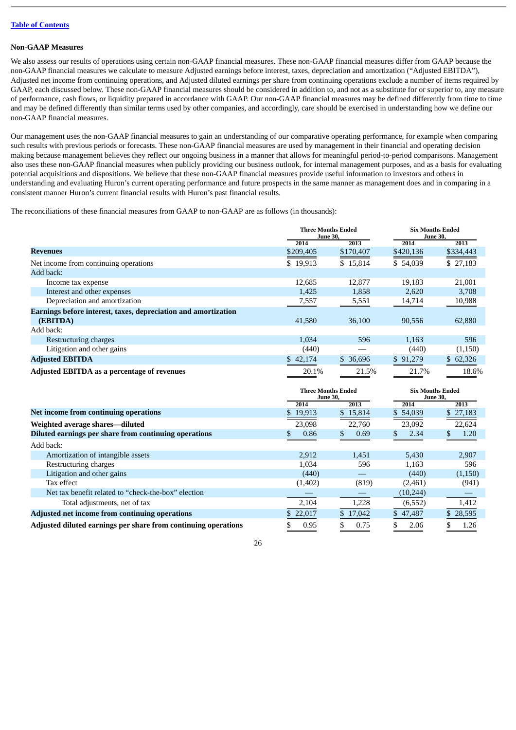#### **Non-GAAP Measures**

We also assess our results of operations using certain non-GAAP financial measures. These non-GAAP financial measures differ from GAAP because the non-GAAP financial measures we calculate to measure Adjusted earnings before interest, taxes, depreciation and amortization ("Adjusted EBITDA"), Adjusted net income from continuing operations, and Adjusted diluted earnings per share from continuing operations exclude a number of items required by GAAP, each discussed below. These non-GAAP financial measures should be considered in addition to, and not as a substitute for or superior to, any measure of performance, cash flows, or liquidity prepared in accordance with GAAP. Our non-GAAP financial measures may be defined differently from time to time and may be defined differently than similar terms used by other companies, and accordingly, care should be exercised in understanding how we define our non-GAAP financial measures.

Our management uses the non-GAAP financial measures to gain an understanding of our comparative operating performance, for example when comparing such results with previous periods or forecasts. These non-GAAP financial measures are used by management in their financial and operating decision making because management believes they reflect our ongoing business in a manner that allows for meaningful period-to-period comparisons. Management also uses these non-GAAP financial measures when publicly providing our business outlook, for internal management purposes, and as a basis for evaluating potential acquisitions and dispositions. We believe that these non-GAAP financial measures provide useful information to investors and others in understanding and evaluating Huron's current operating performance and future prospects in the same manner as management does and in comparing in a consistent manner Huron's current financial results with Huron's past financial results.

The reconciliations of these financial measures from GAAP to non-GAAP are as follows (in thousands):

|                                                                | <b>Three Months Ended</b><br><b>June 30,</b> |           | <b>Six Months Ended</b><br><b>June 30,</b> |           |  |
|----------------------------------------------------------------|----------------------------------------------|-----------|--------------------------------------------|-----------|--|
|                                                                | 2014                                         | 2013      | 2014                                       | 2013      |  |
| <b>Revenues</b>                                                | \$209,405                                    | \$170,407 | \$420,136                                  | \$334,443 |  |
| Net income from continuing operations                          | \$19,913                                     | \$15,814  | \$54,039                                   | \$27,183  |  |
| Add back:                                                      |                                              |           |                                            |           |  |
| Income tax expense                                             | 12,685                                       | 12,877    | 19,183                                     | 21,001    |  |
| Interest and other expenses                                    | 1,425                                        | 1,858     | 2,620                                      | 3,708     |  |
| Depreciation and amortization                                  | 7,557                                        | 5,551     | 14,714                                     | 10,988    |  |
| Earnings before interest, taxes, depreciation and amortization |                                              |           |                                            |           |  |
| (EBITDA)                                                       | 41,580                                       | 36,100    | 90.556                                     | 62,880    |  |
| Add back:                                                      |                                              |           |                                            |           |  |
| Restructuring charges                                          | 1,034                                        | 596       | 1,163                                      | 596       |  |
| Litigation and other gains                                     | (440)                                        |           | (440)                                      | (1,150)   |  |
| <b>Adjusted EBITDA</b>                                         | \$42,174                                     | \$ 36,696 | \$91,279                                   | \$62,326  |  |
| Adjusted EBITDA as a percentage of revenues                    | 20.1%                                        | 21.5%     | 21.7%                                      | 18.6%     |  |

|                                                                | <b>Three Months Ended</b><br><b>June 30,</b> |          | <b>Six Months Ended</b><br>June 30, |          |
|----------------------------------------------------------------|----------------------------------------------|----------|-------------------------------------|----------|
|                                                                | 2014                                         | 2013     | 2014                                | 2013     |
| Net income from continuing operations                          | 19,913                                       | \$15,814 | \$54,039                            | \$27,183 |
| Weighted average shares—diluted                                | 23,098                                       | 22.760   | 23,092                              | 22,624   |
| Diluted earnings per share from continuing operations          | 0.86                                         | 0.69     | 2.34                                | 1.20     |
| Add back:                                                      |                                              |          |                                     |          |
| Amortization of intangible assets                              | 2.912                                        | 1.451    | 5,430                               | 2,907    |
| Restructuring charges                                          | 1.034                                        | 596      | 1,163                               | 596      |
| Litigation and other gains                                     | (440)                                        |          | (440)                               | (1,150)  |
| Tax effect                                                     | (1,402)                                      | (819)    | (2,461)                             | (941)    |
| Net tax benefit related to "check-the-box" election            |                                              |          | (10, 244)                           |          |
| Total adjustments, net of tax                                  | 2,104                                        | 1,228    | (6, 552)                            | 1,412    |
| Adjusted net income from continuing operations                 | 22,017                                       | 17,042   | \$47,487                            | 28,595   |
| Adjusted diluted earnings per share from continuing operations | 0.95                                         | 0.75     | 2.06                                | 1.26     |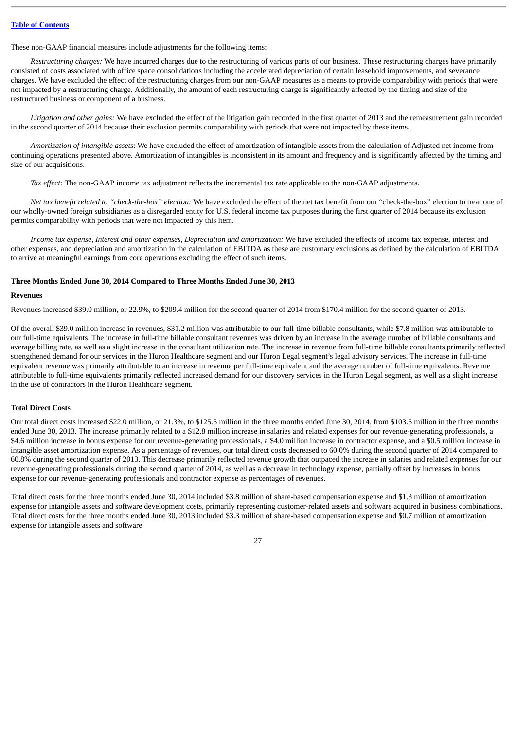These non-GAAP financial measures include adjustments for the following items:

*Restructuring charges:* We have incurred charges due to the restructuring of various parts of our business. These restructuring charges have primarily consisted of costs associated with office space consolidations including the accelerated depreciation of certain leasehold improvements, and severance charges. We have excluded the effect of the restructuring charges from our non-GAAP measures as a means to provide comparability with periods that were not impacted by a restructuring charge. Additionally, the amount of each restructuring charge is significantly affected by the timing and size of the restructured business or component of a business.

*Litigation and other gains:* We have excluded the effect of the litigation gain recorded in the first quarter of 2013 and the remeasurement gain recorded in the second quarter of 2014 because their exclusion permits comparability with periods that were not impacted by these items.

*Amortization of intangible assets*: We have excluded the effect of amortization of intangible assets from the calculation of Adjusted net income from continuing operations presented above. Amortization of intangibles is inconsistent in its amount and frequency and is significantly affected by the timing and size of our acquisitions.

*Tax effect:* The non-GAAP income tax adjustment reflects the incremental tax rate applicable to the non-GAAP adjustments.

*Net tax benefit related to "check-the-box" election:* We have excluded the effect of the net tax benefit from our "check-the-box" election to treat one of our wholly-owned foreign subsidiaries as a disregarded entity for U.S. federal income tax purposes during the first quarter of 2014 because its exclusion permits comparability with periods that were not impacted by this item.

*Income tax expense, Interest and other expenses, Depreciation and amortization:* We have excluded the effects of income tax expense, interest and other expenses, and depreciation and amortization in the calculation of EBITDA as these are customary exclusions as defined by the calculation of EBITDA to arrive at meaningful earnings from core operations excluding the effect of such items.

#### **Three Months Ended June 30, 2014 Compared to Three Months Ended June 30, 2013**

#### **Revenues**

Revenues increased \$39.0 million, or 22.9%, to \$209.4 million for the second quarter of 2014 from \$170.4 million for the second quarter of 2013.

Of the overall \$39.0 million increase in revenues, \$31.2 million was attributable to our full-time billable consultants, while \$7.8 million was attributable to our full-time equivalents. The increase in full-time billable consultant revenues was driven by an increase in the average number of billable consultants and average billing rate, as well as a slight increase in the consultant utilization rate. The increase in revenue from full-time billable consultants primarily reflected strengthened demand for our services in the Huron Healthcare segment and our Huron Legal segment's legal advisory services. The increase in full-time equivalent revenue was primarily attributable to an increase in revenue per full-time equivalent and the average number of full-time equivalents. Revenue attributable to full-time equivalents primarily reflected increased demand for our discovery services in the Huron Legal segment, as well as a slight increase in the use of contractors in the Huron Healthcare segment.

#### **Total Direct Costs**

Our total direct costs increased \$22.0 million, or 21.3%, to \$125.5 million in the three months ended June 30, 2014, from \$103.5 million in the three months ended June 30, 2013. The increase primarily related to a \$12.8 million increase in salaries and related expenses for our revenue-generating professionals, a \$4.6 million increase in bonus expense for our revenue-generating professionals, a \$4.0 million increase in contractor expense, and a \$0.5 million increase in intangible asset amortization expense. As a percentage of revenues, our total direct costs decreased to 60.0% during the second quarter of 2014 compared to 60.8% during the second quarter of 2013. This decrease primarily reflected revenue growth that outpaced the increase in salaries and related expenses for our revenue-generating professionals during the second quarter of 2014, as well as a decrease in technology expense, partially offset by increases in bonus expense for our revenue-generating professionals and contractor expense as percentages of revenues.

Total direct costs for the three months ended June 30, 2014 included \$3.8 million of share-based compensation expense and \$1.3 million of amortization expense for intangible assets and software development costs, primarily representing customer-related assets and software acquired in business combinations. Total direct costs for the three months ended June 30, 2013 included \$3.3 million of share-based compensation expense and \$0.7 million of amortization expense for intangible assets and software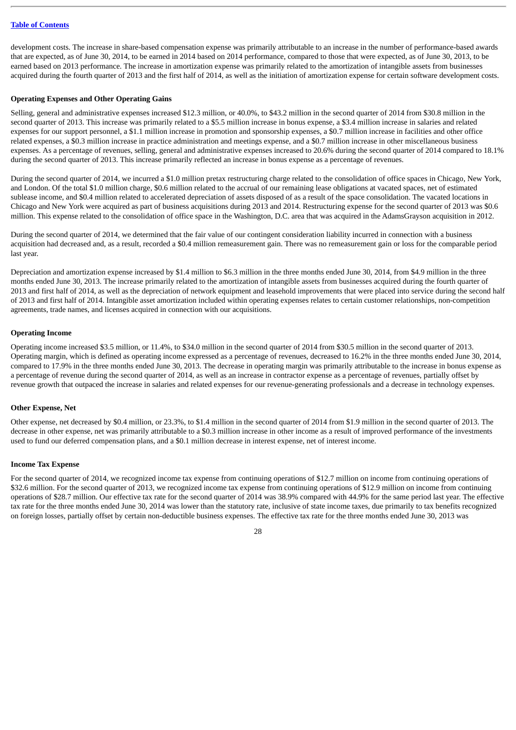development costs. The increase in share-based compensation expense was primarily attributable to an increase in the number of performance-based awards that are expected, as of June 30, 2014, to be earned in 2014 based on 2014 performance, compared to those that were expected, as of June 30, 2013, to be earned based on 2013 performance. The increase in amortization expense was primarily related to the amortization of intangible assets from businesses acquired during the fourth quarter of 2013 and the first half of 2014, as well as the initiation of amortization expense for certain software development costs.

#### **Operating Expenses and Other Operating Gains**

Selling, general and administrative expenses increased \$12.3 million, or 40.0%, to \$43.2 million in the second quarter of 2014 from \$30.8 million in the second quarter of 2013. This increase was primarily related to a \$5.5 million increase in bonus expense, a \$3.4 million increase in salaries and related expenses for our support personnel, a \$1.1 million increase in promotion and sponsorship expenses, a \$0.7 million increase in facilities and other office related expenses, a \$0.3 million increase in practice administration and meetings expense, and a \$0.7 million increase in other miscellaneous business expenses. As a percentage of revenues, selling, general and administrative expenses increased to 20.6% during the second quarter of 2014 compared to 18.1% during the second quarter of 2013. This increase primarily reflected an increase in bonus expense as a percentage of revenues.

During the second quarter of 2014, we incurred a \$1.0 million pretax restructuring charge related to the consolidation of office spaces in Chicago, New York, and London. Of the total \$1.0 million charge, \$0.6 million related to the accrual of our remaining lease obligations at vacated spaces, net of estimated sublease income, and \$0.4 million related to accelerated depreciation of assets disposed of as a result of the space consolidation. The vacated locations in Chicago and New York were acquired as part of business acquisitions during 2013 and 2014. Restructuring expense for the second quarter of 2013 was \$0.6 million. This expense related to the consolidation of office space in the Washington, D.C. area that was acquired in the AdamsGrayson acquisition in 2012.

During the second quarter of 2014, we determined that the fair value of our contingent consideration liability incurred in connection with a business acquisition had decreased and, as a result, recorded a \$0.4 million remeasurement gain. There was no remeasurement gain or loss for the comparable period last year.

Depreciation and amortization expense increased by \$1.4 million to \$6.3 million in the three months ended June 30, 2014, from \$4.9 million in the three months ended June 30, 2013. The increase primarily related to the amortization of intangible assets from businesses acquired during the fourth quarter of 2013 and first half of 2014, as well as the depreciation of network equipment and leasehold improvements that were placed into service during the second half of 2013 and first half of 2014. Intangible asset amortization included within operating expenses relates to certain customer relationships, non-competition agreements, trade names, and licenses acquired in connection with our acquisitions.

#### **Operating Income**

Operating income increased \$3.5 million, or 11.4%, to \$34.0 million in the second quarter of 2014 from \$30.5 million in the second quarter of 2013. Operating margin, which is defined as operating income expressed as a percentage of revenues, decreased to 16.2% in the three months ended June 30, 2014, compared to 17.9% in the three months ended June 30, 2013. The decrease in operating margin was primarily attributable to the increase in bonus expense as a percentage of revenue during the second quarter of 2014, as well as an increase in contractor expense as a percentage of revenues, partially offset by revenue growth that outpaced the increase in salaries and related expenses for our revenue-generating professionals and a decrease in technology expenses.

#### **Other Expense, Net**

Other expense, net decreased by \$0.4 million, or 23.3%, to \$1.4 million in the second quarter of 2014 from \$1.9 million in the second quarter of 2013. The decrease in other expense, net was primarily attributable to a \$0.3 million increase in other income as a result of improved performance of the investments used to fund our deferred compensation plans, and a \$0.1 million decrease in interest expense, net of interest income.

#### **Income Tax Expense**

For the second quarter of 2014, we recognized income tax expense from continuing operations of \$12.7 million on income from continuing operations of \$32.6 million. For the second quarter of 2013, we recognized income tax expense from continuing operations of \$12.9 million on income from continuing operations of \$28.7 million. Our effective tax rate for the second quarter of 2014 was 38.9% compared with 44.9% for the same period last year. The effective tax rate for the three months ended June 30, 2014 was lower than the statutory rate, inclusive of state income taxes, due primarily to tax benefits recognized on foreign losses, partially offset by certain non-deductible business expenses. The effective tax rate for the three months ended June 30, 2013 was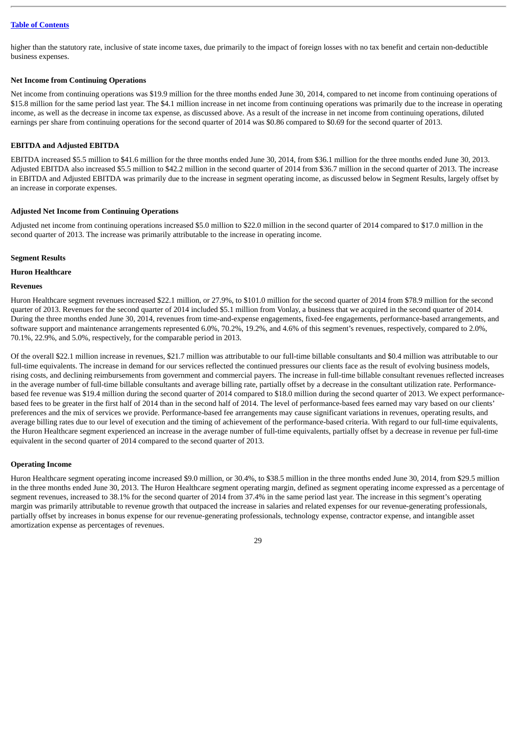higher than the statutory rate, inclusive of state income taxes, due primarily to the impact of foreign losses with no tax benefit and certain non-deductible business expenses.

#### **Net Income from Continuing Operations**

Net income from continuing operations was \$19.9 million for the three months ended June 30, 2014, compared to net income from continuing operations of \$15.8 million for the same period last year. The \$4.1 million increase in net income from continuing operations was primarily due to the increase in operating income, as well as the decrease in income tax expense, as discussed above. As a result of the increase in net income from continuing operations, diluted earnings per share from continuing operations for the second quarter of 2014 was \$0.86 compared to \$0.69 for the second quarter of 2013.

#### **EBITDA and Adjusted EBITDA**

EBITDA increased \$5.5 million to \$41.6 million for the three months ended June 30, 2014, from \$36.1 million for the three months ended June 30, 2013. Adjusted EBITDA also increased \$5.5 million to \$42.2 million in the second quarter of 2014 from \$36.7 million in the second quarter of 2013. The increase in EBITDA and Adjusted EBITDA was primarily due to the increase in segment operating income, as discussed below in Segment Results, largely offset by an increase in corporate expenses.

#### **Adjusted Net Income from Continuing Operations**

Adjusted net income from continuing operations increased \$5.0 million to \$22.0 million in the second quarter of 2014 compared to \$17.0 million in the second quarter of 2013. The increase was primarily attributable to the increase in operating income.

#### **Segment Results**

#### **Huron Healthcare**

#### **Revenues**

Huron Healthcare segment revenues increased \$22.1 million, or 27.9%, to \$101.0 million for the second quarter of 2014 from \$78.9 million for the second quarter of 2013. Revenues for the second quarter of 2014 included \$5.1 million from Vonlay, a business that we acquired in the second quarter of 2014. During the three months ended June 30, 2014, revenues from time-and-expense engagements, fixed-fee engagements, performance-based arrangements, and software support and maintenance arrangements represented 6.0%, 70.2%, 19.2%, and 4.6% of this segment's revenues, respectively, compared to 2.0%, 70.1%, 22.9%, and 5.0%, respectively, for the comparable period in 2013.

Of the overall \$22.1 million increase in revenues, \$21.7 million was attributable to our full-time billable consultants and \$0.4 million was attributable to our full-time equivalents. The increase in demand for our services reflected the continued pressures our clients face as the result of evolving business models, rising costs, and declining reimbursements from government and commercial payers. The increase in full-time billable consultant revenues reflected increases in the average number of full-time billable consultants and average billing rate, partially offset by a decrease in the consultant utilization rate. Performancebased fee revenue was \$19.4 million during the second quarter of 2014 compared to \$18.0 million during the second quarter of 2013. We expect performancebased fees to be greater in the first half of 2014 than in the second half of 2014. The level of performance-based fees earned may vary based on our clients' preferences and the mix of services we provide. Performance-based fee arrangements may cause significant variations in revenues, operating results, and average billing rates due to our level of execution and the timing of achievement of the performance-based criteria. With regard to our full-time equivalents, the Huron Healthcare segment experienced an increase in the average number of full-time equivalents, partially offset by a decrease in revenue per full-time equivalent in the second quarter of 2014 compared to the second quarter of 2013.

#### **Operating Income**

Huron Healthcare segment operating income increased \$9.0 million, or 30.4%, to \$38.5 million in the three months ended June 30, 2014, from \$29.5 million in the three months ended June 30, 2013. The Huron Healthcare segment operating margin, defined as segment operating income expressed as a percentage of segment revenues, increased to 38.1% for the second quarter of 2014 from 37.4% in the same period last year. The increase in this segment's operating margin was primarily attributable to revenue growth that outpaced the increase in salaries and related expenses for our revenue-generating professionals, partially offset by increases in bonus expense for our revenue-generating professionals, technology expense, contractor expense, and intangible asset amortization expense as percentages of revenues.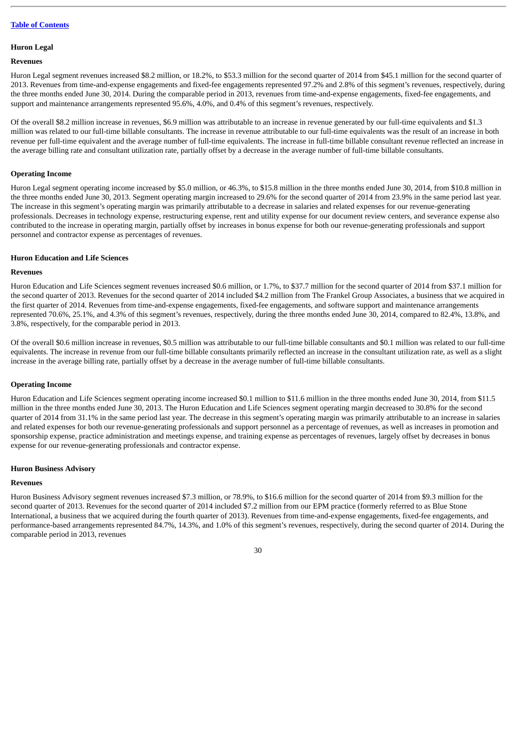#### **Huron Legal**

#### **Revenues**

Huron Legal segment revenues increased \$8.2 million, or 18.2%, to \$53.3 million for the second quarter of 2014 from \$45.1 million for the second quarter of 2013. Revenues from time-and-expense engagements and fixed-fee engagements represented 97.2% and 2.8% of this segment's revenues, respectively, during the three months ended June 30, 2014. During the comparable period in 2013, revenues from time-and-expense engagements, fixed-fee engagements, and support and maintenance arrangements represented 95.6%, 4.0%, and 0.4% of this segment's revenues, respectively.

Of the overall \$8.2 million increase in revenues, \$6.9 million was attributable to an increase in revenue generated by our full-time equivalents and \$1.3 million was related to our full-time billable consultants. The increase in revenue attributable to our full-time equivalents was the result of an increase in both revenue per full-time equivalent and the average number of full-time equivalents. The increase in full-time billable consultant revenue reflected an increase in the average billing rate and consultant utilization rate, partially offset by a decrease in the average number of full-time billable consultants.

#### **Operating Income**

Huron Legal segment operating income increased by \$5.0 million, or 46.3%, to \$15.8 million in the three months ended June 30, 2014, from \$10.8 million in the three months ended June 30, 2013. Segment operating margin increased to 29.6% for the second quarter of 2014 from 23.9% in the same period last year. The increase in this segment's operating margin was primarily attributable to a decrease in salaries and related expenses for our revenue-generating professionals. Decreases in technology expense, restructuring expense, rent and utility expense for our document review centers, and severance expense also contributed to the increase in operating margin, partially offset by increases in bonus expense for both our revenue-generating professionals and support personnel and contractor expense as percentages of revenues.

#### **Huron Education and Life Sciences**

#### **Revenues**

Huron Education and Life Sciences segment revenues increased \$0.6 million, or 1.7%, to \$37.7 million for the second quarter of 2014 from \$37.1 million for the second quarter of 2013. Revenues for the second quarter of 2014 included \$4.2 million from The Frankel Group Associates, a business that we acquired in the first quarter of 2014. Revenues from time-and-expense engagements, fixed-fee engagements, and software support and maintenance arrangements represented 70.6%, 25.1%, and 4.3% of this segment's revenues, respectively, during the three months ended June 30, 2014, compared to 82.4%, 13.8%, and 3.8%, respectively, for the comparable period in 2013.

Of the overall \$0.6 million increase in revenues, \$0.5 million was attributable to our full-time billable consultants and \$0.1 million was related to our full-time equivalents. The increase in revenue from our full-time billable consultants primarily reflected an increase in the consultant utilization rate, as well as a slight increase in the average billing rate, partially offset by a decrease in the average number of full-time billable consultants.

#### **Operating Income**

Huron Education and Life Sciences segment operating income increased \$0.1 million to \$11.6 million in the three months ended June 30, 2014, from \$11.5 million in the three months ended June 30, 2013. The Huron Education and Life Sciences segment operating margin decreased to 30.8% for the second quarter of 2014 from 31.1% in the same period last year. The decrease in this segment's operating margin was primarily attributable to an increase in salaries and related expenses for both our revenue-generating professionals and support personnel as a percentage of revenues, as well as increases in promotion and sponsorship expense, practice administration and meetings expense, and training expense as percentages of revenues, largely offset by decreases in bonus expense for our revenue-generating professionals and contractor expense.

#### **Huron Business Advisory**

#### **Revenues**

Huron Business Advisory segment revenues increased \$7.3 million, or 78.9%, to \$16.6 million for the second quarter of 2014 from \$9.3 million for the second quarter of 2013. Revenues for the second quarter of 2014 included \$7.2 million from our EPM practice (formerly referred to as Blue Stone International, a business that we acquired during the fourth quarter of 2013). Revenues from time-and-expense engagements, fixed-fee engagements, and performance-based arrangements represented 84.7%, 14.3%, and 1.0% of this segment's revenues, respectively, during the second quarter of 2014. During the comparable period in 2013, revenues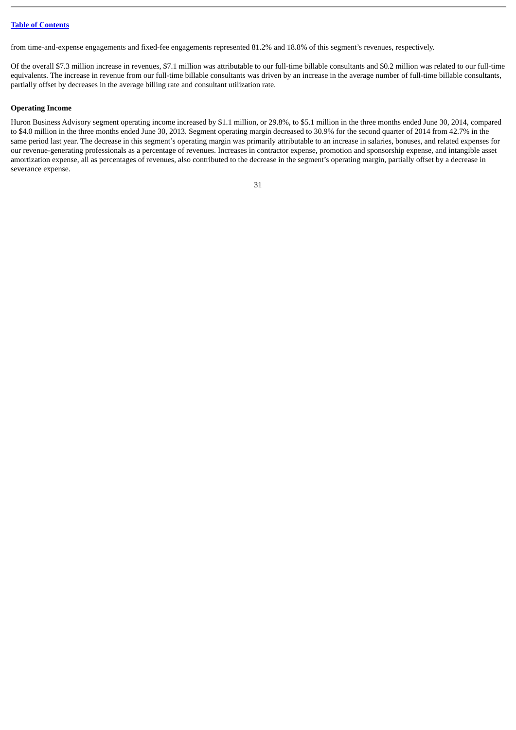from time-and-expense engagements and fixed-fee engagements represented 81.2% and 18.8% of this segment's revenues, respectively.

Of the overall \$7.3 million increase in revenues, \$7.1 million was attributable to our full-time billable consultants and \$0.2 million was related to our full-time equivalents. The increase in revenue from our full-time billable consultants was driven by an increase in the average number of full-time billable consultants, partially offset by decreases in the average billing rate and consultant utilization rate.

#### **Operating Income**

Huron Business Advisory segment operating income increased by \$1.1 million, or 29.8%, to \$5.1 million in the three months ended June 30, 2014, compared to \$4.0 million in the three months ended June 30, 2013. Segment operating margin decreased to 30.9% for the second quarter of 2014 from 42.7% in the same period last year. The decrease in this segment's operating margin was primarily attributable to an increase in salaries, bonuses, and related expenses for our revenue-generating professionals as a percentage of revenues. Increases in contractor expense, promotion and sponsorship expense, and intangible asset amortization expense, all as percentages of revenues, also contributed to the decrease in the segment's operating margin, partially offset by a decrease in severance expense.

| ٦            | I |
|--------------|---|
| ۰.<br>×<br>v |   |
|              |   |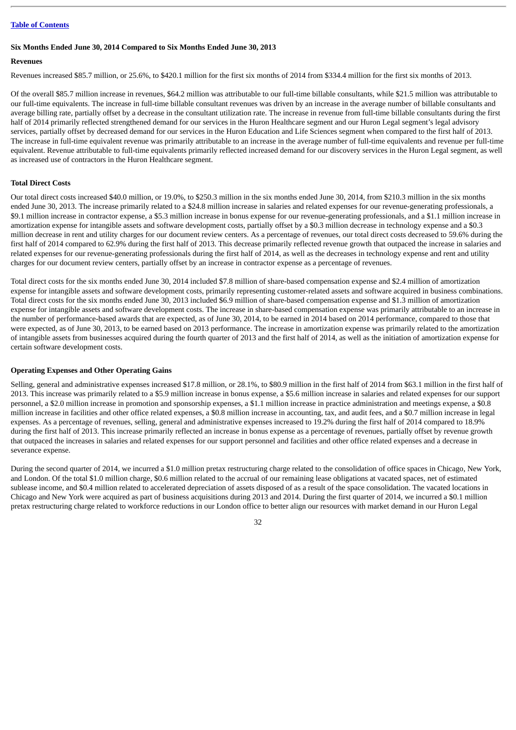#### **Six Months Ended June 30, 2014 Compared to Six Months Ended June 30, 2013**

#### **Revenues**

Revenues increased \$85.7 million, or 25.6%, to \$420.1 million for the first six months of 2014 from \$334.4 million for the first six months of 2013.

Of the overall \$85.7 million increase in revenues, \$64.2 million was attributable to our full-time billable consultants, while \$21.5 million was attributable to our full-time equivalents. The increase in full-time billable consultant revenues was driven by an increase in the average number of billable consultants and average billing rate, partially offset by a decrease in the consultant utilization rate. The increase in revenue from full-time billable consultants during the first half of 2014 primarily reflected strengthened demand for our services in the Huron Healthcare segment and our Huron Legal segment's legal advisory services, partially offset by decreased demand for our services in the Huron Education and Life Sciences segment when compared to the first half of 2013. The increase in full-time equivalent revenue was primarily attributable to an increase in the average number of full-time equivalents and revenue per full-time equivalent. Revenue attributable to full-time equivalents primarily reflected increased demand for our discovery services in the Huron Legal segment, as well as increased use of contractors in the Huron Healthcare segment.

#### **Total Direct Costs**

Our total direct costs increased \$40.0 million, or 19.0%, to \$250.3 million in the six months ended June 30, 2014, from \$210.3 million in the six months ended June 30, 2013. The increase primarily related to a \$24.8 million increase in salaries and related expenses for our revenue-generating professionals, a \$9.1 million increase in contractor expense, a \$5.3 million increase in bonus expense for our revenue-generating professionals, and a \$1.1 million increase in amortization expense for intangible assets and software development costs, partially offset by a \$0.3 million decrease in technology expense and a \$0.3 million decrease in rent and utility charges for our document review centers. As a percentage of revenues, our total direct costs decreased to 59.6% during the first half of 2014 compared to 62.9% during the first half of 2013. This decrease primarily reflected revenue growth that outpaced the increase in salaries and related expenses for our revenue-generating professionals during the first half of 2014, as well as the decreases in technology expense and rent and utility charges for our document review centers, partially offset by an increase in contractor expense as a percentage of revenues.

Total direct costs for the six months ended June 30, 2014 included \$7.8 million of share-based compensation expense and \$2.4 million of amortization expense for intangible assets and software development costs, primarily representing customer-related assets and software acquired in business combinations. Total direct costs for the six months ended June 30, 2013 included \$6.9 million of share-based compensation expense and \$1.3 million of amortization expense for intangible assets and software development costs. The increase in share-based compensation expense was primarily attributable to an increase in the number of performance-based awards that are expected, as of June 30, 2014, to be earned in 2014 based on 2014 performance, compared to those that were expected, as of June 30, 2013, to be earned based on 2013 performance. The increase in amortization expense was primarily related to the amortization of intangible assets from businesses acquired during the fourth quarter of 2013 and the first half of 2014, as well as the initiation of amortization expense for certain software development costs.

#### **Operating Expenses and Other Operating Gains**

Selling, general and administrative expenses increased \$17.8 million, or 28.1%, to \$80.9 million in the first half of 2014 from \$63.1 million in the first half of 2013. This increase was primarily related to a \$5.9 million increase in bonus expense, a \$5.6 million increase in salaries and related expenses for our support personnel, a \$2.0 million increase in promotion and sponsorship expenses, a \$1.1 million increase in practice administration and meetings expense, a \$0.8 million increase in facilities and other office related expenses, a \$0.8 million increase in accounting, tax, and audit fees, and a \$0.7 million increase in legal expenses. As a percentage of revenues, selling, general and administrative expenses increased to 19.2% during the first half of 2014 compared to 18.9% during the first half of 2013. This increase primarily reflected an increase in bonus expense as a percentage of revenues, partially offset by revenue growth that outpaced the increases in salaries and related expenses for our support personnel and facilities and other office related expenses and a decrease in severance expense.

During the second quarter of 2014, we incurred a \$1.0 million pretax restructuring charge related to the consolidation of office spaces in Chicago, New York, and London. Of the total \$1.0 million charge, \$0.6 million related to the accrual of our remaining lease obligations at vacated spaces, net of estimated sublease income, and \$0.4 million related to accelerated depreciation of assets disposed of as a result of the space consolidation. The vacated locations in Chicago and New York were acquired as part of business acquisitions during 2013 and 2014. During the first quarter of 2014, we incurred a \$0.1 million pretax restructuring charge related to workforce reductions in our London office to better align our resources with market demand in our Huron Legal

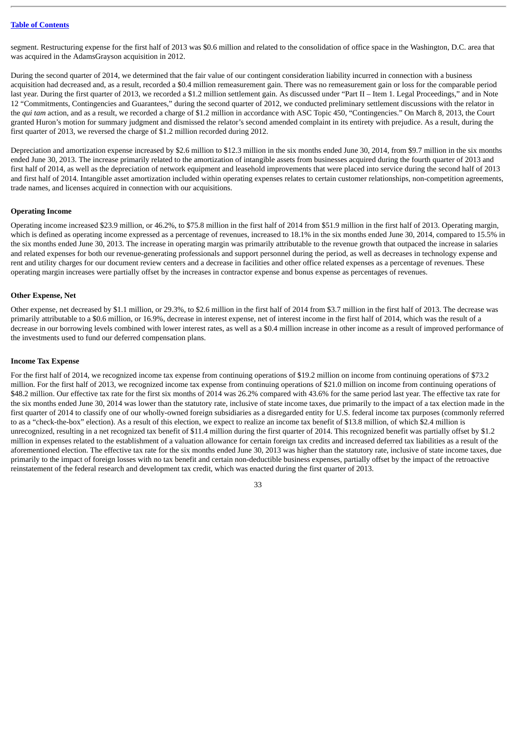segment. Restructuring expense for the first half of 2013 was \$0.6 million and related to the consolidation of office space in the Washington, D.C. area that was acquired in the AdamsGrayson acquisition in 2012.

During the second quarter of 2014, we determined that the fair value of our contingent consideration liability incurred in connection with a business acquisition had decreased and, as a result, recorded a \$0.4 million remeasurement gain. There was no remeasurement gain or loss for the comparable period last year. During the first quarter of 2013, we recorded a \$1.2 million settlement gain. As discussed under "Part II – Item 1. Legal Proceedings," and in Note 12 "Commitments, Contingencies and Guarantees," during the second quarter of 2012, we conducted preliminary settlement discussions with the relator in the *qui tam* action, and as a result, we recorded a charge of \$1.2 million in accordance with ASC Topic 450, "Contingencies." On March 8, 2013, the Court granted Huron's motion for summary judgment and dismissed the relator's second amended complaint in its entirety with prejudice. As a result, during the first quarter of 2013, we reversed the charge of \$1.2 million recorded during 2012.

Depreciation and amortization expense increased by \$2.6 million to \$12.3 million in the six months ended June 30, 2014, from \$9.7 million in the six months ended June 30, 2013. The increase primarily related to the amortization of intangible assets from businesses acquired during the fourth quarter of 2013 and first half of 2014, as well as the depreciation of network equipment and leasehold improvements that were placed into service during the second half of 2013 and first half of 2014. Intangible asset amortization included within operating expenses relates to certain customer relationships, non-competition agreements, trade names, and licenses acquired in connection with our acquisitions.

#### **Operating Income**

Operating income increased \$23.9 million, or 46.2%, to \$75.8 million in the first half of 2014 from \$51.9 million in the first half of 2013. Operating margin, which is defined as operating income expressed as a percentage of revenues, increased to 18.1% in the six months ended June 30, 2014, compared to 15.5% in the six months ended June 30, 2013. The increase in operating margin was primarily attributable to the revenue growth that outpaced the increase in salaries and related expenses for both our revenue-generating professionals and support personnel during the period, as well as decreases in technology expense and rent and utility charges for our document review centers and a decrease in facilities and other office related expenses as a percentage of revenues. These operating margin increases were partially offset by the increases in contractor expense and bonus expense as percentages of revenues.

#### **Other Expense, Net**

Other expense, net decreased by \$1.1 million, or 29.3%, to \$2.6 million in the first half of 2014 from \$3.7 million in the first half of 2013. The decrease was primarily attributable to a \$0.6 million, or 16.9%, decrease in interest expense, net of interest income in the first half of 2014, which was the result of a decrease in our borrowing levels combined with lower interest rates, as well as a \$0.4 million increase in other income as a result of improved performance of the investments used to fund our deferred compensation plans.

#### **Income Tax Expense**

For the first half of 2014, we recognized income tax expense from continuing operations of \$19.2 million on income from continuing operations of \$73.2 million. For the first half of 2013, we recognized income tax expense from continuing operations of \$21.0 million on income from continuing operations of \$48.2 million. Our effective tax rate for the first six months of 2014 was 26.2% compared with 43.6% for the same period last year. The effective tax rate for the six months ended June 30, 2014 was lower than the statutory rate, inclusive of state income taxes, due primarily to the impact of a tax election made in the first quarter of 2014 to classify one of our wholly-owned foreign subsidiaries as a disregarded entity for U.S. federal income tax purposes (commonly referred to as a "check-the-box" election). As a result of this election, we expect to realize an income tax benefit of \$13.8 million, of which \$2.4 million is unrecognized, resulting in a net recognized tax benefit of \$11.4 million during the first quarter of 2014. This recognized benefit was partially offset by \$1.2 million in expenses related to the establishment of a valuation allowance for certain foreign tax credits and increased deferred tax liabilities as a result of the aforementioned election. The effective tax rate for the six months ended June 30, 2013 was higher than the statutory rate, inclusive of state income taxes, due primarily to the impact of foreign losses with no tax benefit and certain non-deductible business expenses, partially offset by the impact of the retroactive reinstatement of the federal research and development tax credit, which was enacted during the first quarter of 2013.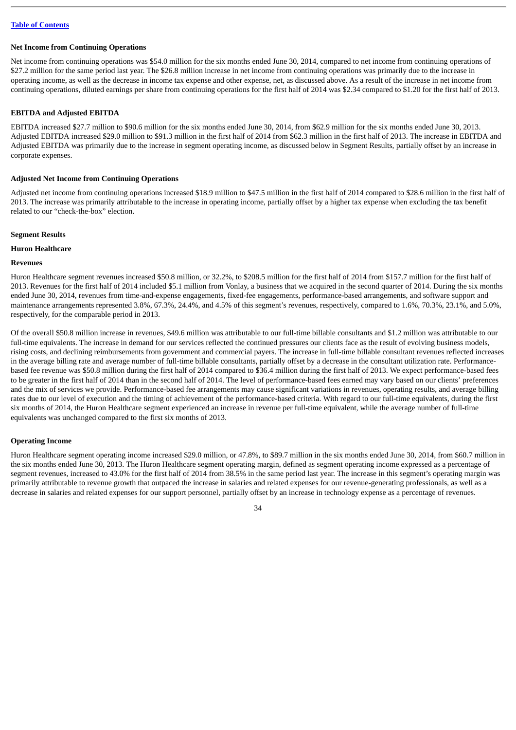## **Net Income from Continuing Operations**

Net income from continuing operations was \$54.0 million for the six months ended June 30, 2014, compared to net income from continuing operations of \$27.2 million for the same period last year. The \$26.8 million increase in net income from continuing operations was primarily due to the increase in operating income, as well as the decrease in income tax expense and other expense, net, as discussed above. As a result of the increase in net income from continuing operations, diluted earnings per share from continuing operations for the first half of 2014 was \$2.34 compared to \$1.20 for the first half of 2013.

## **EBITDA and Adjusted EBITDA**

EBITDA increased \$27.7 million to \$90.6 million for the six months ended June 30, 2014, from \$62.9 million for the six months ended June 30, 2013. Adjusted EBITDA increased \$29.0 million to \$91.3 million in the first half of 2014 from \$62.3 million in the first half of 2013. The increase in EBITDA and Adjusted EBITDA was primarily due to the increase in segment operating income, as discussed below in Segment Results, partially offset by an increase in corporate expenses.

## **Adjusted Net Income from Continuing Operations**

Adjusted net income from continuing operations increased \$18.9 million to \$47.5 million in the first half of 2014 compared to \$28.6 million in the first half of 2013. The increase was primarily attributable to the increase in operating income, partially offset by a higher tax expense when excluding the tax benefit related to our "check-the-box" election.

#### **Segment Results**

#### **Huron Healthcare**

#### **Revenues**

Huron Healthcare segment revenues increased \$50.8 million, or 32.2%, to \$208.5 million for the first half of 2014 from \$157.7 million for the first half of 2013. Revenues for the first half of 2014 included \$5.1 million from Vonlay, a business that we acquired in the second quarter of 2014. During the six months ended June 30, 2014, revenues from time-and-expense engagements, fixed-fee engagements, performance-based arrangements, and software support and maintenance arrangements represented 3.8%, 67.3%, 24.4%, and 4.5% of this segment's revenues, respectively, compared to 1.6%, 70.3%, 23.1%, and 5.0%, respectively, for the comparable period in 2013.

Of the overall \$50.8 million increase in revenues, \$49.6 million was attributable to our full-time billable consultants and \$1.2 million was attributable to our full-time equivalents. The increase in demand for our services reflected the continued pressures our clients face as the result of evolving business models, rising costs, and declining reimbursements from government and commercial payers. The increase in full-time billable consultant revenues reflected increases in the average billing rate and average number of full-time billable consultants, partially offset by a decrease in the consultant utilization rate. Performancebased fee revenue was \$50.8 million during the first half of 2014 compared to \$36.4 million during the first half of 2013. We expect performance-based fees to be greater in the first half of 2014 than in the second half of 2014. The level of performance-based fees earned may vary based on our clients' preferences and the mix of services we provide. Performance-based fee arrangements may cause significant variations in revenues, operating results, and average billing rates due to our level of execution and the timing of achievement of the performance-based criteria. With regard to our full-time equivalents, during the first six months of 2014, the Huron Healthcare segment experienced an increase in revenue per full-time equivalent, while the average number of full-time equivalents was unchanged compared to the first six months of 2013.

#### **Operating Income**

Huron Healthcare segment operating income increased \$29.0 million, or 47.8%, to \$89.7 million in the six months ended June 30, 2014, from \$60.7 million in the six months ended June 30, 2013. The Huron Healthcare segment operating margin, defined as segment operating income expressed as a percentage of segment revenues, increased to 43.0% for the first half of 2014 from 38.5% in the same period last year. The increase in this segment's operating margin was primarily attributable to revenue growth that outpaced the increase in salaries and related expenses for our revenue-generating professionals, as well as a decrease in salaries and related expenses for our support personnel, partially offset by an increase in technology expense as a percentage of revenues.

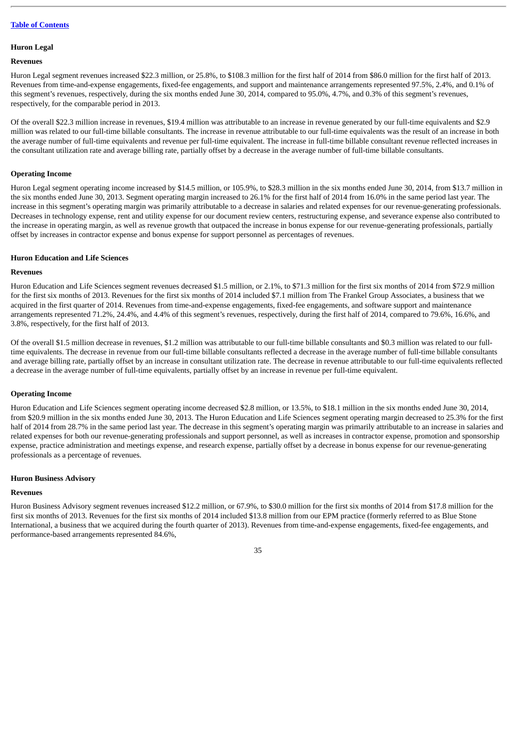#### **Huron Legal**

#### **Revenues**

Huron Legal segment revenues increased \$22.3 million, or 25.8%, to \$108.3 million for the first half of 2014 from \$86.0 million for the first half of 2013. Revenues from time-and-expense engagements, fixed-fee engagements, and support and maintenance arrangements represented 97.5%, 2.4%, and 0.1% of this segment's revenues, respectively, during the six months ended June 30, 2014, compared to 95.0%, 4.7%, and 0.3% of this segment's revenues, respectively, for the comparable period in 2013.

Of the overall \$22.3 million increase in revenues, \$19.4 million was attributable to an increase in revenue generated by our full-time equivalents and \$2.9 million was related to our full-time billable consultants. The increase in revenue attributable to our full-time equivalents was the result of an increase in both the average number of full-time equivalents and revenue per full-time equivalent. The increase in full-time billable consultant revenue reflected increases in the consultant utilization rate and average billing rate, partially offset by a decrease in the average number of full-time billable consultants.

#### **Operating Income**

Huron Legal segment operating income increased by \$14.5 million, or 105.9%, to \$28.3 million in the six months ended June 30, 2014, from \$13.7 million in the six months ended June 30, 2013. Segment operating margin increased to 26.1% for the first half of 2014 from 16.0% in the same period last year. The increase in this segment's operating margin was primarily attributable to a decrease in salaries and related expenses for our revenue-generating professionals. Decreases in technology expense, rent and utility expense for our document review centers, restructuring expense, and severance expense also contributed to the increase in operating margin, as well as revenue growth that outpaced the increase in bonus expense for our revenue-generating professionals, partially offset by increases in contractor expense and bonus expense for support personnel as percentages of revenues.

#### **Huron Education and Life Sciences**

#### **Revenues**

Huron Education and Life Sciences segment revenues decreased \$1.5 million, or 2.1%, to \$71.3 million for the first six months of 2014 from \$72.9 million for the first six months of 2013. Revenues for the first six months of 2014 included \$7.1 million from The Frankel Group Associates, a business that we acquired in the first quarter of 2014. Revenues from time-and-expense engagements, fixed-fee engagements, and software support and maintenance arrangements represented 71.2%, 24.4%, and 4.4% of this segment's revenues, respectively, during the first half of 2014, compared to 79.6%, 16.6%, and 3.8%, respectively, for the first half of 2013.

Of the overall \$1.5 million decrease in revenues, \$1.2 million was attributable to our full-time billable consultants and \$0.3 million was related to our fulltime equivalents. The decrease in revenue from our full-time billable consultants reflected a decrease in the average number of full-time billable consultants and average billing rate, partially offset by an increase in consultant utilization rate. The decrease in revenue attributable to our full-time equivalents reflected a decrease in the average number of full-time equivalents, partially offset by an increase in revenue per full-time equivalent.

#### **Operating Income**

Huron Education and Life Sciences segment operating income decreased \$2.8 million, or 13.5%, to \$18.1 million in the six months ended June 30, 2014, from \$20.9 million in the six months ended June 30, 2013. The Huron Education and Life Sciences segment operating margin decreased to 25.3% for the first half of 2014 from 28.7% in the same period last year. The decrease in this segment's operating margin was primarily attributable to an increase in salaries and related expenses for both our revenue-generating professionals and support personnel, as well as increases in contractor expense, promotion and sponsorship expense, practice administration and meetings expense, and research expense, partially offset by a decrease in bonus expense for our revenue-generating professionals as a percentage of revenues.

#### **Huron Business Advisory**

#### **Revenues**

Huron Business Advisory segment revenues increased \$12.2 million, or 67.9%, to \$30.0 million for the first six months of 2014 from \$17.8 million for the first six months of 2013. Revenues for the first six months of 2014 included \$13.8 million from our EPM practice (formerly referred to as Blue Stone International, a business that we acquired during the fourth quarter of 2013). Revenues from time-and-expense engagements, fixed-fee engagements, and performance-based arrangements represented 84.6%,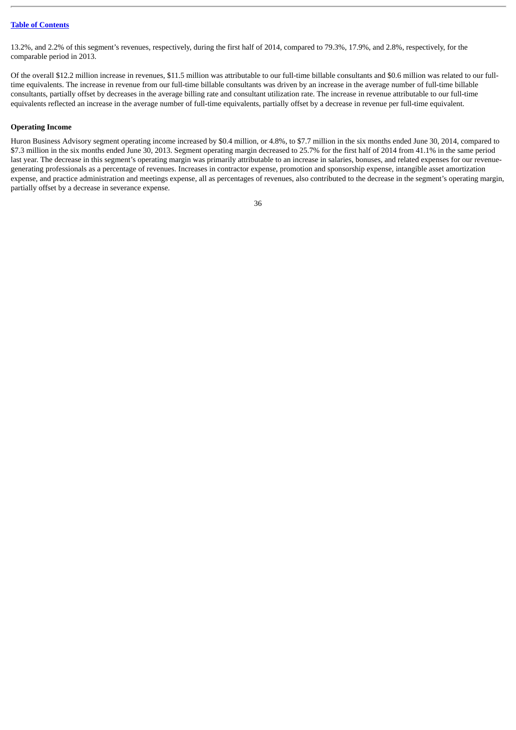13.2%, and 2.2% of this segment's revenues, respectively, during the first half of 2014, compared to 79.3%, 17.9%, and 2.8%, respectively, for the comparable period in 2013.

Of the overall \$12.2 million increase in revenues, \$11.5 million was attributable to our full-time billable consultants and \$0.6 million was related to our fulltime equivalents. The increase in revenue from our full-time billable consultants was driven by an increase in the average number of full-time billable consultants, partially offset by decreases in the average billing rate and consultant utilization rate. The increase in revenue attributable to our full-time equivalents reflected an increase in the average number of full-time equivalents, partially offset by a decrease in revenue per full-time equivalent.

#### **Operating Income**

Huron Business Advisory segment operating income increased by \$0.4 million, or 4.8%, to \$7.7 million in the six months ended June 30, 2014, compared to \$7.3 million in the six months ended June 30, 2013. Segment operating margin decreased to 25.7% for the first half of 2014 from 41.1% in the same period last year. The decrease in this segment's operating margin was primarily attributable to an increase in salaries, bonuses, and related expenses for our revenuegenerating professionals as a percentage of revenues. Increases in contractor expense, promotion and sponsorship expense, intangible asset amortization expense, and practice administration and meetings expense, all as percentages of revenues, also contributed to the decrease in the segment's operating margin, partially offset by a decrease in severance expense.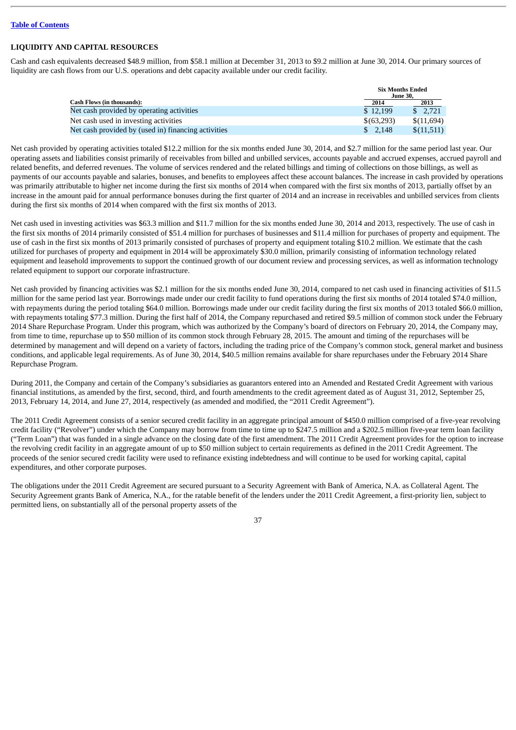## **LIQUIDITY AND CAPITAL RESOURCES**

Cash and cash equivalents decreased \$48.9 million, from \$58.1 million at December 31, 2013 to \$9.2 million at June 30, 2014. Our primary sources of liquidity are cash flows from our U.S. operations and debt capacity available under our credit facility.

|                                                     | <b>Six Months Ended</b><br><b>June 30.</b> |                        |
|-----------------------------------------------------|--------------------------------------------|------------------------|
| Cash Flows (in thousands):                          | 2014                                       | 2013                   |
| Net cash provided by operating activities           | \$12.199                                   | 2.721<br><sup>\$</sup> |
| Net cash used in investing activities               | $$$ (63,293)                               | \$(11,694)             |
| Net cash provided by (used in) financing activities | \$2.148                                    | \$(11,511)             |

Net cash provided by operating activities totaled \$12.2 million for the six months ended June 30, 2014, and \$2.7 million for the same period last year. Our operating assets and liabilities consist primarily of receivables from billed and unbilled services, accounts payable and accrued expenses, accrued payroll and related benefits, and deferred revenues. The volume of services rendered and the related billings and timing of collections on those billings, as well as payments of our accounts payable and salaries, bonuses, and benefits to employees affect these account balances. The increase in cash provided by operations was primarily attributable to higher net income during the first six months of 2014 when compared with the first six months of 2013, partially offset by an increase in the amount paid for annual performance bonuses during the first quarter of 2014 and an increase in receivables and unbilled services from clients during the first six months of 2014 when compared with the first six months of 2013.

Net cash used in investing activities was \$63.3 million and \$11.7 million for the six months ended June 30, 2014 and 2013, respectively. The use of cash in the first six months of 2014 primarily consisted of \$51.4 million for purchases of businesses and \$11.4 million for purchases of property and equipment. The use of cash in the first six months of 2013 primarily consisted of purchases of property and equipment totaling \$10.2 million. We estimate that the cash utilized for purchases of property and equipment in 2014 will be approximately \$30.0 million, primarily consisting of information technology related equipment and leasehold improvements to support the continued growth of our document review and processing services, as well as information technology related equipment to support our corporate infrastructure.

Net cash provided by financing activities was \$2.1 million for the six months ended June 30, 2014, compared to net cash used in financing activities of \$11.5 million for the same period last year. Borrowings made under our credit facility to fund operations during the first six months of 2014 totaled \$74.0 million, with repayments during the period totaling \$64.0 million. Borrowings made under our credit facility during the first six months of 2013 totaled \$66.0 million, with repayments totaling \$77.3 million. During the first half of 2014, the Company repurchased and retired \$9.5 million of common stock under the February 2014 Share Repurchase Program. Under this program, which was authorized by the Company's board of directors on February 20, 2014, the Company may, from time to time, repurchase up to \$50 million of its common stock through February 28, 2015. The amount and timing of the repurchases will be determined by management and will depend on a variety of factors, including the trading price of the Company's common stock, general market and business conditions, and applicable legal requirements. As of June 30, 2014, \$40.5 million remains available for share repurchases under the February 2014 Share Repurchase Program.

During 2011, the Company and certain of the Company's subsidiaries as guarantors entered into an Amended and Restated Credit Agreement with various financial institutions, as amended by the first, second, third, and fourth amendments to the credit agreement dated as of August 31, 2012, September 25, 2013, February 14, 2014, and June 27, 2014, respectively (as amended and modified, the "2011 Credit Agreement").

The 2011 Credit Agreement consists of a senior secured credit facility in an aggregate principal amount of \$450.0 million comprised of a five-year revolving credit facility ("Revolver") under which the Company may borrow from time to time up to \$247.5 million and a \$202.5 million five-year term loan facility ("Term Loan") that was funded in a single advance on the closing date of the first amendment. The 2011 Credit Agreement provides for the option to increase the revolving credit facility in an aggregate amount of up to \$50 million subject to certain requirements as defined in the 2011 Credit Agreement. The proceeds of the senior secured credit facility were used to refinance existing indebtedness and will continue to be used for working capital, capital expenditures, and other corporate purposes.

The obligations under the 2011 Credit Agreement are secured pursuant to a Security Agreement with Bank of America, N.A. as Collateral Agent. The Security Agreement grants Bank of America, N.A., for the ratable benefit of the lenders under the 2011 Credit Agreement, a first-priority lien, subject to permitted liens, on substantially all of the personal property assets of the

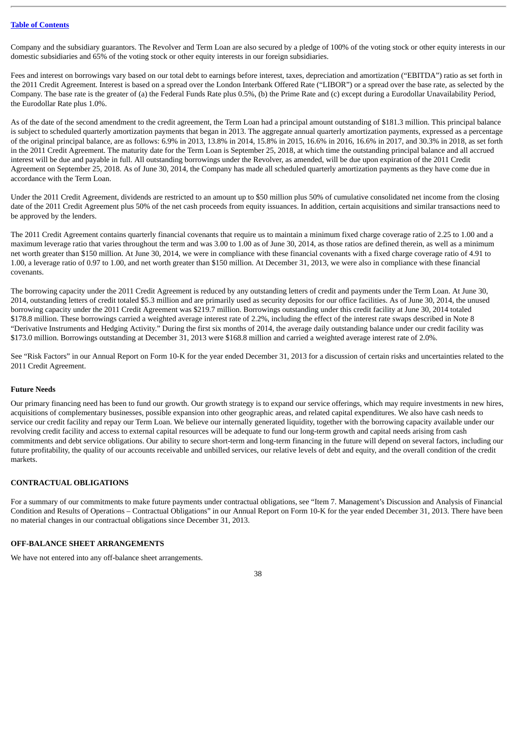Company and the subsidiary guarantors. The Revolver and Term Loan are also secured by a pledge of 100% of the voting stock or other equity interests in our domestic subsidiaries and 65% of the voting stock or other equity interests in our foreign subsidiaries.

Fees and interest on borrowings vary based on our total debt to earnings before interest, taxes, depreciation and amortization ("EBITDA") ratio as set forth in the 2011 Credit Agreement. Interest is based on a spread over the London Interbank Offered Rate ("LIBOR") or a spread over the base rate, as selected by the Company. The base rate is the greater of (a) the Federal Funds Rate plus 0.5%, (b) the Prime Rate and (c) except during a Eurodollar Unavailability Period, the Eurodollar Rate plus 1.0%.

As of the date of the second amendment to the credit agreement, the Term Loan had a principal amount outstanding of \$181.3 million. This principal balance is subject to scheduled quarterly amortization payments that began in 2013. The aggregate annual quarterly amortization payments, expressed as a percentage of the original principal balance, are as follows: 6.9% in 2013, 13.8% in 2014, 15.8% in 2015, 16.6% in 2016, 16.6% in 2017, and 30.3% in 2018, as set forth in the 2011 Credit Agreement. The maturity date for the Term Loan is September 25, 2018, at which time the outstanding principal balance and all accrued interest will be due and payable in full. All outstanding borrowings under the Revolver, as amended, will be due upon expiration of the 2011 Credit Agreement on September 25, 2018. As of June 30, 2014, the Company has made all scheduled quarterly amortization payments as they have come due in accordance with the Term Loan.

Under the 2011 Credit Agreement, dividends are restricted to an amount up to \$50 million plus 50% of cumulative consolidated net income from the closing date of the 2011 Credit Agreement plus 50% of the net cash proceeds from equity issuances. In addition, certain acquisitions and similar transactions need to be approved by the lenders.

The 2011 Credit Agreement contains quarterly financial covenants that require us to maintain a minimum fixed charge coverage ratio of 2.25 to 1.00 and a maximum leverage ratio that varies throughout the term and was 3.00 to 1.00 as of June 30, 2014, as those ratios are defined therein, as well as a minimum net worth greater than \$150 million. At June 30, 2014, we were in compliance with these financial covenants with a fixed charge coverage ratio of 4.91 to 1.00, a leverage ratio of 0.97 to 1.00, and net worth greater than \$150 million. At December 31, 2013, we were also in compliance with these financial covenants.

The borrowing capacity under the 2011 Credit Agreement is reduced by any outstanding letters of credit and payments under the Term Loan. At June 30, 2014, outstanding letters of credit totaled \$5.3 million and are primarily used as security deposits for our office facilities. As of June 30, 2014, the unused borrowing capacity under the 2011 Credit Agreement was \$219.7 million. Borrowings outstanding under this credit facility at June 30, 2014 totaled \$178.8 million. These borrowings carried a weighted average interest rate of 2.2%, including the effect of the interest rate swaps described in Note 8 "Derivative Instruments and Hedging Activity." During the first six months of 2014, the average daily outstanding balance under our credit facility was \$173.0 million. Borrowings outstanding at December 31, 2013 were \$168.8 million and carried a weighted average interest rate of 2.0%.

See "Risk Factors" in our Annual Report on Form 10-K for the year ended December 31, 2013 for a discussion of certain risks and uncertainties related to the 2011 Credit Agreement.

#### **Future Needs**

Our primary financing need has been to fund our growth. Our growth strategy is to expand our service offerings, which may require investments in new hires, acquisitions of complementary businesses, possible expansion into other geographic areas, and related capital expenditures. We also have cash needs to service our credit facility and repay our Term Loan. We believe our internally generated liquidity, together with the borrowing capacity available under our revolving credit facility and access to external capital resources will be adequate to fund our long-term growth and capital needs arising from cash commitments and debt service obligations. Our ability to secure short-term and long-term financing in the future will depend on several factors, including our future profitability, the quality of our accounts receivable and unbilled services, our relative levels of debt and equity, and the overall condition of the credit markets.

## **CONTRACTUAL OBLIGATIONS**

For a summary of our commitments to make future payments under contractual obligations, see "Item 7. Management's Discussion and Analysis of Financial Condition and Results of Operations – Contractual Obligations" in our Annual Report on Form 10-K for the year ended December 31, 2013. There have been no material changes in our contractual obligations since December 31, 2013.

#### **OFF-BALANCE SHEET ARRANGEMENTS**

We have not entered into any off-balance sheet arrangements.

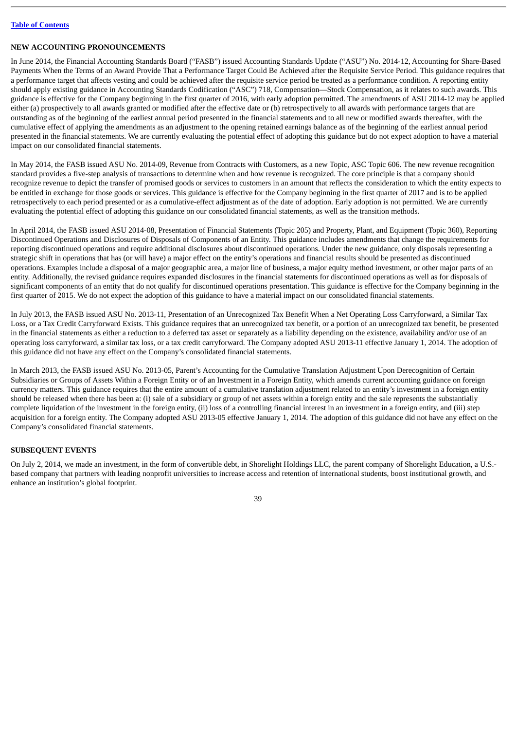## **NEW ACCOUNTING PRONOUNCEMENTS**

In June 2014, the Financial Accounting Standards Board ("FASB") issued Accounting Standards Update ("ASU") No. 2014-12, Accounting for Share-Based Payments When the Terms of an Award Provide That a Performance Target Could Be Achieved after the Requisite Service Period. This guidance requires that a performance target that affects vesting and could be achieved after the requisite service period be treated as a performance condition. A reporting entity should apply existing guidance in Accounting Standards Codification ("ASC") 718, Compensation—Stock Compensation, as it relates to such awards. This guidance is effective for the Company beginning in the first quarter of 2016, with early adoption permitted. The amendments of ASU 2014-12 may be applied either (a) prospectively to all awards granted or modified after the effective date or (b) retrospectively to all awards with performance targets that are outstanding as of the beginning of the earliest annual period presented in the financial statements and to all new or modified awards thereafter, with the cumulative effect of applying the amendments as an adjustment to the opening retained earnings balance as of the beginning of the earliest annual period presented in the financial statements. We are currently evaluating the potential effect of adopting this guidance but do not expect adoption to have a material impact on our consolidated financial statements.

In May 2014, the FASB issued ASU No. 2014-09, Revenue from Contracts with Customers, as a new Topic, ASC Topic 606. The new revenue recognition standard provides a five-step analysis of transactions to determine when and how revenue is recognized. The core principle is that a company should recognize revenue to depict the transfer of promised goods or services to customers in an amount that reflects the consideration to which the entity expects to be entitled in exchange for those goods or services. This guidance is effective for the Company beginning in the first quarter of 2017 and is to be applied retrospectively to each period presented or as a cumulative-effect adjustment as of the date of adoption. Early adoption is not permitted. We are currently evaluating the potential effect of adopting this guidance on our consolidated financial statements, as well as the transition methods.

In April 2014, the FASB issued ASU 2014-08, Presentation of Financial Statements (Topic 205) and Property, Plant, and Equipment (Topic 360), Reporting Discontinued Operations and Disclosures of Disposals of Components of an Entity. This guidance includes amendments that change the requirements for reporting discontinued operations and require additional disclosures about discontinued operations. Under the new guidance, only disposals representing a strategic shift in operations that has (or will have) a major effect on the entity's operations and financial results should be presented as discontinued operations. Examples include a disposal of a major geographic area, a major line of business, a major equity method investment, or other major parts of an entity. Additionally, the revised guidance requires expanded disclosures in the financial statements for discontinued operations as well as for disposals of significant components of an entity that do not qualify for discontinued operations presentation. This guidance is effective for the Company beginning in the first quarter of 2015. We do not expect the adoption of this guidance to have a material impact on our consolidated financial statements.

In July 2013, the FASB issued ASU No. 2013-11, Presentation of an Unrecognized Tax Benefit When a Net Operating Loss Carryforward, a Similar Tax Loss, or a Tax Credit Carryforward Exists. This guidance requires that an unrecognized tax benefit, or a portion of an unrecognized tax benefit, be presented in the financial statements as either a reduction to a deferred tax asset or separately as a liability depending on the existence, availability and/or use of an operating loss carryforward, a similar tax loss, or a tax credit carryforward. The Company adopted ASU 2013-11 effective January 1, 2014. The adoption of this guidance did not have any effect on the Company's consolidated financial statements.

In March 2013, the FASB issued ASU No. 2013-05, Parent's Accounting for the Cumulative Translation Adjustment Upon Derecognition of Certain Subsidiaries or Groups of Assets Within a Foreign Entity or of an Investment in a Foreign Entity, which amends current accounting guidance on foreign currency matters. This guidance requires that the entire amount of a cumulative translation adjustment related to an entity's investment in a foreign entity should be released when there has been a: (i) sale of a subsidiary or group of net assets within a foreign entity and the sale represents the substantially complete liquidation of the investment in the foreign entity, (ii) loss of a controlling financial interest in an investment in a foreign entity, and (iii) step acquisition for a foreign entity. The Company adopted ASU 2013-05 effective January 1, 2014. The adoption of this guidance did not have any effect on the Company's consolidated financial statements.

## **SUBSEQUENT EVENTS**

On July 2, 2014, we made an investment, in the form of convertible debt, in Shorelight Holdings LLC, the parent company of Shorelight Education, a U.S. based company that partners with leading nonprofit universities to increase access and retention of international students, boost institutional growth, and enhance an institution's global footprint.

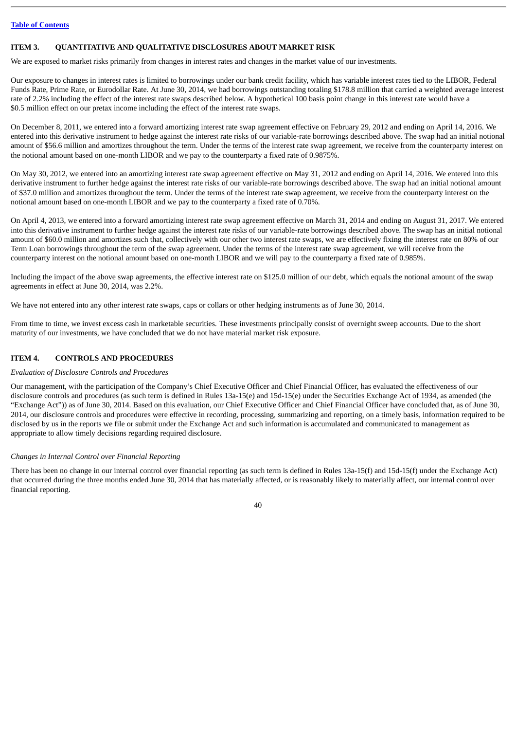## <span id="page-41-0"></span>**ITEM 3. QUANTITATIVE AND QUALITATIVE DISCLOSURES ABOUT MARKET RISK**

We are exposed to market risks primarily from changes in interest rates and changes in the market value of our investments.

Our exposure to changes in interest rates is limited to borrowings under our bank credit facility, which has variable interest rates tied to the LIBOR, Federal Funds Rate, Prime Rate, or Eurodollar Rate. At June 30, 2014, we had borrowings outstanding totaling \$178.8 million that carried a weighted average interest rate of 2.2% including the effect of the interest rate swaps described below. A hypothetical 100 basis point change in this interest rate would have a \$0.5 million effect on our pretax income including the effect of the interest rate swaps.

On December 8, 2011, we entered into a forward amortizing interest rate swap agreement effective on February 29, 2012 and ending on April 14, 2016. We entered into this derivative instrument to hedge against the interest rate risks of our variable-rate borrowings described above. The swap had an initial notional amount of \$56.6 million and amortizes throughout the term. Under the terms of the interest rate swap agreement, we receive from the counterparty interest on the notional amount based on one-month LIBOR and we pay to the counterparty a fixed rate of 0.9875%.

On May 30, 2012, we entered into an amortizing interest rate swap agreement effective on May 31, 2012 and ending on April 14, 2016. We entered into this derivative instrument to further hedge against the interest rate risks of our variable-rate borrowings described above. The swap had an initial notional amount of \$37.0 million and amortizes throughout the term. Under the terms of the interest rate swap agreement, we receive from the counterparty interest on the notional amount based on one-month LIBOR and we pay to the counterparty a fixed rate of 0.70%.

On April 4, 2013, we entered into a forward amortizing interest rate swap agreement effective on March 31, 2014 and ending on August 31, 2017. We entered into this derivative instrument to further hedge against the interest rate risks of our variable-rate borrowings described above. The swap has an initial notional amount of \$60.0 million and amortizes such that, collectively with our other two interest rate swaps, we are effectively fixing the interest rate on 80% of our Term Loan borrowings throughout the term of the swap agreement. Under the terms of the interest rate swap agreement, we will receive from the counterparty interest on the notional amount based on one-month LIBOR and we will pay to the counterparty a fixed rate of 0.985%.

Including the impact of the above swap agreements, the effective interest rate on \$125.0 million of our debt, which equals the notional amount of the swap agreements in effect at June 30, 2014, was 2.2%.

We have not entered into any other interest rate swaps, caps or collars or other hedging instruments as of June 30, 2014.

From time to time, we invest excess cash in marketable securities. These investments principally consist of overnight sweep accounts. Due to the short maturity of our investments, we have concluded that we do not have material market risk exposure.

#### <span id="page-41-1"></span>**ITEM 4. CONTROLS AND PROCEDURES**

#### *Evaluation of Disclosure Controls and Procedures*

Our management, with the participation of the Company's Chief Executive Officer and Chief Financial Officer, has evaluated the effectiveness of our disclosure controls and procedures (as such term is defined in Rules 13a-15(e) and 15d-15(e) under the Securities Exchange Act of 1934, as amended (the "Exchange Act")) as of June 30, 2014. Based on this evaluation, our Chief Executive Officer and Chief Financial Officer have concluded that, as of June 30, 2014, our disclosure controls and procedures were effective in recording, processing, summarizing and reporting, on a timely basis, information required to be disclosed by us in the reports we file or submit under the Exchange Act and such information is accumulated and communicated to management as appropriate to allow timely decisions regarding required disclosure.

#### *Changes in Internal Control over Financial Reporting*

There has been no change in our internal control over financial reporting (as such term is defined in Rules 13a-15(f) and 15d-15(f) under the Exchange Act) that occurred during the three months ended June 30, 2014 that has materially affected, or is reasonably likely to materially affect, our internal control over financial reporting.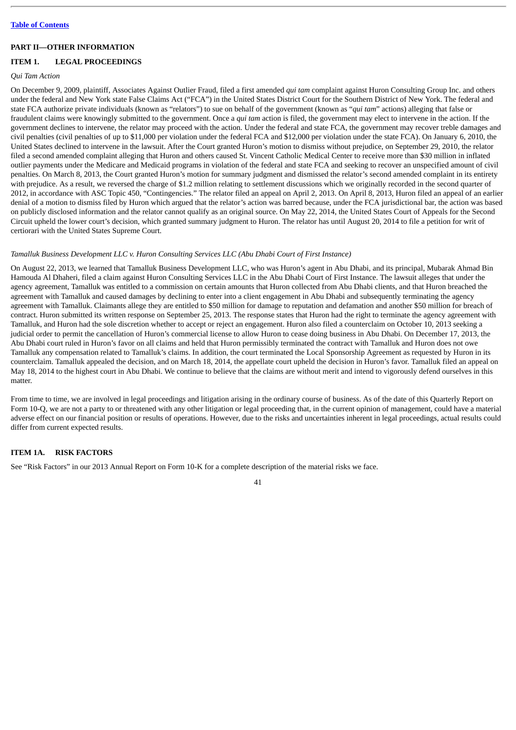## <span id="page-42-0"></span>**PART II—OTHER INFORMATION**

## <span id="page-42-1"></span>**ITEM 1. LEGAL PROCEEDINGS**

## *Qui Tam Action*

On December 9, 2009, plaintiff, Associates Against Outlier Fraud, filed a first amended *qui tam* complaint against Huron Consulting Group Inc. and others under the federal and New York state False Claims Act ("FCA") in the United States District Court for the Southern District of New York. The federal and state FCA authorize private individuals (known as "relators") to sue on behalf of the government (known as "*qui tam*" actions) alleging that false or fraudulent claims were knowingly submitted to the government. Once a *qui tam* action is filed, the government may elect to intervene in the action. If the government declines to intervene, the relator may proceed with the action. Under the federal and state FCA, the government may recover treble damages and civil penalties (civil penalties of up to \$11,000 per violation under the federal FCA and \$12,000 per violation under the state FCA). On January 6, 2010, the United States declined to intervene in the lawsuit. After the Court granted Huron's motion to dismiss without prejudice, on September 29, 2010, the relator filed a second amended complaint alleging that Huron and others caused St. Vincent Catholic Medical Center to receive more than \$30 million in inflated outlier payments under the Medicare and Medicaid programs in violation of the federal and state FCA and seeking to recover an unspecified amount of civil penalties. On March 8, 2013, the Court granted Huron's motion for summary judgment and dismissed the relator's second amended complaint in its entirety with prejudice. As a result, we reversed the charge of \$1.2 million relating to settlement discussions which we originally recorded in the second quarter of 2012, in accordance with ASC Topic 450, "Contingencies." The relator filed an appeal on April 2, 2013. On April 8, 2013, Huron filed an appeal of an earlier denial of a motion to dismiss filed by Huron which argued that the relator's action was barred because, under the FCA jurisdictional bar, the action was based on publicly disclosed information and the relator cannot qualify as an original source. On May 22, 2014, the United States Court of Appeals for the Second Circuit upheld the lower court's decision, which granted summary judgment to Huron. The relator has until August 20, 2014 to file a petition for writ of certiorari with the United States Supreme Court.

#### *Tamalluk Business Development LLC v. Huron Consulting Services LLC (Abu Dhabi Court of First Instance)*

On August 22, 2013, we learned that Tamalluk Business Development LLC, who was Huron's agent in Abu Dhabi, and its principal, Mubarak Ahmad Bin Hamouda Al Dhaheri, filed a claim against Huron Consulting Services LLC in the Abu Dhabi Court of First Instance. The lawsuit alleges that under the agency agreement, Tamalluk was entitled to a commission on certain amounts that Huron collected from Abu Dhabi clients, and that Huron breached the agreement with Tamalluk and caused damages by declining to enter into a client engagement in Abu Dhabi and subsequently terminating the agency agreement with Tamalluk. Claimants allege they are entitled to \$50 million for damage to reputation and defamation and another \$50 million for breach of contract. Huron submitted its written response on September 25, 2013. The response states that Huron had the right to terminate the agency agreement with Tamalluk, and Huron had the sole discretion whether to accept or reject an engagement. Huron also filed a counterclaim on October 10, 2013 seeking a judicial order to permit the cancellation of Huron's commercial license to allow Huron to cease doing business in Abu Dhabi. On December 17, 2013, the Abu Dhabi court ruled in Huron's favor on all claims and held that Huron permissibly terminated the contract with Tamalluk and Huron does not owe Tamalluk any compensation related to Tamalluk's claims. In addition, the court terminated the Local Sponsorship Agreement as requested by Huron in its counterclaim. Tamalluk appealed the decision, and on March 18, 2014, the appellate court upheld the decision in Huron's favor. Tamalluk filed an appeal on May 18, 2014 to the highest court in Abu Dhabi. We continue to believe that the claims are without merit and intend to vigorously defend ourselves in this matter.

From time to time, we are involved in legal proceedings and litigation arising in the ordinary course of business. As of the date of this Quarterly Report on Form 10-Q, we are not a party to or threatened with any other litigation or legal proceeding that, in the current opinion of management, could have a material adverse effect on our financial position or results of operations. However, due to the risks and uncertainties inherent in legal proceedings, actual results could differ from current expected results.

## <span id="page-42-2"></span>**ITEM 1A. RISK FACTORS**

See "Risk Factors" in our 2013 Annual Report on Form 10-K for a complete description of the material risks we face.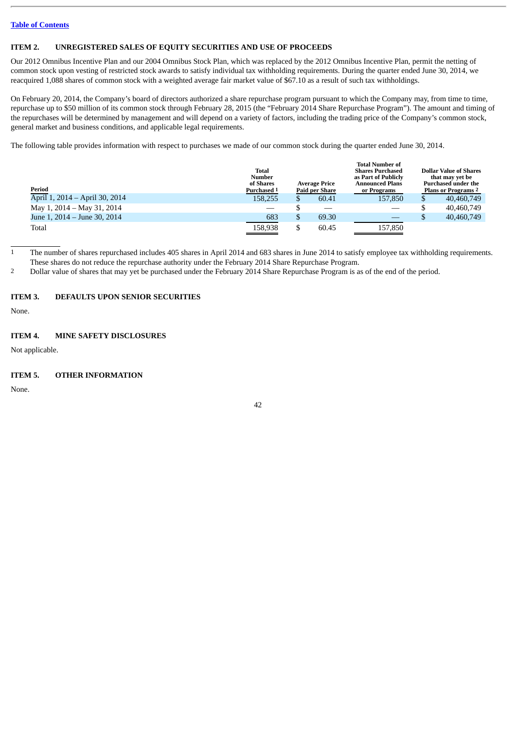## <span id="page-43-0"></span>**ITEM 2. UNREGISTERED SALES OF EQUITY SECURITIES AND USE OF PROCEEDS**

Our 2012 Omnibus Incentive Plan and our 2004 Omnibus Stock Plan, which was replaced by the 2012 Omnibus Incentive Plan, permit the netting of common stock upon vesting of restricted stock awards to satisfy individual tax withholding requirements. During the quarter ended June 30, 2014, we reacquired 1,088 shares of common stock with a weighted average fair market value of \$67.10 as a result of such tax withholdings.

On February 20, 2014, the Company's board of directors authorized a share repurchase program pursuant to which the Company may, from time to time, repurchase up to \$50 million of its common stock through February 28, 2015 (the "February 2014 Share Repurchase Program"). The amount and timing of the repurchases will be determined by management and will depend on a variety of factors, including the trading price of the Company's common stock, general market and business conditions, and applicable legal requirements.

The following table provides information with respect to purchases we made of our common stock during the quarter ended June 30, 2014.

| Period                         | Total<br><b>Number</b><br>of Shares<br>Purchased 1 | <b>Average Price</b> |       | <b>Paid per Share</b> |   |            |  |  |  |  |  |  |  |  |  |  |  |  |  | <b>Total Number of</b><br><b>Shares Purchased</b><br>as Part of Publicly<br><b>Announced Plans</b><br>or Programs |  | <b>Dollar Value of Shares</b><br>that may yet be<br>Purchased under the<br><b>Plans or Programs 2</b> |
|--------------------------------|----------------------------------------------------|----------------------|-------|-----------------------|---|------------|--|--|--|--|--|--|--|--|--|--|--|--|--|-------------------------------------------------------------------------------------------------------------------|--|-------------------------------------------------------------------------------------------------------|
| April 1, 2014 - April 30, 2014 | 158.255                                            | S                    | 60.41 | 157,850               | D | 40,460,749 |  |  |  |  |  |  |  |  |  |  |  |  |  |                                                                                                                   |  |                                                                                                       |
| May 1, 2014 – May 31, 2014     |                                                    |                      |       |                       |   | 40,460,749 |  |  |  |  |  |  |  |  |  |  |  |  |  |                                                                                                                   |  |                                                                                                       |
| June 1, 2014 – June 30, 2014   | 683                                                | S                    | 69.30 |                       |   | 40,460,749 |  |  |  |  |  |  |  |  |  |  |  |  |  |                                                                                                                   |  |                                                                                                       |
| Total                          | 158,938                                            | S                    | 60.45 | 157.850               |   |            |  |  |  |  |  |  |  |  |  |  |  |  |  |                                                                                                                   |  |                                                                                                       |

1 The number of shares repurchased includes 405 shares in April 2014 and 683 shares in June 2014 to satisfy employee tax withholding requirements. These shares do not reduce the repurchase authority under the February 2014 Share Repurchase Program.

<sup>2</sup> Dollar value of shares that may yet be purchased under the February 2014 Share Repurchase Program is as of the end of the period.

#### <span id="page-43-1"></span>**ITEM 3. DEFAULTS UPON SENIOR SECURITIES**

None.

## <span id="page-43-2"></span>**ITEM 4. MINE SAFETY DISCLOSURES**

Not applicable.

#### <span id="page-43-3"></span>**ITEM 5. OTHER INFORMATION**

None.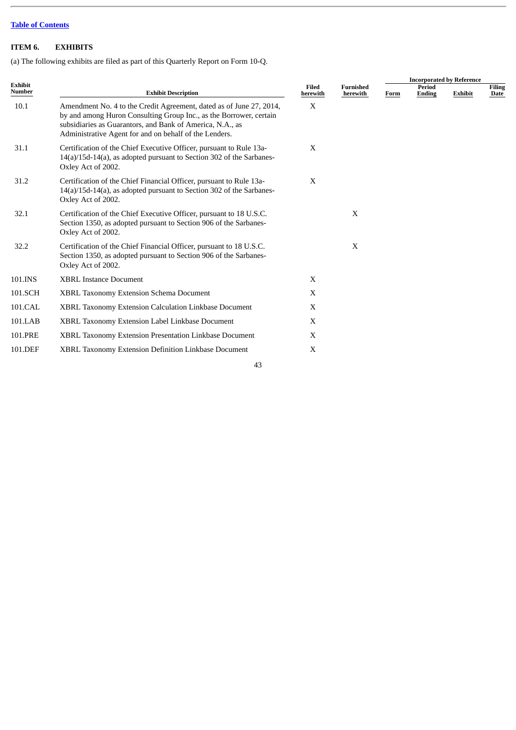## <span id="page-44-0"></span>**ITEM 6. EXHIBITS**

(a) The following exhibits are filed as part of this Quarterly Report on Form 10-Q.

| <b>Exhibit</b><br><b>Number</b> | <b>Exhibit Description</b>                                                                                                                                                                                                                                       | <b>Filed</b><br>herewith | <b>Furnished</b><br>herewith | <b>Incorporated by Reference</b> |                                |                |                       |
|---------------------------------|------------------------------------------------------------------------------------------------------------------------------------------------------------------------------------------------------------------------------------------------------------------|--------------------------|------------------------------|----------------------------------|--------------------------------|----------------|-----------------------|
|                                 |                                                                                                                                                                                                                                                                  |                          |                              | Form                             | <b>Period</b><br><b>Ending</b> | <b>Exhibit</b> | <b>Filing</b><br>Date |
| 10.1                            | Amendment No. 4 to the Credit Agreement, dated as of June 27, 2014,<br>by and among Huron Consulting Group Inc., as the Borrower, certain<br>subsidiaries as Guarantors, and Bank of America, N.A., as<br>Administrative Agent for and on behalf of the Lenders. | X                        |                              |                                  |                                |                |                       |
| 31.1                            | Certification of the Chief Executive Officer, pursuant to Rule 13a-<br>14(a)/15d-14(a), as adopted pursuant to Section 302 of the Sarbanes-<br>Oxley Act of 2002.                                                                                                | X                        |                              |                                  |                                |                |                       |
| 31.2                            | Certification of the Chief Financial Officer, pursuant to Rule 13a-<br>14(a)/15d-14(a), as adopted pursuant to Section 302 of the Sarbanes-<br>Oxley Act of 2002.                                                                                                | X                        |                              |                                  |                                |                |                       |
| 32.1                            | Certification of the Chief Executive Officer, pursuant to 18 U.S.C.<br>Section 1350, as adopted pursuant to Section 906 of the Sarbanes-<br>Oxley Act of 2002.                                                                                                   |                          | X                            |                                  |                                |                |                       |
| 32.2                            | Certification of the Chief Financial Officer, pursuant to 18 U.S.C.<br>Section 1350, as adopted pursuant to Section 906 of the Sarbanes-<br>Oxley Act of 2002.                                                                                                   |                          | X                            |                                  |                                |                |                       |
| 101.INS                         | <b>XBRL Instance Document</b>                                                                                                                                                                                                                                    | X                        |                              |                                  |                                |                |                       |
| 101.SCH                         | <b>XBRL Taxonomy Extension Schema Document</b>                                                                                                                                                                                                                   | X                        |                              |                                  |                                |                |                       |
| 101.CAL                         | XBRL Taxonomy Extension Calculation Linkbase Document                                                                                                                                                                                                            | X                        |                              |                                  |                                |                |                       |
| 101.LAB                         | XBRL Taxonomy Extension Label Linkbase Document                                                                                                                                                                                                                  | X                        |                              |                                  |                                |                |                       |
| 101.PRE                         | XBRL Taxonomy Extension Presentation Linkbase Document                                                                                                                                                                                                           | X                        |                              |                                  |                                |                |                       |
| 101.DEF                         | XBRL Taxonomy Extension Definition Linkbase Document                                                                                                                                                                                                             | X                        |                              |                                  |                                |                |                       |
|                                 | 43                                                                                                                                                                                                                                                               |                          |                              |                                  |                                |                |                       |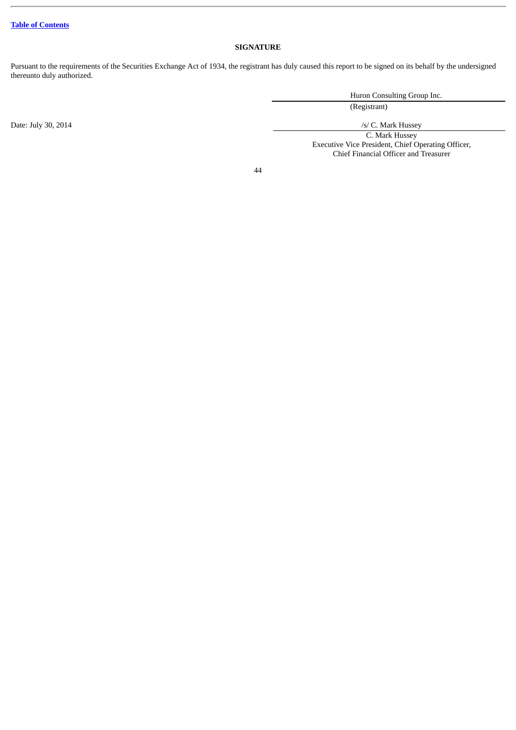## **SIGNATURE**

<span id="page-45-0"></span>Pursuant to the requirements of the Securities Exchange Act of 1934, the registrant has duly caused this report to be signed on its behalf by the undersigned thereunto duly authorized.

Huron Consulting Group Inc.

(Registrant)

Date: July 30, 2014 /s/ C. Mark Hussey

C. Mark Hussey Executive Vice President, Chief Operating Officer, Chief Financial Officer and Treasurer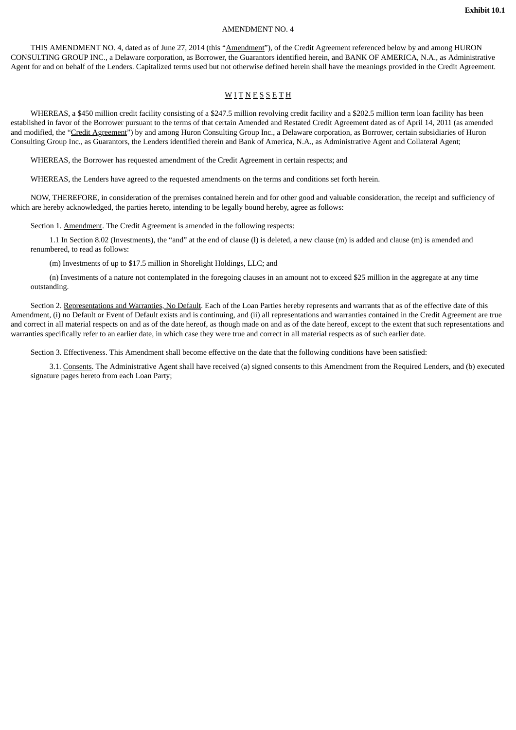#### AMENDMENT NO. 4

THIS AMENDMENT NO. 4, dated as of June 27, 2014 (this "Amendment"), of the Credit Agreement referenced below by and among HURON CONSULTING GROUP INC., a Delaware corporation, as Borrower, the Guarantors identified herein, and BANK OF AMERICA, N.A., as Administrative Agent for and on behalf of the Lenders. Capitalized terms used but not otherwise defined herein shall have the meanings provided in the Credit Agreement.

## WITNESSETH

WHEREAS, a \$450 million credit facility consisting of a \$247.5 million revolving credit facility and a \$202.5 million term loan facility has been established in favor of the Borrower pursuant to the terms of that certain Amended and Restated Credit Agreement dated as of April 14, 2011 (as amended and modified, the "Credit Agreement") by and among Huron Consulting Group Inc., a Delaware corporation, as Borrower, certain subsidiaries of Huron Consulting Group Inc., as Guarantors, the Lenders identified therein and Bank of America, N.A., as Administrative Agent and Collateral Agent;

WHEREAS, the Borrower has requested amendment of the Credit Agreement in certain respects; and

WHEREAS, the Lenders have agreed to the requested amendments on the terms and conditions set forth herein.

NOW, THEREFORE, in consideration of the premises contained herein and for other good and valuable consideration, the receipt and sufficiency of which are hereby acknowledged, the parties hereto, intending to be legally bound hereby, agree as follows:

Section 1. Amendment. The Credit Agreement is amended in the following respects:

1.1 In Section 8.02 (Investments), the "and" at the end of clause (l) is deleted, a new clause (m) is added and clause (m) is amended and renumbered, to read as follows:

(m) Investments of up to \$17.5 million in Shorelight Holdings, LLC; and

(n) Investments of a nature not contemplated in the foregoing clauses in an amount not to exceed \$25 million in the aggregate at any time outstanding.

Section 2. Representations and Warranties, No Default. Each of the Loan Parties hereby represents and warrants that as of the effective date of this Amendment, (i) no Default or Event of Default exists and is continuing, and (ii) all representations and warranties contained in the Credit Agreement are true and correct in all material respects on and as of the date hereof, as though made on and as of the date hereof, except to the extent that such representations and warranties specifically refer to an earlier date, in which case they were true and correct in all material respects as of such earlier date.

Section 3. Effectiveness. This Amendment shall become effective on the date that the following conditions have been satisfied:

3.1. Consents. The Administrative Agent shall have received (a) signed consents to this Amendment from the Required Lenders, and (b) executed signature pages hereto from each Loan Party;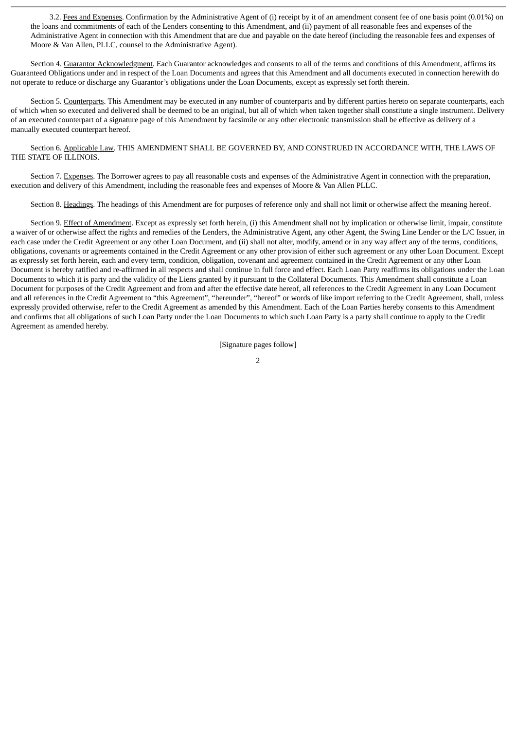3.2. Fees and Expenses. Confirmation by the Administrative Agent of (i) receipt by it of an amendment consent fee of one basis point (0.01%) on the loans and commitments of each of the Lenders consenting to this Amendment, and (ii) payment of all reasonable fees and expenses of the Administrative Agent in connection with this Amendment that are due and payable on the date hereof (including the reasonable fees and expenses of Moore & Van Allen, PLLC, counsel to the Administrative Agent).

Section 4. Guarantor Acknowledgment. Each Guarantor acknowledges and consents to all of the terms and conditions of this Amendment, affirms its Guaranteed Obligations under and in respect of the Loan Documents and agrees that this Amendment and all documents executed in connection herewith do not operate to reduce or discharge any Guarantor's obligations under the Loan Documents, except as expressly set forth therein.

Section 5. Counterparts. This Amendment may be executed in any number of counterparts and by different parties hereto on separate counterparts, each of which when so executed and delivered shall be deemed to be an original, but all of which when taken together shall constitute a single instrument. Delivery of an executed counterpart of a signature page of this Amendment by facsimile or any other electronic transmission shall be effective as delivery of a manually executed counterpart hereof.

Section 6. Applicable Law. THIS AMENDMENT SHALL BE GOVERNED BY, AND CONSTRUED IN ACCORDANCE WITH, THE LAWS OF THE STATE OF ILLINOIS.

Section 7. Expenses. The Borrower agrees to pay all reasonable costs and expenses of the Administrative Agent in connection with the preparation, execution and delivery of this Amendment, including the reasonable fees and expenses of Moore & Van Allen PLLC.

Section 8. Headings. The headings of this Amendment are for purposes of reference only and shall not limit or otherwise affect the meaning hereof.

Section 9. Effect of Amendment. Except as expressly set forth herein, (i) this Amendment shall not by implication or otherwise limit, impair, constitute a waiver of or otherwise affect the rights and remedies of the Lenders, the Administrative Agent, any other Agent, the Swing Line Lender or the L/C Issuer, in each case under the Credit Agreement or any other Loan Document, and (ii) shall not alter, modify, amend or in any way affect any of the terms, conditions, obligations, covenants or agreements contained in the Credit Agreement or any other provision of either such agreement or any other Loan Document. Except as expressly set forth herein, each and every term, condition, obligation, covenant and agreement contained in the Credit Agreement or any other Loan Document is hereby ratified and re-affirmed in all respects and shall continue in full force and effect. Each Loan Party reaffirms its obligations under the Loan Documents to which it is party and the validity of the Liens granted by it pursuant to the Collateral Documents. This Amendment shall constitute a Loan Document for purposes of the Credit Agreement and from and after the effective date hereof, all references to the Credit Agreement in any Loan Document and all references in the Credit Agreement to "this Agreement", "hereunder", "hereof" or words of like import referring to the Credit Agreement, shall, unless expressly provided otherwise, refer to the Credit Agreement as amended by this Amendment. Each of the Loan Parties hereby consents to this Amendment and confirms that all obligations of such Loan Party under the Loan Documents to which such Loan Party is a party shall continue to apply to the Credit Agreement as amended hereby.

[Signature pages follow]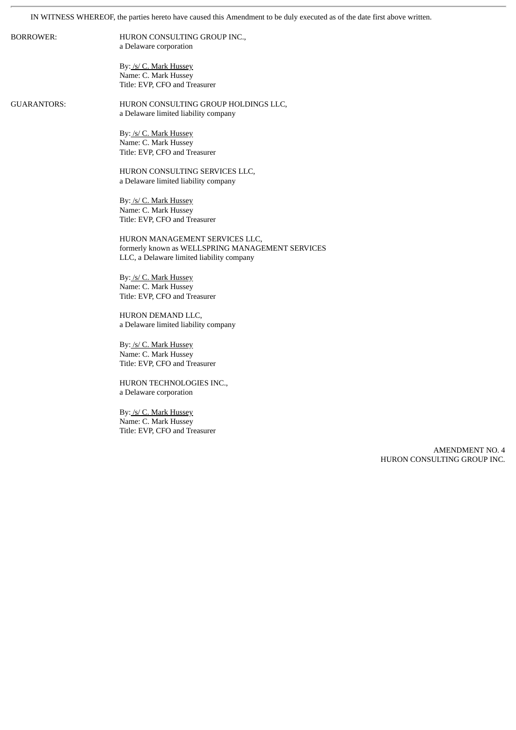IN WITNESS WHEREOF, the parties hereto have caused this Amendment to be duly executed as of the date first above written.

BORROWER: HURON CONSULTING GROUP INC., a Delaware corporation

> By: /s/ C. Mark Hussey Name: C. Mark Hussey Title: EVP, CFO and Treasurer

GUARANTORS: HURON CONSULTING GROUP HOLDINGS LLC, a Delaware limited liability company

> By: /s/ C. Mark Hussey Name: C. Mark Hussey Title: EVP, CFO and Treasurer

HURON CONSULTING SERVICES LLC, a Delaware limited liability company

By: /s/ C. Mark Hussey Name: C. Mark Hussey Title: EVP, CFO and Treasurer

HURON MANAGEMENT SERVICES LLC, formerly known as WELLSPRING MANAGEMENT SERVICES LLC, a Delaware limited liability company

By: /s/ C. Mark Hussey Name: C. Mark Hussey Title: EVP, CFO and Treasurer

HURON DEMAND LLC, a Delaware limited liability company

By: /s/ C. Mark Hussey Name: C. Mark Hussey Title: EVP, CFO and Treasurer

HURON TECHNOLOGIES INC., a Delaware corporation

By: /s/ C. Mark Hussey Name: C. Mark Hussey Title: EVP, CFO and Treasurer

> AMENDMENT NO. 4 HURON CONSULTING GROUP INC.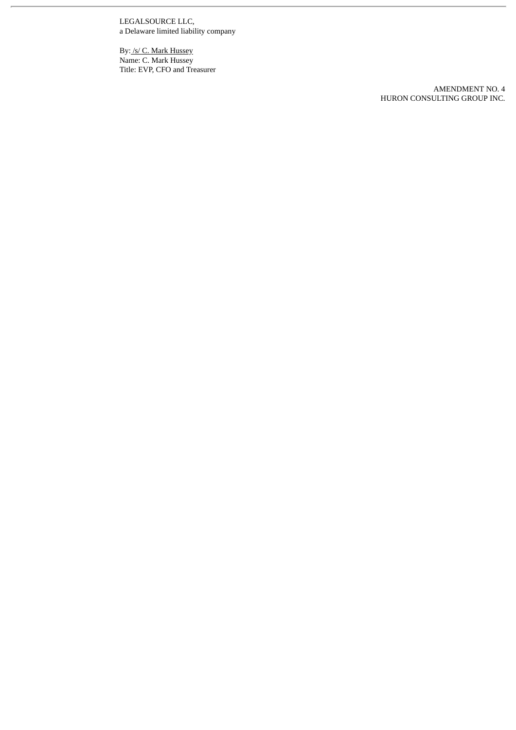LEGALSOURCE LLC, a Delaware limited liability company

By: /s/ C. Mark Hussey Name: C. Mark Hussey Title: EVP, CFO and Treasurer

> AMENDMENT NO. 4 HURON CONSULTING GROUP INC.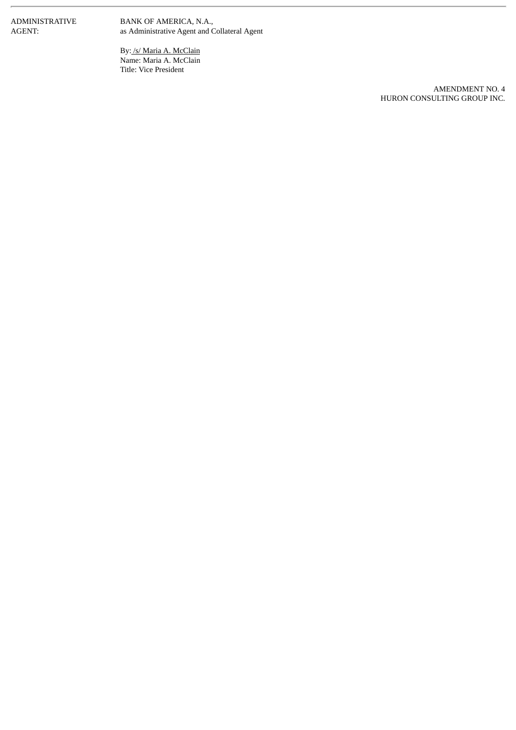ADMINISTRATIVE AGENT:

BANK OF AMERICA, N.A., as Administrative Agent and Collateral Agent

By: /s/ Maria A. McClain Name: Maria A. McClain Title: Vice President

> AMENDMENT NO. 4 HURON CONSULTING GROUP INC.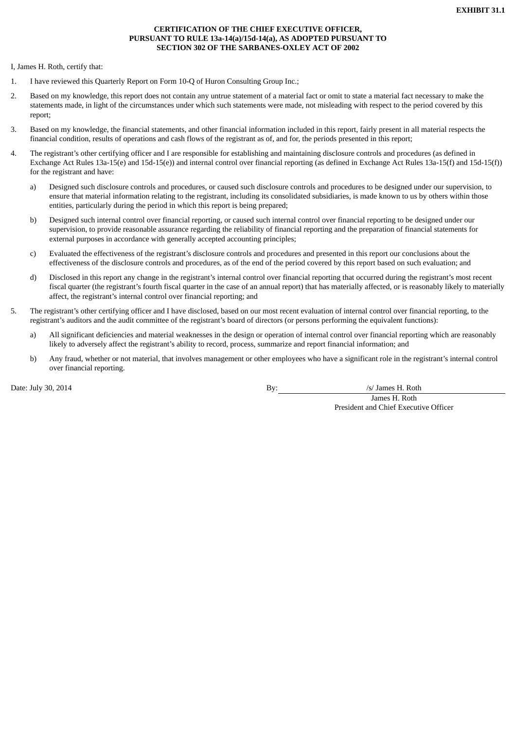## **CERTIFICATION OF THE CHIEF EXECUTIVE OFFICER, PURSUANT TO RULE 13a-14(a)/15d-14(a), AS ADOPTED PURSUANT TO SECTION 302 OF THE SARBANES-OXLEY ACT OF 2002**

I, James H. Roth, certify that:

- 1. I have reviewed this Quarterly Report on Form 10-Q of Huron Consulting Group Inc.;
- 2. Based on my knowledge, this report does not contain any untrue statement of a material fact or omit to state a material fact necessary to make the statements made, in light of the circumstances under which such statements were made, not misleading with respect to the period covered by this report;
- 3. Based on my knowledge, the financial statements, and other financial information included in this report, fairly present in all material respects the financial condition, results of operations and cash flows of the registrant as of, and for, the periods presented in this report;
- 4. The registrant's other certifying officer and I are responsible for establishing and maintaining disclosure controls and procedures (as defined in Exchange Act Rules 13a-15(e) and 15d-15(e)) and internal control over financial reporting (as defined in Exchange Act Rules 13a-15(f) and 15d-15(f)) for the registrant and have:
	- a) Designed such disclosure controls and procedures, or caused such disclosure controls and procedures to be designed under our supervision, to ensure that material information relating to the registrant, including its consolidated subsidiaries, is made known to us by others within those entities, particularly during the period in which this report is being prepared;
	- b) Designed such internal control over financial reporting, or caused such internal control over financial reporting to be designed under our supervision, to provide reasonable assurance regarding the reliability of financial reporting and the preparation of financial statements for external purposes in accordance with generally accepted accounting principles;
	- c) Evaluated the effectiveness of the registrant's disclosure controls and procedures and presented in this report our conclusions about the effectiveness of the disclosure controls and procedures, as of the end of the period covered by this report based on such evaluation; and
	- d) Disclosed in this report any change in the registrant's internal control over financial reporting that occurred during the registrant's most recent fiscal quarter (the registrant's fourth fiscal quarter in the case of an annual report) that has materially affected, or is reasonably likely to materially affect, the registrant's internal control over financial reporting; and
- 5. The registrant's other certifying officer and I have disclosed, based on our most recent evaluation of internal control over financial reporting, to the registrant's auditors and the audit committee of the registrant's board of directors (or persons performing the equivalent functions):
	- a) All significant deficiencies and material weaknesses in the design or operation of internal control over financial reporting which are reasonably likely to adversely affect the registrant's ability to record, process, summarize and report financial information; and
	- b) Any fraud, whether or not material, that involves management or other employees who have a significant role in the registrant's internal control over financial reporting.

Date: July 30, 2014 <br>By: /s/ James H. Roth

James H. Roth

President and Chief Executive Officer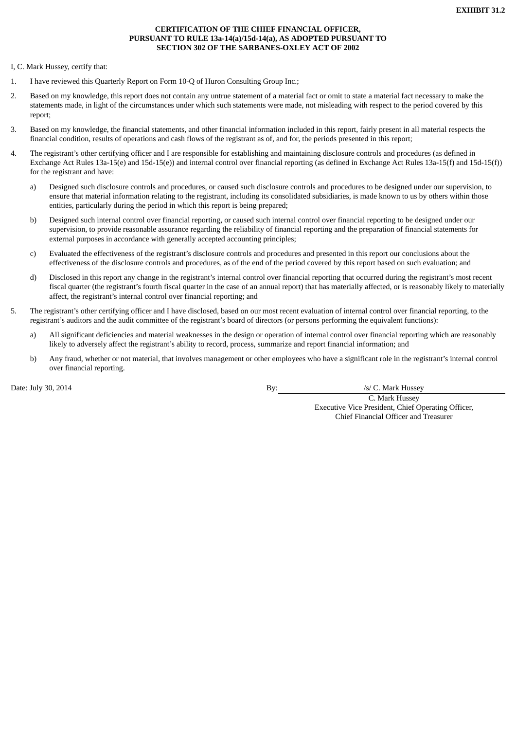## **CERTIFICATION OF THE CHIEF FINANCIAL OFFICER, PURSUANT TO RULE 13a-14(a)/15d-14(a), AS ADOPTED PURSUANT TO SECTION 302 OF THE SARBANES-OXLEY ACT OF 2002**

I, C. Mark Hussey, certify that:

- 1. I have reviewed this Quarterly Report on Form 10-Q of Huron Consulting Group Inc.;
- 2. Based on my knowledge, this report does not contain any untrue statement of a material fact or omit to state a material fact necessary to make the statements made, in light of the circumstances under which such statements were made, not misleading with respect to the period covered by this report;
- 3. Based on my knowledge, the financial statements, and other financial information included in this report, fairly present in all material respects the financial condition, results of operations and cash flows of the registrant as of, and for, the periods presented in this report;
- 4. The registrant's other certifying officer and I are responsible for establishing and maintaining disclosure controls and procedures (as defined in Exchange Act Rules 13a-15(e) and 15d-15(e)) and internal control over financial reporting (as defined in Exchange Act Rules 13a-15(f) and 15d-15(f)) for the registrant and have:
	- a) Designed such disclosure controls and procedures, or caused such disclosure controls and procedures to be designed under our supervision, to ensure that material information relating to the registrant, including its consolidated subsidiaries, is made known to us by others within those entities, particularly during the period in which this report is being prepared;
	- b) Designed such internal control over financial reporting, or caused such internal control over financial reporting to be designed under our supervision, to provide reasonable assurance regarding the reliability of financial reporting and the preparation of financial statements for external purposes in accordance with generally accepted accounting principles;
	- c) Evaluated the effectiveness of the registrant's disclosure controls and procedures and presented in this report our conclusions about the effectiveness of the disclosure controls and procedures, as of the end of the period covered by this report based on such evaluation; and
	- d) Disclosed in this report any change in the registrant's internal control over financial reporting that occurred during the registrant's most recent fiscal quarter (the registrant's fourth fiscal quarter in the case of an annual report) that has materially affected, or is reasonably likely to materially affect, the registrant's internal control over financial reporting; and
- 5. The registrant's other certifying officer and I have disclosed, based on our most recent evaluation of internal control over financial reporting, to the registrant's auditors and the audit committee of the registrant's board of directors (or persons performing the equivalent functions):
	- a) All significant deficiencies and material weaknesses in the design or operation of internal control over financial reporting which are reasonably likely to adversely affect the registrant's ability to record, process, summarize and report financial information; and
	- b) Any fraud, whether or not material, that involves management or other employees who have a significant role in the registrant's internal control over financial reporting.

Date: July 30, 2014 <br>By: /s/ C. Mark Hussey

C. Mark Hussey Executive Vice President, Chief Operating Officer, Chief Financial Officer and Treasurer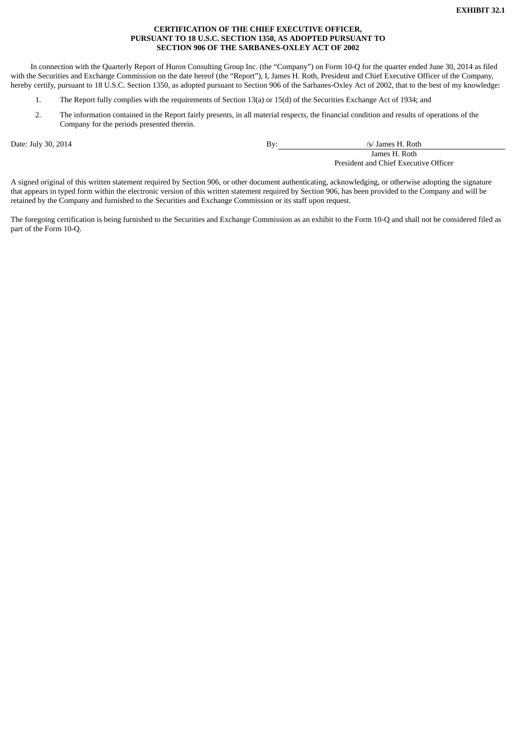#### **CERTIFICATION OF THE CHIEF EXECUTIVE OFFICER, PURSUANT TO 18 U.S.C. SECTION 1350, AS ADOPTED PURSUANT TO SECTION 906 OF THE SARBANES-OXLEY ACT OF 2002**

In connection with the Quarterly Report of Huron Consulting Group Inc. (the "Company") on Form 10-Q for the quarter ended June 30, 2014 as filed with the Securities and Exchange Commission on the date hereof (the "Report"), I, James H. Roth, President and Chief Executive Officer of the Company, hereby certify, pursuant to 18 U.S.C. Section 1350, as adopted pursuant to Section 906 of the Sarbanes-Oxley Act of 2002, that to the best of my knowledge:

- 1. The Report fully complies with the requirements of Section 13(a) or 15(d) of the Securities Exchange Act of 1934; and
- 2. The information contained in the Report fairly presents, in all material respects, the financial condition and results of operations of the Company for the periods presented therein.

Date: July 30, 2014 **By:** /s/ James H. Roth

James H. Roth President and Chief Executive Officer

A signed original of this written statement required by Section 906, or other document authenticating, acknowledging, or otherwise adopting the signature that appears in typed form within the electronic version of this written statement required by Section 906, has been provided to the Company and will be retained by the Company and furnished to the Securities and Exchange Commission or its staff upon request.

The foregoing certification is being furnished to the Securities and Exchange Commission as an exhibit to the Form 10-Q and shall not be considered filed as part of the Form 10-Q.